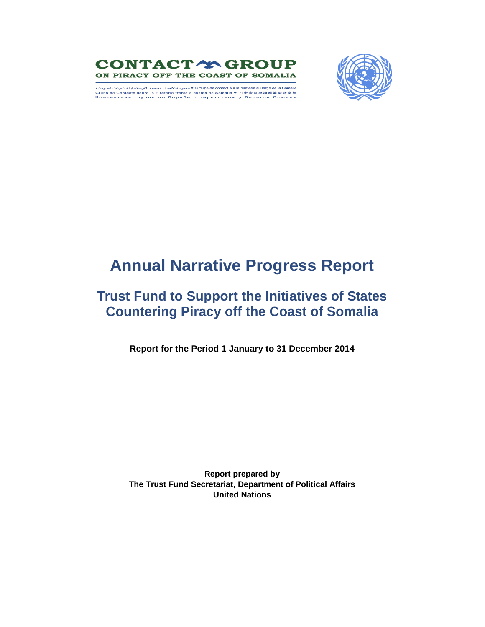



Groupe de contact sur la piraterie au large de la Somalie • مجموعة الاتصال الخاصة بالقرصنة قبالة السواحل الصومالية Grupo de Contacto sobre la Piratería frente a costas de Somalia ● 打击索马里海域海盗联络组<br>Контактная группа по борьбе с пиратством у берегов Сомали

# **Annual Narrative Progress Report**

# **Trust Fund to Support the Initiatives of States Countering Piracy off the Coast of Somalia**

**Report for the Period 1 January to 31 December 2014**

**Report prepared by The Trust Fund Secretariat, Department of Political Affairs United Nations**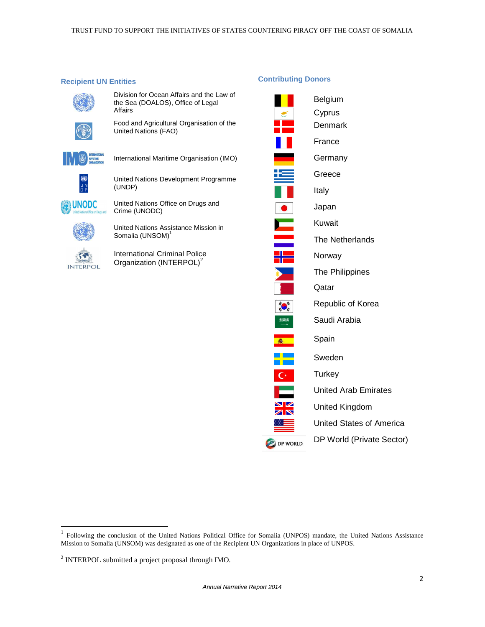**Contributing Donors** 

#### **Recipient UN Entities**

Division for Ocean Affairs and the Law of the Sea (DOALOS), Office of Legal Affairs



Food and Agricultural Organisation of the United Nations (FAO)



● 2回

**UNODC** 

International Maritime Organisation (IMO)

United Nations Development Programme (UNDP)

United Nations Office on Drugs and Crime (UNODC)

United Nations Assistance Mission in Somalia (UNSOM)<sup>1</sup>

International Criminal Police Organization (INTERPOL)<sup>2</sup> **INTERPOL** 

# Belgium Cyprus  $\epsilon$ Denmark France Germany Ħ Greece Italy Japan Kuwait The Netherlands Norway The Philippines Qatar **ののこと** Republic of Korea  $\begin{picture}(20,20) \put(0,0){\line(1,0){15}} \put(15,0){\line(1,0){15}} \put(15,0){\line(1,0){15}} \put(15,0){\line(1,0){15}} \put(15,0){\line(1,0){15}} \put(15,0){\line(1,0){15}} \put(15,0){\line(1,0){15}} \put(15,0){\line(1,0){15}} \put(15,0){\line(1,0){15}} \put(15,0){\line(1,0){15}} \put(15,0){\line(1,0){15}} \put(15,0){\line(1$ Saudi Arabia Spain 高  $\frac{1}{\sqrt{2}}$ Sweden  $\overline{C}$ **Turkey** United Arab Emirates V United Kingdom  $\overline{\mathbb{Z}}$ United States of America DP World (Private Sector) DP WORLD

 $\overline{a}$ 

<sup>1</sup> Following the conclusion of the United Nations Political Office for Somalia (UNPOS) mandate, the United Nations Assistance Mission to Somalia (UNSOM) was designated as one of the Recipient UN Organizations in place of UNPOS.

<sup>&</sup>lt;sup>2</sup> INTERPOL submitted a project proposal through IMO.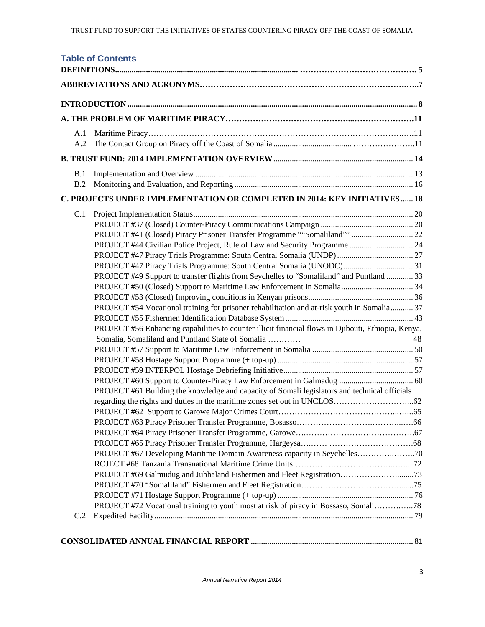|     | <b>Table of Contents</b>                                                                            |    |
|-----|-----------------------------------------------------------------------------------------------------|----|
|     |                                                                                                     |    |
|     |                                                                                                     |    |
|     |                                                                                                     |    |
| A.1 |                                                                                                     |    |
| A.2 |                                                                                                     |    |
|     |                                                                                                     |    |
| B.1 |                                                                                                     |    |
| B.2 |                                                                                                     |    |
|     | C. PROJECTS UNDER IMPLEMENTATION OR COMPLETED IN 2014: KEY INITIATIVES 18                           |    |
| C.1 |                                                                                                     |    |
|     |                                                                                                     |    |
|     | PROJECT #41 (Closed) Piracy Prisoner Transfer Programme ""Somaliland""  22                          |    |
|     |                                                                                                     |    |
|     | PROJECT #47 Piracy Trials Programme: South Central Somalia (UNDP)  27                               |    |
|     | PROJECT #47 Piracy Trials Programme: South Central Somalia (UNODC) 31                               |    |
|     | PROJECT #49 Support to transfer flights from Seychelles to "Somaliland" and Puntland  33            |    |
|     |                                                                                                     |    |
|     | PROJECT #54 Vocational training for prisoner rehabilitation and at-risk youth in Somalia 37         |    |
|     |                                                                                                     |    |
|     | PROJECT #56 Enhancing capabilities to counter illicit financial flows in Djibouti, Ethiopia, Kenya, |    |
|     | Somalia, Somaliland and Puntland State of Somalia                                                   | 48 |
|     |                                                                                                     |    |
|     |                                                                                                     |    |
|     |                                                                                                     |    |
|     |                                                                                                     |    |
|     | PROJECT #61 Building the knowledge and capacity of Somali legislators and technical officials       |    |
|     |                                                                                                     |    |
|     |                                                                                                     |    |
|     |                                                                                                     |    |
|     |                                                                                                     |    |
|     |                                                                                                     |    |
|     | PROJECT #67 Developing Maritime Domain Awareness capacity in Seychelles70                           |    |
|     |                                                                                                     |    |
|     |                                                                                                     |    |
|     |                                                                                                     |    |
|     |                                                                                                     |    |
|     | PROJECT #72 Vocational training to youth most at risk of piracy in Bossaso, Somali78                |    |
| C.2 |                                                                                                     |    |
|     |                                                                                                     |    |
|     |                                                                                                     |    |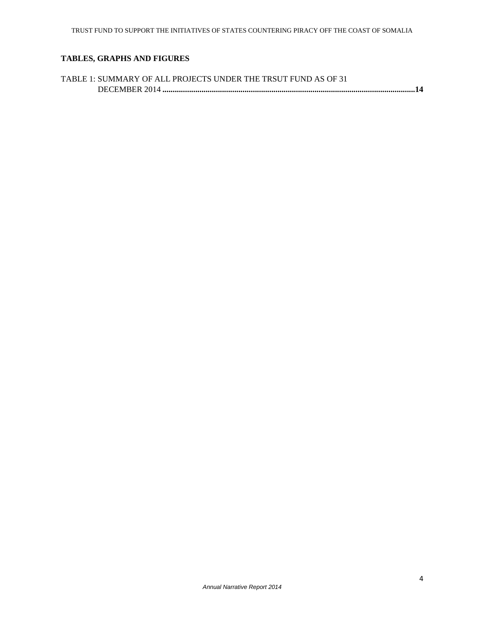# **TABLES, GRAPHS AND FIGURES**

| TABLE 1: SUMMARY OF ALL PROJECTS UNDER THE TRSUT FUND AS OF 31 |
|----------------------------------------------------------------|
|                                                                |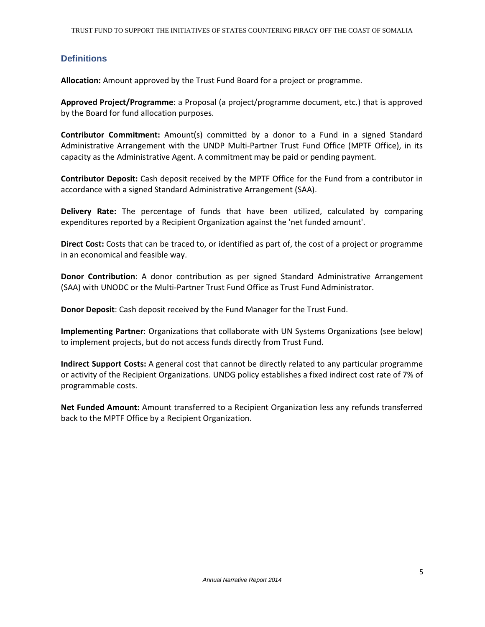## **Definitions**

Allocation: Amount approved by the Trust Fund Board for a project or programme.

Approved Project/Programme: a Proposal (a project/programme document, etc.) that is approved by the Board for fund allocation purposes.

Contributor Commitment: Amount(s) committed by a donor to a Fund in a signed Standard Administrative Arrangement with the UNDP Multi-Partner Trust Fund Office (MPTF Office), in its capacity as the Administrative Agent. A commitment may be paid or pending payment.

Contributor Deposit: Cash deposit received by the MPTF Office for the Fund from a contributor in accordance with a signed Standard Administrative Arrangement (SAA).

Delivery Rate: The percentage of funds that have been utilized, calculated by comparing expenditures reported by a Recipient Organization against the 'net funded amount'.

Direct Cost: Costs that can be traced to, or identified as part of, the cost of a project or programme in an economical and feasible way.

Donor Contribution: A donor contribution as per signed Standard Administrative Arrangement (SAA) with UNODC or the Multi-Partner Trust Fund Office as Trust Fund Administrator.

Donor Deposit: Cash deposit received by the Fund Manager for the Trust Fund.

Implementing Partner: Organizations that collaborate with UN Systems Organizations (see below) to implement projects, but do not access funds directly from Trust Fund.

Indirect Support Costs: A general cost that cannot be directly related to any particular programme or activity of the Recipient Organizations. UNDG policy establishes a fixed indirect cost rate of 7% of programmable costs.

Net Funded Amount: Amount transferred to a Recipient Organization less any refunds transferred back to the MPTF Office by a Recipient Organization.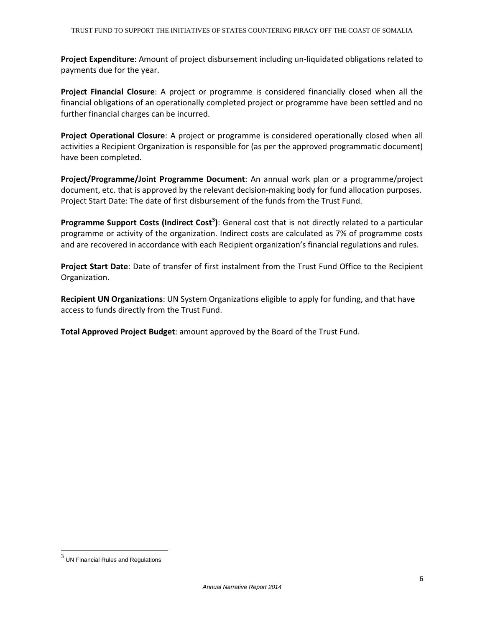Project Expenditure: Amount of project disbursement including un-liquidated obligations related to payments due for the year.

Project Financial Closure: A project or programme is considered financially closed when all the financial obligations of an operationally completed project or programme have been settled and no further financial charges can be incurred.

Project Operational Closure: A project or programme is considered operationally closed when all activities a Recipient Organization is responsible for (as per the approved programmatic document) have been completed.

Project/Programme/Joint Programme Document: An annual work plan or a programme/project document, etc. that is approved by the relevant decision-making body for fund allocation purposes. Project Start Date: The date of first disbursement of the funds from the Trust Fund.

Programme Support Costs (Indirect Cost<sup>3</sup>): General cost that is not directly related to a particular programme or activity of the organization. Indirect costs are calculated as 7% of programme costs and are recovered in accordance with each Recipient organization's financial regulations and rules.

Project Start Date: Date of transfer of first instalment from the Trust Fund Office to the Recipient Organization.

Recipient UN Organizations: UN System Organizations eligible to apply for funding, and that have access to funds directly from the Trust Fund.

Total Approved Project Budget: amount approved by the Board of the Trust Fund.

 $\overline{a}$ 

 $^3$  UN Financial Rules and Regulations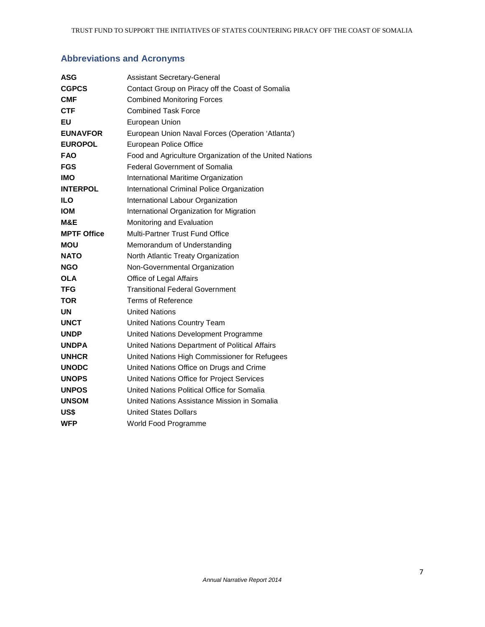# **Abbreviations and Acronyms**

| ASG                | <b>Assistant Secretary-General</b>                      |
|--------------------|---------------------------------------------------------|
| <b>CGPCS</b>       | Contact Group on Piracy off the Coast of Somalia        |
| <b>CMF</b>         | <b>Combined Monitoring Forces</b>                       |
| <b>CTF</b>         | <b>Combined Task Force</b>                              |
| EU                 | European Union                                          |
| <b>EUNAVFOR</b>    | European Union Naval Forces (Operation 'Atlanta')       |
| <b>EUROPOL</b>     | European Police Office                                  |
| <b>FAO</b>         | Food and Agriculture Organization of the United Nations |
| <b>FGS</b>         | <b>Federal Government of Somalia</b>                    |
| <b>IMO</b>         | International Maritime Organization                     |
| <b>INTERPOL</b>    | International Criminal Police Organization              |
| ILO                | International Labour Organization                       |
| <b>IOM</b>         | International Organization for Migration                |
| M&E                | Monitoring and Evaluation                               |
| <b>MPTF Office</b> | Multi-Partner Trust Fund Office                         |
| <b>MOU</b>         | Memorandum of Understanding                             |
| <b>NATO</b>        | North Atlantic Treaty Organization                      |
| <b>NGO</b>         | Non-Governmental Organization                           |
| <b>OLA</b>         | Office of Legal Affairs                                 |
| <b>TFG</b>         | <b>Transitional Federal Government</b>                  |
| <b>TOR</b>         | <b>Terms of Reference</b>                               |
| UN                 | <b>United Nations</b>                                   |
| <b>UNCT</b>        | <b>United Nations Country Team</b>                      |
| <b>UNDP</b>        | United Nations Development Programme                    |
| <b>UNDPA</b>       | United Nations Department of Political Affairs          |
| <b>UNHCR</b>       | United Nations High Commissioner for Refugees           |
| <b>UNODC</b>       | United Nations Office on Drugs and Crime                |
| <b>UNOPS</b>       | United Nations Office for Project Services              |
| <b>UNPOS</b>       | United Nations Political Office for Somalia             |
| <b>UNSOM</b>       | United Nations Assistance Mission in Somalia            |
| US\$               | <b>United States Dollars</b>                            |
| <b>WFP</b>         | World Food Programme                                    |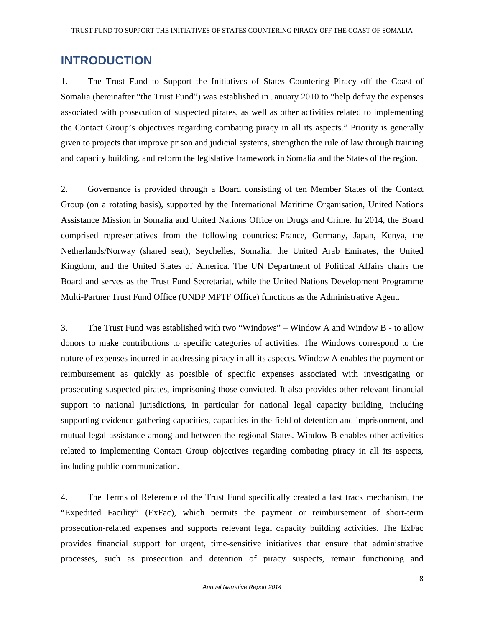# **INTRODUCTION**

1. The Trust Fund to Support the Initiatives of States Countering Piracy off the Coast of Somalia (hereinafter "the Trust Fund") was established in January 2010 to "help defray the expenses associated with prosecution of suspected pirates, as well as other activities related to implementing the Contact Group's objectives regarding combating piracy in all its aspects." Priority is generally given to projects that improve prison and judicial systems, strengthen the rule of law through training and capacity building, and reform the legislative framework in Somalia and the States of the region.

2. Governance is provided through a Board consisting of ten Member States of the Contact Group (on a rotating basis), supported by the International Maritime Organisation, United Nations Assistance Mission in Somalia and United Nations Office on Drugs and Crime. In 2014, the Board comprised representatives from the following countries: France, Germany, Japan, Kenya, the Netherlands/Norway (shared seat), Seychelles, Somalia, the United Arab Emirates, the United Kingdom, and the United States of America. The UN Department of Political Affairs chairs the Board and serves as the Trust Fund Secretariat, while the United Nations Development Programme Multi-Partner Trust Fund Office (UNDP MPTF Office) functions as the Administrative Agent.

3. The Trust Fund was established with two "Windows" – Window A and Window B - to allow donors to make contributions to specific categories of activities. The Windows correspond to the nature of expenses incurred in addressing piracy in all its aspects. Window A enables the payment or reimbursement as quickly as possible of specific expenses associated with investigating or prosecuting suspected pirates, imprisoning those convicted. It also provides other relevant financial support to national jurisdictions, in particular for national legal capacity building, including supporting evidence gathering capacities, capacities in the field of detention and imprisonment, and mutual legal assistance among and between the regional States. Window B enables other activities related to implementing Contact Group objectives regarding combating piracy in all its aspects, including public communication.

4. The Terms of Reference of the Trust Fund specifically created a fast track mechanism, the "Expedited Facility" (ExFac), which permits the payment or reimbursement of short-term prosecution-related expenses and supports relevant legal capacity building activities. The ExFac provides financial support for urgent, time-sensitive initiatives that ensure that administrative processes, such as prosecution and detention of piracy suspects, remain functioning and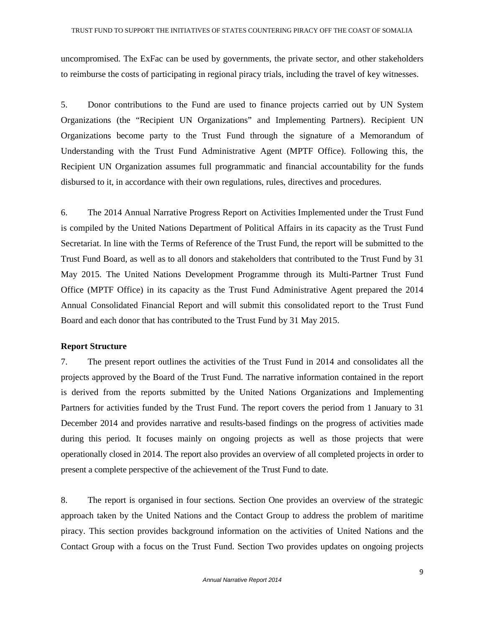uncompromised. The ExFac can be used by governments, the private sector, and other stakeholders to reimburse the costs of participating in regional piracy trials, including the travel of key witnesses.

5. Donor contributions to the Fund are used to finance projects carried out by UN System Organizations (the "Recipient UN Organizations" and Implementing Partners). Recipient UN Organizations become party to the Trust Fund through the signature of a Memorandum of Understanding with the Trust Fund Administrative Agent (MPTF Office). Following this, the Recipient UN Organization assumes full programmatic and financial accountability for the funds disbursed to it, in accordance with their own regulations, rules, directives and procedures.

6. The 2014 Annual Narrative Progress Report on Activities Implemented under the Trust Fund is compiled by the United Nations Department of Political Affairs in its capacity as the Trust Fund Secretariat. In line with the Terms of Reference of the Trust Fund, the report will be submitted to the Trust Fund Board, as well as to all donors and stakeholders that contributed to the Trust Fund by 31 May 2015. The United Nations Development Programme through its Multi-Partner Trust Fund Office (MPTF Office) in its capacity as the Trust Fund Administrative Agent prepared the 2014 Annual Consolidated Financial Report and will submit this consolidated report to the Trust Fund Board and each donor that has contributed to the Trust Fund by 31 May 2015.

#### **Report Structure**

7. The present report outlines the activities of the Trust Fund in 2014 and consolidates all the projects approved by the Board of the Trust Fund. The narrative information contained in the report is derived from the reports submitted by the United Nations Organizations and Implementing Partners for activities funded by the Trust Fund. The report covers the period from 1 January to 31 December 2014 and provides narrative and results-based findings on the progress of activities made during this period. It focuses mainly on ongoing projects as well as those projects that were operationally closed in 2014. The report also provides an overview of all completed projects in order to present a complete perspective of the achievement of the Trust Fund to date.

8. The report is organised in four sections. Section One provides an overview of the strategic approach taken by the United Nations and the Contact Group to address the problem of maritime piracy. This section provides background information on the activities of United Nations and the Contact Group with a focus on the Trust Fund. Section Two provides updates on ongoing projects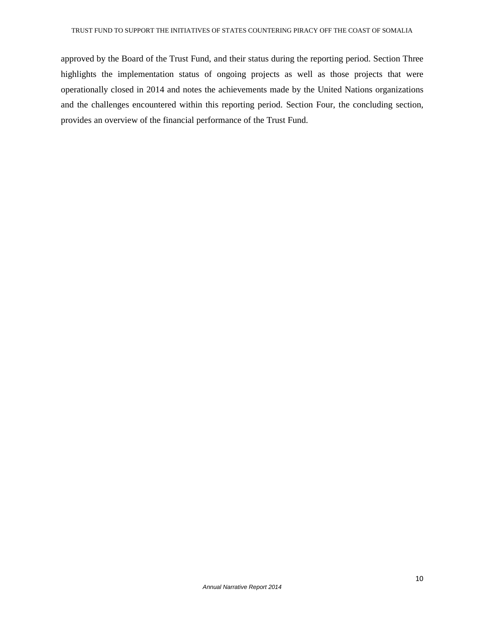approved by the Board of the Trust Fund, and their status during the reporting period. Section Three highlights the implementation status of ongoing projects as well as those projects that were operationally closed in 2014 and notes the achievements made by the United Nations organizations and the challenges encountered within this reporting period. Section Four, the concluding section, provides an overview of the financial performance of the Trust Fund.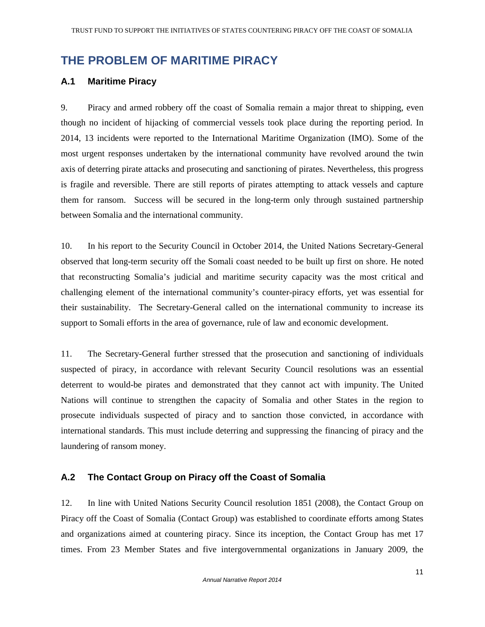# **THE PROBLEM OF MARITIME PIRACY**

# **A.1 Maritime Piracy**

9. Piracy and armed robbery off the coast of Somalia remain a major threat to shipping, even though no incident of hijacking of commercial vessels took place during the reporting period. In 2014, 13 incidents were reported to the International Maritime Organization (IMO). Some of the most urgent responses undertaken by the international community have revolved around the twin axis of deterring pirate attacks and prosecuting and sanctioning of pirates. Nevertheless, this progress is fragile and reversible. There are still reports of pirates attempting to attack vessels and capture them for ransom. Success will be secured in the long-term only through sustained partnership between Somalia and the international community.

10. In his report to the Security Council in October 2014, the United Nations Secretary-General observed that long-term security off the Somali coast needed to be built up first on shore. He noted that reconstructing Somalia's judicial and maritime security capacity was the most critical and challenging element of the international community's counter-piracy efforts, yet was essential for their sustainability. The Secretary-General called on the international community to increase its support to Somali efforts in the area of governance, rule of law and economic development.

11. The Secretary-General further stressed that the prosecution and sanctioning of individuals suspected of piracy, in accordance with relevant Security Council resolutions was an essential deterrent to would-be pirates and demonstrated that they cannot act with impunity. The United Nations will continue to strengthen the capacity of Somalia and other States in the region to prosecute individuals suspected of piracy and to sanction those convicted, in accordance with international standards. This must include deterring and suppressing the financing of piracy and the laundering of ransom money.

# **A.2 The Contact Group on Piracy off the Coast of Somalia**

12. In line with United Nations Security Council resolution 1851 (2008), the Contact Group on Piracy off the Coast of Somalia (Contact Group) was established to coordinate efforts among States and organizations aimed at countering piracy. Since its inception, the Contact Group has met 17 times. From 23 Member States and five intergovernmental organizations in January 2009, the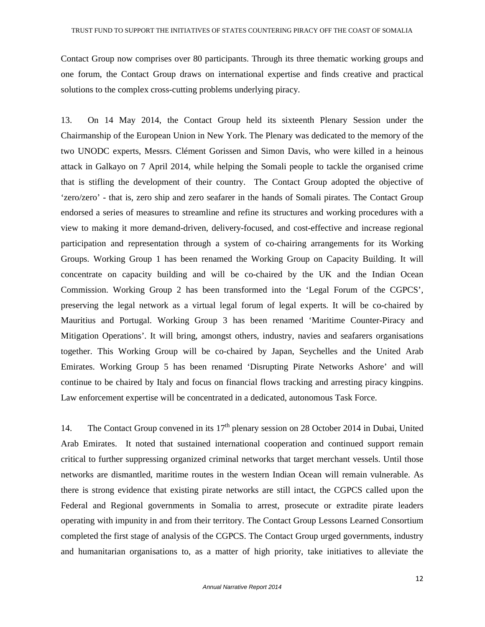Contact Group now comprises over 80 participants. Through its three thematic working groups and one forum, the Contact Group draws on international expertise and finds creative and practical solutions to the complex cross-cutting problems underlying piracy.

13. On 14 May 2014, the Contact Group held its sixteenth Plenary Session under the Chairmanship of the European Union in New York. The Plenary was dedicated to the memory of the two UNODC experts, Messrs. Clément Gorissen and Simon Davis, who were killed in a heinous attack in Galkayo on 7 April 2014, while helping the Somali people to tackle the organised crime that is stifling the development of their country. The Contact Group adopted the objective of 'zero/zero' - that is, zero ship and zero seafarer in the hands of Somali pirates. The Contact Group endorsed a series of measures to streamline and refine its structures and working procedures with a view to making it more demand-driven, delivery-focused, and cost-effective and increase regional participation and representation through a system of co-chairing arrangements for its Working Groups. Working Group 1 has been renamed the Working Group on Capacity Building. It will concentrate on capacity building and will be co-chaired by the UK and the Indian Ocean Commission. Working Group 2 has been transformed into the 'Legal Forum of the CGPCS', preserving the legal network as a virtual legal forum of legal experts. It will be co-chaired by Mauritius and Portugal. Working Group 3 has been renamed 'Maritime Counter-Piracy and Mitigation Operations'. It will bring, amongst others, industry, navies and seafarers organisations together. This Working Group will be co-chaired by Japan, Seychelles and the United Arab Emirates. Working Group 5 has been renamed 'Disrupting Pirate Networks Ashore' and will continue to be chaired by Italy and focus on financial flows tracking and arresting piracy kingpins. Law enforcement expertise will be concentrated in a dedicated, autonomous Task Force.

14. The Contact Group convened in its  $17<sup>th</sup>$  plenary session on 28 October 2014 in Dubai, United Arab Emirates. It noted that sustained international cooperation and continued support remain critical to further suppressing organized criminal networks that target merchant vessels. Until those networks are dismantled, maritime routes in the western Indian Ocean will remain vulnerable. As there is strong evidence that existing pirate networks are still intact, the CGPCS called upon the Federal and Regional governments in Somalia to arrest, prosecute or extradite pirate leaders operating with impunity in and from their territory. The Contact Group Lessons Learned Consortium completed the first stage of analysis of the CGPCS. The Contact Group urged governments, industry and humanitarian organisations to, as a matter of high priority, take initiatives to alleviate the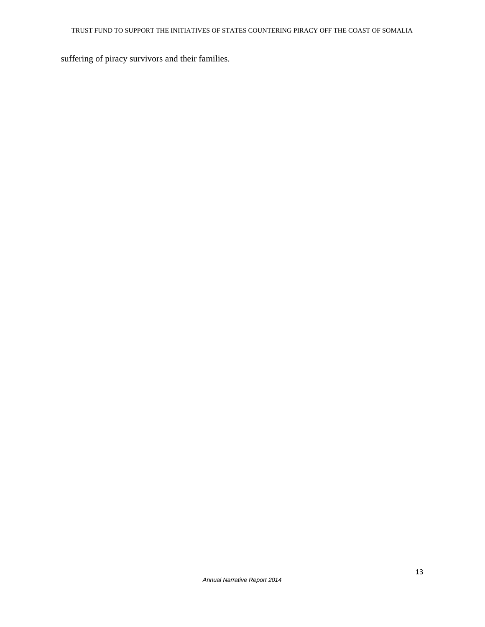suffering of piracy survivors and their families.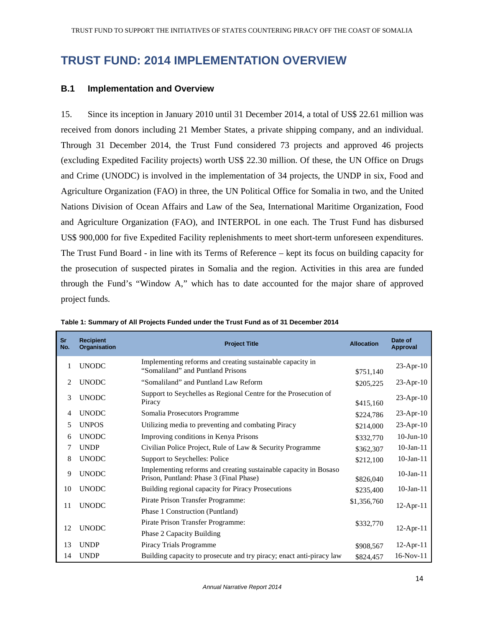# **TRUST FUND: 2014 IMPLEMENTATION OVERVIEW**

### **B.1 Implementation and Overview**

15. Since its inception in January 2010 until 31 December 2014, a total of US\$ 22.61 million was received from donors including 21 Member States, a private shipping company, and an individual. Through 31 December 2014, the Trust Fund considered 73 projects and approved 46 projects (excluding Expedited Facility projects) worth US\$ 22.30 million. Of these, the UN Office on Drugs and Crime (UNODC) is involved in the implementation of 34 projects, the UNDP in six, Food and Agriculture Organization (FAO) in three, the UN Political Office for Somalia in two, and the United Nations Division of Ocean Affairs and Law of the Sea, International Maritime Organization, Food and Agriculture Organization (FAO), and INTERPOL in one each. The Trust Fund has disbursed US\$ 900,000 for five Expedited Facility replenishments to meet short-term unforeseen expenditures. The Trust Fund Board - in line with its Terms of Reference – kept its focus on building capacity for the prosecution of suspected pirates in Somalia and the region. Activities in this area are funded through the Fund's "Window A," which has to date accounted for the major share of approved project funds.

| <b>Sr</b><br>No. | <b>Recipient</b><br><b>Organisation</b> | <b>Project Title</b>                                                                                        | <b>Allocation</b> | Date of<br>Approval |
|------------------|-----------------------------------------|-------------------------------------------------------------------------------------------------------------|-------------------|---------------------|
|                  | <b>UNODC</b>                            | Implementing reforms and creating sustainable capacity in<br>"Somaliland" and Puntland Prisons              | \$751,140         | $23$ -Apr-10        |
| 2                | <b>UNODC</b>                            | "Somaliland" and Puntland Law Reform                                                                        | \$205,225         | $23-Apr-10$         |
| 3                | <b>UNODC</b>                            | Support to Seychelles as Regional Centre for the Prosecution of<br>Piracy                                   | \$415,160         | $23$ -Apr-10        |
| 4                | <b>UNODC</b>                            | Somalia Prosecutors Programme                                                                               | \$224,786         | $23$ -Apr-10        |
| 5                | <b>UNPOS</b>                            | Utilizing media to preventing and combating Piracy                                                          | \$214,000         | $23-Apr-10$         |
| 6                | <b>UNODC</b>                            | Improving conditions in Kenya Prisons                                                                       | \$332,770         | $10$ -Jun- $10$     |
| 7                | <b>UNDP</b>                             | Civilian Police Project, Rule of Law & Security Programme                                                   | \$362,307         | $10$ -Jan- $11$     |
| 8                | <b>UNODC</b>                            | Support to Seychelles: Police                                                                               | \$212,100         | $10$ -Jan- $11$     |
| 9                | <b>UNODC</b>                            | Implementing reforms and creating sustainable capacity in Bosaso<br>Prison, Puntland: Phase 3 (Final Phase) | \$826,040         | $10$ -Jan- $11$     |
| 10               | <b>UNODC</b>                            | Building regional capacity for Piracy Prosecutions                                                          | \$235,400         | $10$ -Jan- $11$     |
| 11               | <b>UNODC</b>                            | Pirate Prison Transfer Programme:<br>Phase 1 Construction (Puntland)                                        | \$1,356,760       | $12$ -Apr-11        |
| 12               | <b>UNODC</b>                            | Pirate Prison Transfer Programme:<br>Phase 2 Capacity Building                                              | \$332,770         | $12$ -Apr-11        |
| 13               | <b>UNDP</b>                             | Piracy Trials Programme                                                                                     | \$908,567         | $12$ -Apr-11        |
| 14               | <b>UNDP</b>                             | Building capacity to prosecute and try piracy; enact anti-piracy law                                        | \$824,457         | $16-Nov-11$         |

**Table 1: Summary of All Projects Funded under the Trust Fund as of 31 December 2014**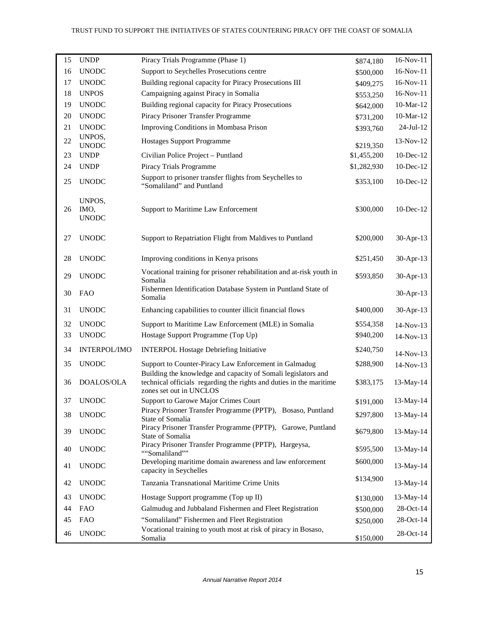| 15 | <b>UNDP</b>                    | Piracy Trials Programme (Phase 1)                                                                                                                               | \$874,180   | 16-Nov-11       |
|----|--------------------------------|-----------------------------------------------------------------------------------------------------------------------------------------------------------------|-------------|-----------------|
| 16 | <b>UNODC</b>                   | Support to Seychelles Prosecutions centre                                                                                                                       | \$500,000   | 16-Nov-11       |
| 17 | <b>UNODC</b>                   | Building regional capacity for Piracy Prosecutions III                                                                                                          | \$409,275   | 16-Nov-11       |
| 18 | <b>UNPOS</b>                   | Campaigning against Piracy in Somalia                                                                                                                           | \$553,250   | $16-Nov-11$     |
| 19 | <b>UNODC</b>                   | Building regional capacity for Piracy Prosecutions                                                                                                              | \$642,000   | 10-Mar-12       |
| 20 | <b>UNODC</b>                   | Piracy Prisoner Transfer Programme                                                                                                                              | \$731,200   | 10-Mar-12       |
| 21 | <b>UNODC</b>                   | Improving Conditions in Mombasa Prison                                                                                                                          | \$393,760   | 24-Jul-12       |
| 22 | UNPOS,<br><b>UNODC</b>         | <b>Hostages Support Programme</b>                                                                                                                               | \$219,350   | $13-Nov-12$     |
| 23 | <b>UNDP</b>                    | Civilian Police Project - Puntland                                                                                                                              | \$1,455,200 | $10$ -Dec- $12$ |
| 24 | <b>UNDP</b>                    | Piracy Trials Programme                                                                                                                                         | \$1,282,930 | 10-Dec-12       |
| 25 | <b>UNODC</b>                   | Support to prisoner transfer flights from Seychelles to<br>"Somaliland" and Puntland                                                                            | \$353,100   | 10-Dec-12       |
| 26 | UNPOS,<br>IMO,<br><b>UNODC</b> | Support to Maritime Law Enforcement                                                                                                                             | \$300,000   | 10-Dec-12       |
| 27 | <b>UNODC</b>                   | Support to Repatriation Flight from Maldives to Puntland                                                                                                        | \$200,000   | 30-Apr-13       |
| 28 | <b>UNODC</b>                   | Improving conditions in Kenya prisons                                                                                                                           | \$251,450   | 30-Apr-13       |
| 29 | <b>UNODC</b>                   | Vocational training for prisoner rehabilitation and at-risk youth in<br>Somalia                                                                                 | \$593,850   | 30-Apr-13       |
| 30 | <b>FAO</b>                     | Fishermen Identification Database System in Puntland State of<br>Somalia                                                                                        |             | 30-Apr-13       |
| 31 | <b>UNODC</b>                   | Enhancing capabilities to counter illicit financial flows                                                                                                       | \$400,000   | 30-Apr-13       |
| 32 | <b>UNODC</b>                   | Support to Maritime Law Enforcement (MLE) in Somalia                                                                                                            | \$554,358   | 14-Nov-13       |
| 33 | <b>UNODC</b>                   | Hostage Support Programme (Top Up)                                                                                                                              | \$940,200   | 14-Nov-13       |
| 34 | <b>INTERPOL/IMO</b>            | <b>INTERPOL Hostage Debriefing Initiative</b>                                                                                                                   | \$240,750   | 14-Nov-13       |
| 35 | <b>UNODC</b>                   | Support to Counter-Piracy Law Enforcement in Galmadug                                                                                                           | \$288,900   | 14-Nov-13       |
| 36 | DOALOS/OLA                     | Building the knowledge and capacity of Somali legislators and<br>technical officials regarding the rights and duties in the maritime<br>zones set out in UNCLOS | \$383,175   | 13-May-14       |
| 37 | <b>UNODC</b>                   | Support to Garowe Major Crimes Court                                                                                                                            | \$191,000   | 13-May-14       |
| 38 | <b>UNODC</b>                   | Piracy Prisoner Transfer Programme (PPTP), Bosaso, Puntland<br>State of Somalia                                                                                 | \$297,800   | 13-May-14       |
| 39 | <b>UNODC</b>                   | Piracy Prisoner Transfer Programme (PPTP), Garowe, Puntland<br>State of Somalia                                                                                 | \$679,800   | 13-May-14       |
| 40 | <b>UNODC</b>                   | Piracy Prisoner Transfer Programme (PPTP), Hargeysa,<br>""Somaliland""                                                                                          | \$595,500   | 13-May-14       |
| 41 | <b>UNODC</b>                   | Developing maritime domain awareness and law enforcement<br>capacity in Seychelles                                                                              | \$600,000   | 13-May-14       |
| 42 | <b>UNODC</b>                   | Tanzania Transnational Maritime Crime Units                                                                                                                     | \$134,900   | 13-May-14       |
| 43 | <b>UNODC</b>                   | Hostage Support programme (Top up II)                                                                                                                           | \$130,000   | 13-May-14       |
| 44 | <b>FAO</b>                     | Galmudug and Jubbaland Fishermen and Fleet Registration                                                                                                         | \$500,000   | 28-Oct-14       |
| 45 | <b>FAO</b>                     | "Somaliland" Fishermen and Fleet Registration                                                                                                                   | \$250,000   | 28-Oct-14       |
| 46 | <b>UNODC</b>                   | Vocational training to youth most at risk of piracy in Bosaso,<br>Somalia                                                                                       | \$150,000   | $28-Oct-14$     |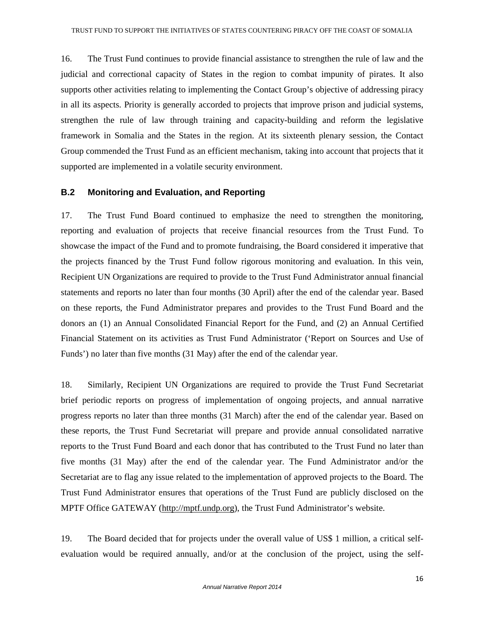16. The Trust Fund continues to provide financial assistance to strengthen the rule of law and the judicial and correctional capacity of States in the region to combat impunity of pirates. It also supports other activities relating to implementing the Contact Group's objective of addressing piracy in all its aspects. Priority is generally accorded to projects that improve prison and judicial systems, strengthen the rule of law through training and capacity-building and reform the legislative framework in Somalia and the States in the region. At its sixteenth plenary session, the Contact Group commended the Trust Fund as an efficient mechanism, taking into account that projects that it supported are implemented in a volatile security environment.

### **B.2 Monitoring and Evaluation, and Reporting**

17. The Trust Fund Board continued to emphasize the need to strengthen the monitoring, reporting and evaluation of projects that receive financial resources from the Trust Fund. To showcase the impact of the Fund and to promote fundraising, the Board considered it imperative that the projects financed by the Trust Fund follow rigorous monitoring and evaluation. In this vein, Recipient UN Organizations are required to provide to the Trust Fund Administrator annual financial statements and reports no later than four months (30 April) after the end of the calendar year. Based on these reports, the Fund Administrator prepares and provides to the Trust Fund Board and the donors an (1) an Annual Consolidated Financial Report for the Fund, and (2) an Annual Certified Financial Statement on its activities as Trust Fund Administrator ('Report on Sources and Use of Funds') no later than five months (31 May) after the end of the calendar year.

18. Similarly, Recipient UN Organizations are required to provide the Trust Fund Secretariat brief periodic reports on progress of implementation of ongoing projects, and annual narrative progress reports no later than three months (31 March) after the end of the calendar year. Based on these reports, the Trust Fund Secretariat will prepare and provide annual consolidated narrative reports to the Trust Fund Board and each donor that has contributed to the Trust Fund no later than five months (31 May) after the end of the calendar year. The Fund Administrator and/or the Secretariat are to flag any issue related to the implementation of approved projects to the Board. The Trust Fund Administrator ensures that operations of the Trust Fund are publicly disclosed on the MPTF Office GATEWAY (http://mptf.undp.org), the Trust Fund Administrator's website.

19. The Board decided that for projects under the overall value of US\$ 1 million, a critical selfevaluation would be required annually, and/or at the conclusion of the project, using the self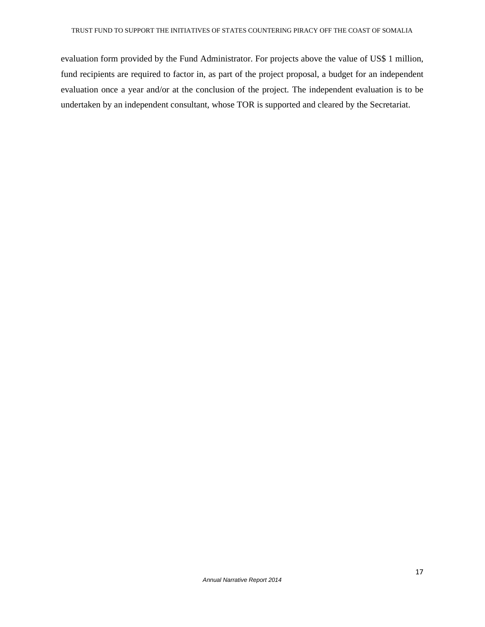evaluation form provided by the Fund Administrator. For projects above the value of US\$ 1 million, fund recipients are required to factor in, as part of the project proposal, a budget for an independent evaluation once a year and/or at the conclusion of the project. The independent evaluation is to be undertaken by an independent consultant, whose TOR is supported and cleared by the Secretariat.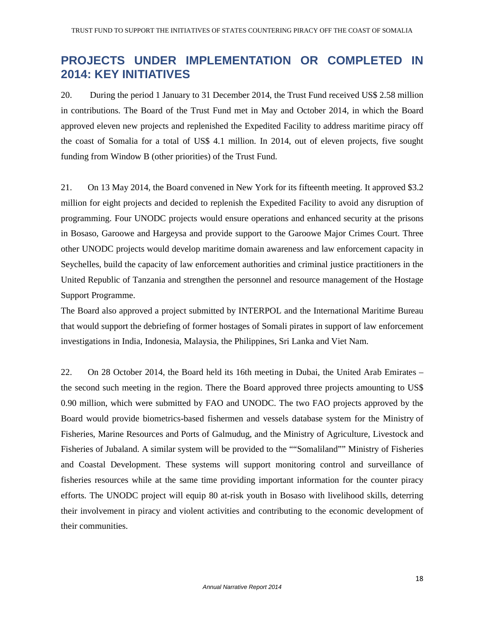# **PROJECTS UNDER IMPLEMENTATION OR COMPLETED IN 2014: KEY INITIATIVES**

20. During the period 1 January to 31 December 2014, the Trust Fund received US\$ 2.58 million in contributions. The Board of the Trust Fund met in May and October 2014, in which the Board approved eleven new projects and replenished the Expedited Facility to address maritime piracy off the coast of Somalia for a total of US\$ 4.1 million. In 2014, out of eleven projects, five sought funding from Window B (other priorities) of the Trust Fund.

21. On 13 May 2014, the Board convened in New York for its fifteenth meeting. It approved \$3.2 million for eight projects and decided to replenish the Expedited Facility to avoid any disruption of programming. Four UNODC projects would ensure operations and enhanced security at the prisons in Bosaso, Garoowe and Hargeysa and provide support to the Garoowe Major Crimes Court. Three other UNODC projects would develop maritime domain awareness and law enforcement capacity in Seychelles, build the capacity of law enforcement authorities and criminal justice practitioners in the United Republic of Tanzania and strengthen the personnel and resource management of the Hostage Support Programme.

The Board also approved a project submitted by INTERPOL and the International Maritime Bureau that would support the debriefing of former hostages of Somali pirates in support of law enforcement investigations in India, Indonesia, Malaysia, the Philippines, Sri Lanka and Viet Nam.

22. On 28 October 2014, the Board held its 16th meeting in Dubai, the United Arab Emirates – the second such meeting in the region. There the Board approved three projects amounting to US\$ 0.90 million, which were submitted by FAO and UNODC. The two FAO projects approved by the Board would provide biometrics-based fishermen and vessels database system for the Ministry of Fisheries, Marine Resources and Ports of Galmudug, and the Ministry of Agriculture, Livestock and Fisheries of Jubaland. A similar system will be provided to the ""Somaliland"" Ministry of Fisheries and Coastal Development. These systems will support monitoring control and surveillance of fisheries resources while at the same time providing important information for the counter piracy efforts. The UNODC project will equip 80 at-risk youth in Bosaso with livelihood skills, deterring their involvement in piracy and violent activities and contributing to the economic development of their communities.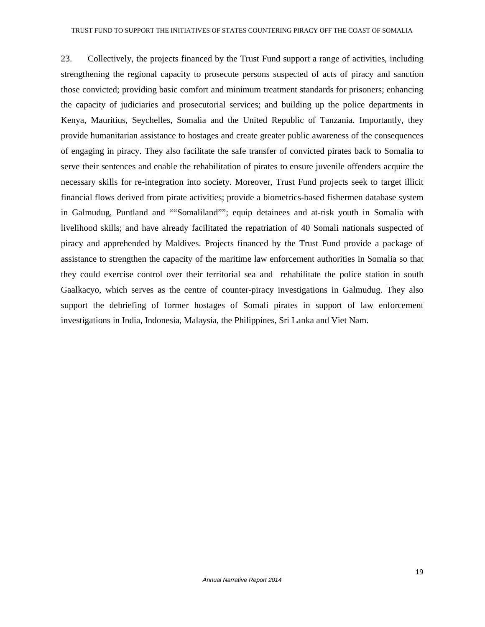23. Collectively, the projects financed by the Trust Fund support a range of activities, including strengthening the regional capacity to prosecute persons suspected of acts of piracy and sanction those convicted; providing basic comfort and minimum treatment standards for prisoners; enhancing the capacity of judiciaries and prosecutorial services; and building up the police departments in Kenya, Mauritius, Seychelles, Somalia and the United Republic of Tanzania. Importantly, they provide humanitarian assistance to hostages and create greater public awareness of the consequences of engaging in piracy. They also facilitate the safe transfer of convicted pirates back to Somalia to serve their sentences and enable the rehabilitation of pirates to ensure juvenile offenders acquire the necessary skills for re-integration into society. Moreover, Trust Fund projects seek to target illicit financial flows derived from pirate activities; provide a biometrics-based fishermen database system in Galmudug, Puntland and ""Somaliland""; equip detainees and at-risk youth in Somalia with livelihood skills; and have already facilitated the repatriation of 40 Somali nationals suspected of piracy and apprehended by Maldives. Projects financed by the Trust Fund provide a package of assistance to strengthen the capacity of the maritime law enforcement authorities in Somalia so that they could exercise control over their territorial sea and rehabilitate the police station in south Gaalkacyo, which serves as the centre of counter-piracy investigations in Galmudug. They also support the debriefing of former hostages of Somali pirates in support of law enforcement investigations in India, Indonesia, Malaysia, the Philippines, Sri Lanka and Viet Nam.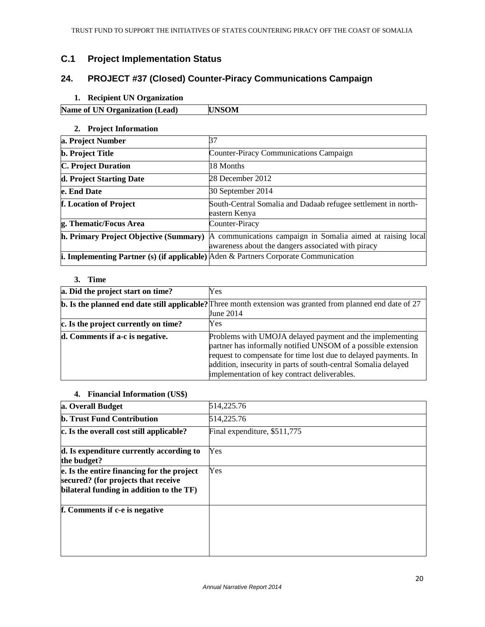# **C.1 Project Implementation Status**

# **24. PROJECT #37 (Closed) Counter-Piracy Communications Campaign**

# **1. Recipient UN Organization**

| Name of<br><b>Organization</b> (Lead)<br>IN O |  |
|-----------------------------------------------|--|
|                                               |  |

## **2. Project Information**

| a. Project Number                                                                                    | 37                                                                                                                |
|------------------------------------------------------------------------------------------------------|-------------------------------------------------------------------------------------------------------------------|
| <b>b.</b> Project Title                                                                              | <b>Counter-Piracy Communications Campaign</b>                                                                     |
| <b>C. Project Duration</b>                                                                           | 18 Months                                                                                                         |
| d. Project Starting Date                                                                             | 28 December 2012                                                                                                  |
| e. End Date                                                                                          | 30 September 2014                                                                                                 |
| f. Location of Project                                                                               | South-Central Somalia and Dadaab refugee settlement in north-<br>eastern Kenya                                    |
| g. Thematic/Focus Area                                                                               | Counter-Piracy                                                                                                    |
| h. Primary Project Objective (Summary)                                                               | A communications campaign in Somalia aimed at raising local<br>awareness about the dangers associated with piracy |
| <b>i. Implementing Partner (s) (if applicable)</b> $\text{Aden} \&$ Partners Corporate Communication |                                                                                                                   |

# **3. Time**

| a. Did the project start on time?    | <b>Yes</b>                                                                                                                                                                                                                                                                                                     |
|--------------------------------------|----------------------------------------------------------------------------------------------------------------------------------------------------------------------------------------------------------------------------------------------------------------------------------------------------------------|
|                                      | <b>b.</b> Is the planned end date still applicable? Three month extension was granted from planned end date of 27<br><b>June 2014</b>                                                                                                                                                                          |
| c. Is the project currently on time? | Yes                                                                                                                                                                                                                                                                                                            |
| d. Comments if a-c is negative.      | Problems with UMOJA delayed payment and the implementing<br>partner has informally notified UNSOM of a possible extension<br>request to compensate for time lost due to delayed payments. In<br>addition, insecurity in parts of south-central Somalia delayed<br>implementation of key contract deliverables. |

#### **4. Financial Information (US\$)**

| a. Overall Budget                                                                                                             | 514,225.76                   |
|-------------------------------------------------------------------------------------------------------------------------------|------------------------------|
| <b>b. Trust Fund Contribution</b>                                                                                             | 514,225.76                   |
| c. Is the overall cost still applicable?                                                                                      | Final expenditure, \$511,775 |
| d. Is expenditure currently according to<br>the budget?                                                                       | Yes                          |
| e. Is the entire financing for the project<br>secured? (for projects that receive<br>bilateral funding in addition to the TF) | Yes                          |
| f. Comments if c-e is negative                                                                                                |                              |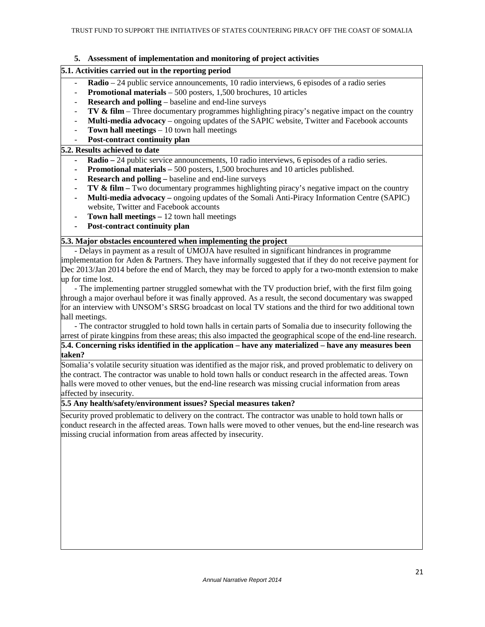#### **5. Assessment of implementation and monitoring of project activities**

#### **5.1. Activities carried out in the reporting period**

- **Radio** 24 public service announcements, 10 radio interviews, 6 episodes of a radio series
- **Promotional materials** 500 posters, 1,500 brochures, 10 articles
- **Research and polling** baseline and end-line surveys
- **TV & film** Three documentary programmes highlighting piracy's negative impact on the country
- **Multi-media advocacy** ongoing updates of the SAPIC website, Twitter and Facebook accounts
- **Town hall meetings**  10 town hall meetings
- Post-contract continuity plan

#### **5.2. Results achieved to date**

- **Radio** 24 public service announcements, 10 radio interviews, 6 episodes of a radio series.
- **Promotional materials 500 posters, 1,500 brochures and 10 articles published.**
- **Research and polling baseline and end-line surveys**
- **TV & film** Two documentary programmes highlighting piracy's negative impact on the country
- **Multi-media advocacy** ongoing updates of the Somali Anti-Piracy Information Centre (SAPIC) website, Twitter and Facebook accounts
- **Town hall meetings** 12 town hall meetings
- **Post-contract continuity plan**

#### **5.3. Major obstacles encountered when implementing the project**

- Delays in payment as a result of UMOJA have resulted in significant hindrances in programme implementation for Aden & Partners. They have informally suggested that if they do not receive payment for Dec 2013/Jan 2014 before the end of March, they may be forced to apply for a two-month extension to make up for time lost.

- The implementing partner struggled somewhat with the TV production brief, with the first film going through a major overhaul before it was finally approved. As a result, the second documentary was swapped for an interview with UNSOM's SRSG broadcast on local TV stations and the third for two additional town hall meetings.

- The contractor struggled to hold town halls in certain parts of Somalia due to insecurity following the arrest of pirate kingpins from these areas; this also impacted the geographical scope of the end-line research.

**5.4. Concerning risks identified in the application – have any materialized – have any measures been taken?** 

Somalia's volatile security situation was identified as the major risk, and proved problematic to delivery on the contract. The contractor was unable to hold town halls or conduct research in the affected areas. Town halls were moved to other venues, but the end-line research was missing crucial information from areas affected by insecurity.

#### **5.5 Any health/safety/environment issues? Special measures taken?**

Security proved problematic to delivery on the contract. The contractor was unable to hold town halls or conduct research in the affected areas. Town halls were moved to other venues, but the end-line research was missing crucial information from areas affected by insecurity.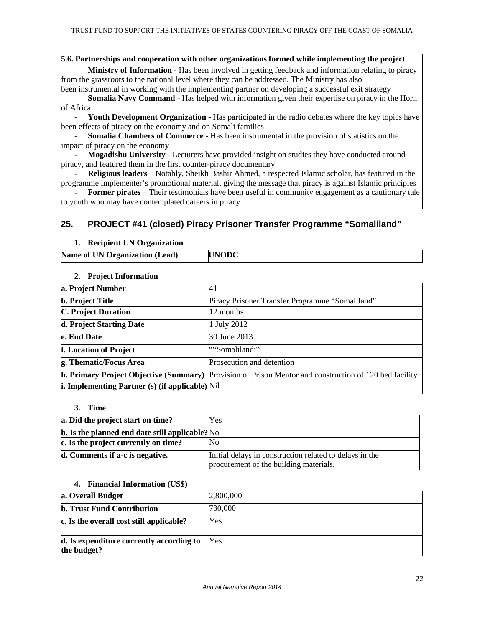#### **5.6. Partnerships and cooperation with other organizations formed while implementing the project**

**Ministry of Information** - Has been involved in getting feedback and information relating to piracy from the grassroots to the national level where they can be addressed. The Ministry has also

been instrumental in working with the implementing partner on developing a successful exit strategy **Somalia Navy Command** - Has helped with information given their expertise on piracy in the Horn

of Africa

Youth Development Organization - Has participated in the radio debates where the key topics have been effects of piracy on the economy and on Somali families

**Somalia Chambers of Commerce** - Has been instrumental in the provision of statistics on the impact of piracy on the economy

- **Mogadishu University** - Lecturers have provided insight on studies they have conducted around piracy, and featured them in the first counter-piracy documentary

- **Religious leaders** – Notably, Sheikh Bashir Ahmed, a respected Islamic scholar, has featured in the programme implementer's promotional material, giving the message that piracy is against Islamic principles

**Former pirates** – Their testimonials have been useful in community engagement as a cautionary tale to youth who may have contemplated careers in piracy

# **25. PROJECT #41 (closed) Piracy Prisoner Transfer Programme "Somaliland"**

#### **1. Recipient UN Organization**

| Name of UN Organization (Lead)<br><b>UNODC</b> |  |
|------------------------------------------------|--|
|------------------------------------------------|--|

#### **2. Project Information**

| a. Project Number                                      | 41                                                                                                     |
|--------------------------------------------------------|--------------------------------------------------------------------------------------------------------|
| <b>b.</b> Project Title                                | Piracy Prisoner Transfer Programme "Somaliland"                                                        |
| <b>C. Project Duration</b>                             | 12 months                                                                                              |
| d. Project Starting Date                               | 1 July 2012                                                                                            |
| e. End Date                                            | 30 June 2013                                                                                           |
| f. Location of Project                                 | ""Somaliland""                                                                                         |
| g. Thematic/Focus Area                                 | Prosecution and detention                                                                              |
|                                                        | h. Primary Project Objective (Summary) Provision of Prison Mentor and construction of 120 bed facility |
| <b>i. Implementing Partner (s) (if applicable)</b> Nil |                                                                                                        |

#### **3. Time**

| a. Did the project start on time?                          | Yes                                                                                               |
|------------------------------------------------------------|---------------------------------------------------------------------------------------------------|
| $\mathbf b$ . Is the planned end date still applicable? No |                                                                                                   |
| c. Is the project currently on time?                       | No                                                                                                |
| d. Comments if a-c is negative.                            | Initial delays in construction related to delays in the<br>procurement of the building materials. |

#### **4. Financial Information (US\$)**

| a. Overall Budget                                       | 2,800,000 |
|---------------------------------------------------------|-----------|
| <b>b. Trust Fund Contribution</b>                       | 730,000   |
| c. Is the overall cost still applicable?                | Yes       |
| d. Is expenditure currently according to<br>the budget? | Yes       |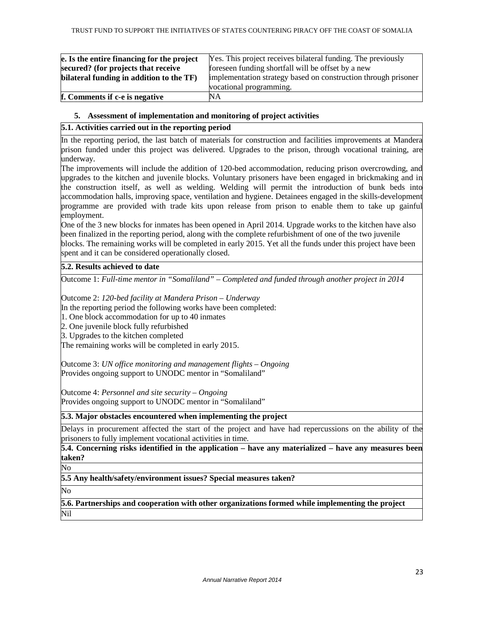| e. Is the entire financing for the project | Yes. This project receives bilateral funding. The previously   |
|--------------------------------------------|----------------------------------------------------------------|
| secured? (for projects that receive        | foreseen funding shortfall will be offset by a new             |
| bilateral funding in addition to the TF)   | implementation strategy based on construction through prisoner |
|                                            | vocational programming.                                        |
| f. Comments if c-e is negative             | NA                                                             |

#### **5. Assessment of implementation and monitoring of project activities**

## **5.1. Activities carried out in the reporting period**

In the reporting period, the last batch of materials for construction and facilities improvements at Mandera prison funded under this project was delivered. Upgrades to the prison, through vocational training, are underway.

The improvements will include the addition of 120-bed accommodation, reducing prison overcrowding, and upgrades to the kitchen and juvenile blocks. Voluntary prisoners have been engaged in brickmaking and in the construction itself, as well as welding. Welding will permit the introduction of bunk beds into accommodation halls, improving space, ventilation and hygiene. Detainees engaged in the skills-development programme are provided with trade kits upon release from prison to enable them to take up gainful employment.

One of the 3 new blocks for inmates has been opened in April 2014. Upgrade works to the kitchen have also been finalized in the reporting period, along with the complete refurbishment of one of the two juvenile blocks. The remaining works will be completed in early 2015. Yet all the funds under this project have been spent and it can be considered operationally closed.

#### **5.2. Results achieved to date**

Outcome 1: *Full-time mentor in "Somaliland" – Completed and funded through another project in 2014*

Outcome 2: *120-bed facility at Mandera Prison – Underway*

In the reporting period the following works have been completed:

1. One block accommodation for up to 40 inmates

2. One juvenile block fully refurbished

3. Upgrades to the kitchen completed

The remaining works will be completed in early 2015.

Outcome 3: *UN office monitoring and management flights – Ongoing* Provides ongoing support to UNODC mentor in "Somaliland"

Outcome 4: *Personnel and site security – Ongoing*  Provides ongoing support to UNODC mentor in "Somaliland"

#### **5.3. Major obstacles encountered when implementing the project**

Delays in procurement affected the start of the project and have had repercussions on the ability of the prisoners to fully implement vocational activities in time.

**5.4. Concerning risks identified in the application – have any materialized – have any measures been taken?** 

No

**5.5 Any health/safety/environment issues? Special measures taken?** 

No

**5.6. Partnerships and cooperation with other organizations formed while implementing the project**  Nil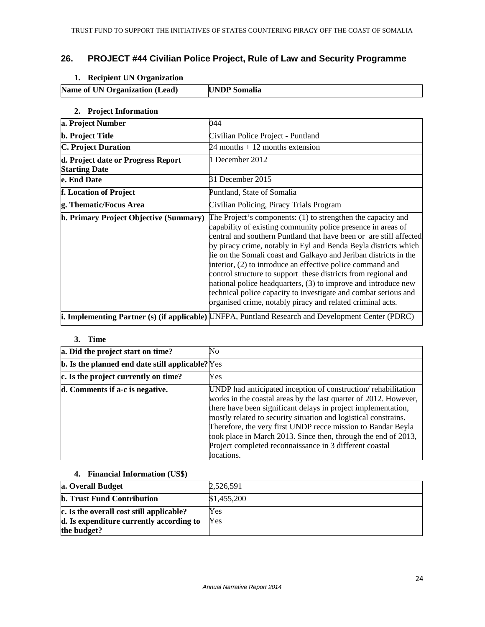# **26. PROJECT #44 Civilian Police Project, Rule of Law and Security Programme**

# **1. Recipient UN Organization**

| <b>Name of UN Organization (Lead)</b> | <b>UNDP</b> Somalia |
|---------------------------------------|---------------------|

#### **2. Project Information**

| a. Project Number                                          | 044                                                                                                                                                                                                                                                                                                                                                                                                                                                                                                                                                                                                                                                                          |
|------------------------------------------------------------|------------------------------------------------------------------------------------------------------------------------------------------------------------------------------------------------------------------------------------------------------------------------------------------------------------------------------------------------------------------------------------------------------------------------------------------------------------------------------------------------------------------------------------------------------------------------------------------------------------------------------------------------------------------------------|
| <b>b.</b> Project Title                                    | Civilian Police Project - Puntland                                                                                                                                                                                                                                                                                                                                                                                                                                                                                                                                                                                                                                           |
| <b>C. Project Duration</b>                                 | $24$ months $+12$ months extension                                                                                                                                                                                                                                                                                                                                                                                                                                                                                                                                                                                                                                           |
| d. Project date or Progress Report<br><b>Starting Date</b> | 1 December 2012                                                                                                                                                                                                                                                                                                                                                                                                                                                                                                                                                                                                                                                              |
| e. End Date                                                | 31 December 2015                                                                                                                                                                                                                                                                                                                                                                                                                                                                                                                                                                                                                                                             |
| f. Location of Project                                     | Puntland, State of Somalia                                                                                                                                                                                                                                                                                                                                                                                                                                                                                                                                                                                                                                                   |
| g. Thematic/Focus Area                                     | Civilian Policing, Piracy Trials Program                                                                                                                                                                                                                                                                                                                                                                                                                                                                                                                                                                                                                                     |
| h. Primary Project Objective (Summary)                     | The Project's components: (1) to strengthen the capacity and<br>capability of existing community police presence in areas of<br>central and southern Puntland that have been or are still affected<br>by piracy crime, notably in Eyl and Benda Beyla districts which<br>lie on the Somali coast and Galkayo and Jeriban districts in the<br>interior, (2) to introduce an effective police command and<br>control structure to support these districts from regional and<br>national police headquarters, (3) to improve and introduce new<br>technical police capacity to investigate and combat serious and<br>organised crime, notably piracy and related criminal acts. |
|                                                            | i. Implementing Partner (s) (if applicable) UNFPA, Puntland Research and Development Center (PDRC)                                                                                                                                                                                                                                                                                                                                                                                                                                                                                                                                                                           |

#### **3. Time**

| a. Did the project start on time?                       | No                                                                                                                                                                                                                                                                                                                                                                                                                                                                               |
|---------------------------------------------------------|----------------------------------------------------------------------------------------------------------------------------------------------------------------------------------------------------------------------------------------------------------------------------------------------------------------------------------------------------------------------------------------------------------------------------------------------------------------------------------|
| <b>b.</b> Is the planned end date still applicable? Yes |                                                                                                                                                                                                                                                                                                                                                                                                                                                                                  |
| c. Is the project currently on time?                    | Yes                                                                                                                                                                                                                                                                                                                                                                                                                                                                              |
| d. Comments if a-c is negative.                         | UNDP had anticipated inception of construction/rehabilitation<br>works in the coastal areas by the last quarter of 2012. However,<br>there have been significant delays in project implementation,<br>mostly related to security situation and logistical constrains.<br>Therefore, the very first UNDP recce mission to Bandar Beyla<br>took place in March 2013. Since then, through the end of 2013,<br>Project completed reconnaissance in 3 different coastal<br>locations. |

#### **4. Financial Information (US\$)**

| a. Overall Budget                                       | 2,526,591   |
|---------------------------------------------------------|-------------|
| <b>b. Trust Fund Contribution</b>                       | \$1,455,200 |
| c. Is the overall cost still applicable?                | Yes         |
| d. Is expenditure currently according to<br>the budget? | Yes         |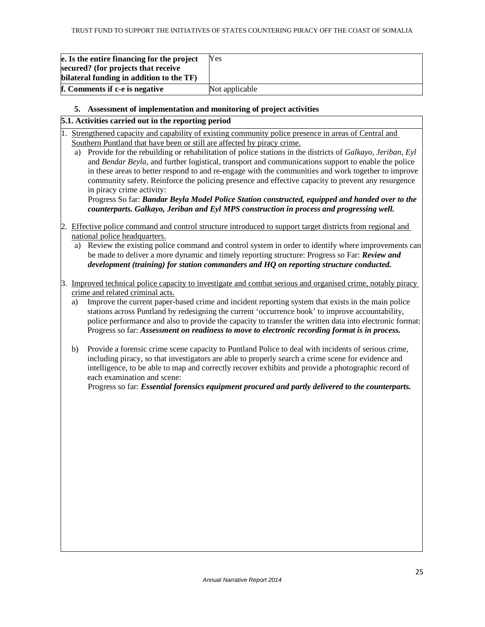| e. Is the entire financing for the project                                      | Yes            |
|---------------------------------------------------------------------------------|----------------|
| secured? (for projects that receive<br>bilateral funding in addition to the TF) |                |
| f. Comments if c-e is negative                                                  | Not applicable |

#### **5. Assessment of implementation and monitoring of project activities**

#### **5.1. Activities carried out in the reporting period**

1. Strengthened capacity and capability of existing community police presence in areas of Central and Southern Puntland that have been or still are affected by piracy crime.

a) Provide for the rebuilding or rehabilitation of police stations in the districts of *Galkayo, Jeriban, Eyl* and *Bendar Beyla*, and further logistical, transport and communications support to enable the police in these areas to better respond to and re-engage with the communities and work together to improve community safety. Reinforce the policing presence and effective capacity to prevent any resurgence in piracy crime activity:

Progress So far: *Bandar Beyla Model Police Station constructed, equipped and handed over to the counterparts. Galkayo, Jeriban and Eyl MPS construction in process and progressing well.* 

- 2. Effective police command and control structure introduced to support target districts from regional and national police headquarters.
	- a) Review the existing police command and control system in order to identify where improvements can be made to deliver a more dynamic and timely reporting structure: Progress so Far: *Review and development (training) for station commanders and HQ on reporting structure conducted.*
- 3. Improved technical police capacity to investigate and combat serious and organised crime, notably piracy crime and related criminal acts.
	- a) Improve the current paper-based crime and incident reporting system that exists in the main police stations across Puntland by redesigning the current 'occurrence book' to improve accountability, police performance and also to provide the capacity to transfer the written data into electronic format: Progress so far: *Assessment on readiness to move to electronic recording format is in process.*
	- b) Provide a forensic crime scene capacity to Puntland Police to deal with incidents of serious crime, including piracy, so that investigators are able to properly search a crime scene for evidence and intelligence, to be able to map and correctly recover exhibits and provide a photographic record of each examination and scene:

Progress so far: *Essential forensics equipment procured and partly delivered to the counterparts.*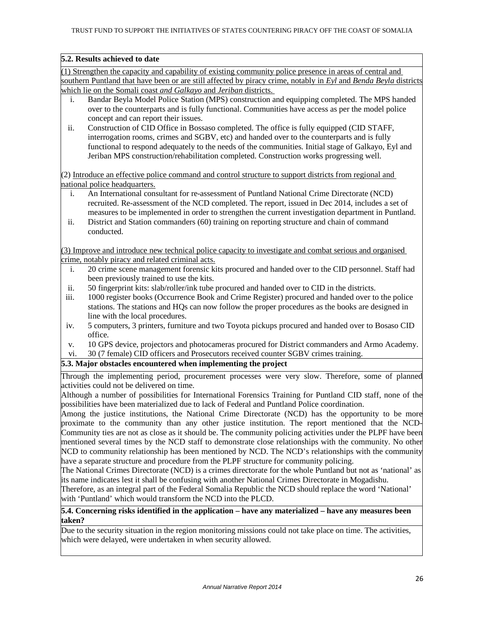#### **5.2. Results achieved to date**

(1) Strengthen the capacity and capability of existing community police presence in areas of central and southern Puntland that have been or are still affected by piracy crime, notably in *Eyl* and *Benda Beyla* districts which lie on the Somali coast *and Galkayo* and *Jeriban* districts.

- i. Bandar Beyla Model Police Station (MPS) construction and equipping completed. The MPS handed over to the counterparts and is fully functional. Communities have access as per the model police concept and can report their issues.
- ii. Construction of CID Office in Bossaso completed. The office is fully equipped (CID STAFF, interrogation rooms, crimes and SGBV, etc) and handed over to the counterparts and is fully functional to respond adequately to the needs of the communities. Initial stage of Galkayo, Eyl and Jeriban MPS construction/rehabilitation completed. Construction works progressing well.

(2) Introduce an effective police command and control structure to support districts from regional and national police headquarters.

- i. An International consultant for re-assessment of Puntland National Crime Directorate (NCD) recruited. Re-assessment of the NCD completed. The report, issued in Dec 2014, includes a set of measures to be implemented in order to strengthen the current investigation department in Puntland.
- ii. District and Station commanders (60) training on reporting structure and chain of command conducted.

(3) Improve and introduce new technical police capacity to investigate and combat serious and organised crime, notably piracy and related criminal acts.

- i. 20 crime scene management forensic kits procured and handed over to the CID personnel. Staff had been previously trained to use the kits.
- ii. 50 fingerprint kits: slab/roller/ink tube procured and handed over to CID in the districts.
- iii. 1000 register books (Occurrence Book and Crime Register) procured and handed over to the police stations. The stations and HQs can now follow the proper procedures as the books are designed in line with the local procedures.
- iv. 5 computers, 3 printers, furniture and two Toyota pickups procured and handed over to Bosaso CID office.
- v. 10 GPS device, projectors and photocameras procured for District commanders and Armo Academy.

vi. 30 (7 female) CID officers and Prosecutors received counter SGBV crimes training.

#### **5.3. Major obstacles encountered when implementing the project**

Through the implementing period, procurement processes were very slow. Therefore, some of planned activities could not be delivered on time.

Although a number of possibilities for International Forensics Training for Puntland CID staff, none of the possibilities have been materialized due to lack of Federal and Puntland Police coordination.

Among the justice institutions, the National Crime Directorate (NCD) has the opportunity to be more proximate to the community than any other justice institution. The report mentioned that the NCD-Community ties are not as close as it should be. The community policing activities under the PLPF have been mentioned several times by the NCD staff to demonstrate close relationships with the community. No other NCD to community relationship has been mentioned by NCD. The NCD's relationships with the community have a separate structure and procedure from the PLPF structure for community policing.

The National Crimes Directorate (NCD) is a crimes directorate for the whole Puntland but not as 'national' as its name indicates lest it shall be confusing with another National Crimes Directorate in Mogadishu.

Therefore, as an integral part of the Federal Somalia Republic the NCD should replace the word 'National' with 'Puntland' which would transform the NCD into the PLCD.

#### **5.4. Concerning risks identified in the application – have any materialized – have any measures been taken?**

Due to the security situation in the region monitoring missions could not take place on time. The activities, which were delayed, were undertaken in when security allowed.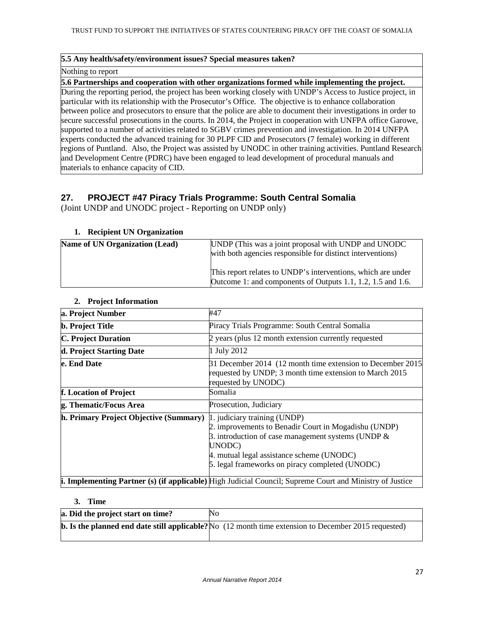#### **5.5 Any health/safety/environment issues? Special measures taken?**

#### Nothing to report

**5.6 Partnerships and cooperation with other organizations formed while implementing the project.**  During the reporting period, the project has been working closely with UNDP's Access to Justice project, in particular with its relationship with the Prosecutor's Office. The objective is to enhance collaboration between police and prosecutors to ensure that the police are able to document their investigations in order to secure successful prosecutions in the courts. In 2014, the Project in cooperation with UNFPA office Garowe, supported to a number of activities related to SGBV crimes prevention and investigation. In 2014 UNFPA experts conducted the advanced training for 30 PLPF CID and Prosecutors (7 female) working in different regions of Puntland. Also, the Project was assisted by UNODC in other training activities. Puntland Research and Development Centre (PDRC) have been engaged to lead development of procedural manuals and materials to enhance capacity of CID.

# **27. PROJECT #47 Piracy Trials Programme: South Central Somalia**

(Joint UNDP and UNODC project - Reporting on UNDP only)

#### **1. Recipient UN Organization**

| <b>Name of UN Organization (Lead)</b> | UNDP (This was a joint proposal with UNDP and UNODC<br>with both agencies responsible for distinct interventions)           |
|---------------------------------------|-----------------------------------------------------------------------------------------------------------------------------|
|                                       | This report relates to UNDP's interventions, which are under<br>Outcome 1: and components of Outputs 1.1, 1.2, 1.5 and 1.6. |

#### **2. Project Information**

| a. Project Number                      | #47                                                                                                                                                                                                                                                     |
|----------------------------------------|---------------------------------------------------------------------------------------------------------------------------------------------------------------------------------------------------------------------------------------------------------|
| <b>b.</b> Project Title                | Piracy Trials Programme: South Central Somalia                                                                                                                                                                                                          |
| <b>C. Project Duration</b>             | 2 years (plus 12 month extension currently requested                                                                                                                                                                                                    |
| d. Project Starting Date               | 1 July 2012                                                                                                                                                                                                                                             |
| e. End Date                            | 31 December 2014 (12 month time extension to December 2015)<br>requested by UNDP; 3 month time extension to March 2015<br>requested by UNODC)                                                                                                           |
| f. Location of Project                 | Somalia                                                                                                                                                                                                                                                 |
| g. Thematic/Focus Area                 | Prosecution, Judiciary                                                                                                                                                                                                                                  |
| h. Primary Project Objective (Summary) | 1. judiciary training (UNDP)<br>2. improvements to Benadir Court in Mogadishu (UNDP)<br>3. introduction of case management systems (UNDP $\&$<br>UNODC)<br>4. mutual legal assistance scheme (UNODC)<br>5. legal frameworks on piracy completed (UNODC) |
|                                        | i. Implementing Partner (s) (if applicable) High Judicial Council; Supreme Court and Ministry of Justice                                                                                                                                                |

#### **3. Time**

| a. Did the project start on time? | No                                                                                                                             |
|-----------------------------------|--------------------------------------------------------------------------------------------------------------------------------|
|                                   | <b>b.</b> Is the planned end date still applicable? No $(12 \text{ month time extension to December } 2015 \text{ requested})$ |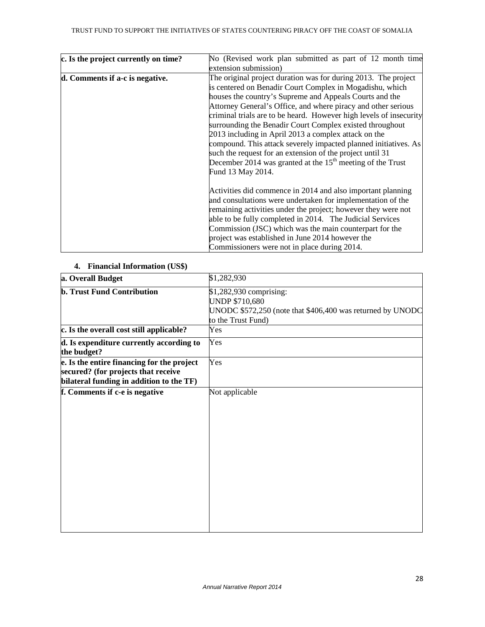| c. Is the project currently on time? | No (Revised work plan submitted as part of 12 month time           |
|--------------------------------------|--------------------------------------------------------------------|
|                                      | extension submission)                                              |
| d. Comments if a-c is negative.      | The original project duration was for during 2013. The project     |
|                                      | is centered on Benadir Court Complex in Mogadishu, which           |
|                                      | houses the country's Supreme and Appeals Courts and the            |
|                                      | Attorney General's Office, and where piracy and other serious      |
|                                      | criminal trials are to be heard. However high levels of insecurity |
|                                      | surrounding the Benadir Court Complex existed throughout           |
|                                      | 2013 including in April 2013 a complex attack on the               |
|                                      | compound. This attack severely impacted planned initiatives. As    |
|                                      | such the request for an extension of the project until 31          |
|                                      | December 2014 was granted at the $15th$ meeting of the Trust       |
|                                      | Fund 13 May 2014.                                                  |
|                                      | Activities did commence in 2014 and also important planning        |
|                                      | and consultations were undertaken for implementation of the        |
|                                      | remaining activities under the project; however they were not      |
|                                      | able to be fully completed in 2014. The Judicial Services          |
|                                      | Commission (JSC) which was the main counterpart for the            |
|                                      | project was established in June 2014 however the                   |
|                                      | Commissioners were not in place during 2014.                       |

#### **4. Financial Information (US\$)**

| a. Overall Budget                                                                                                             | \$1,282,930                                                                                                                          |
|-------------------------------------------------------------------------------------------------------------------------------|--------------------------------------------------------------------------------------------------------------------------------------|
| <b>b. Trust Fund Contribution</b>                                                                                             | \$1,282,930 comprising:<br><b>UNDP \$710,680</b><br>UNODC \$572,250 (note that \$406,400 was returned by UNODC<br>to the Trust Fund) |
| c. Is the overall cost still applicable?                                                                                      | Yes                                                                                                                                  |
| d. Is expenditure currently according to<br>the budget?                                                                       | Yes                                                                                                                                  |
| e. Is the entire financing for the project<br>secured? (for projects that receive<br>bilateral funding in addition to the TF) | Yes                                                                                                                                  |
| f. Comments if c-e is negative                                                                                                | Not applicable                                                                                                                       |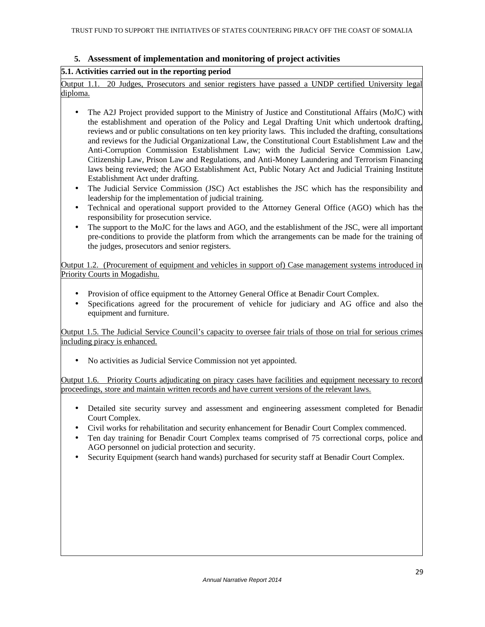### **5. Assessment of implementation and monitoring of project activities**

#### **5.1. Activities carried out in the reporting period**

Output 1.1. 20 Judges, Prosecutors and senior registers have passed a UNDP certified University legal diploma.

- The A2J Project provided support to the Ministry of Justice and Constitutional Affairs (MoJC) with the establishment and operation of the Policy and Legal Drafting Unit which undertook drafting, reviews and or public consultations on ten key priority laws. This included the drafting, consultations and reviews for the Judicial Organizational Law, the Constitutional Court Establishment Law and the Anti-Corruption Commission Establishment Law; with the Judicial Service Commission Law, Citizenship Law, Prison Law and Regulations, and Anti-Money Laundering and Terrorism Financing laws being reviewed; the AGO Establishment Act, Public Notary Act and Judicial Training Institute Establishment Act under drafting.
- The Judicial Service Commission (JSC) Act establishes the JSC which has the responsibility and leadership for the implementation of judicial training.
- Technical and operational support provided to the Attorney General Office (AGO) which has the responsibility for prosecution service.
- The support to the MoJC for the laws and AGO, and the establishment of the JSC, were all important pre-conditions to provide the platform from which the arrangements can be made for the training of the judges, prosecutors and senior registers.

Output 1.2. (Procurement of equipment and vehicles in support of) Case management systems introduced in Priority Courts in Mogadishu.

- Provision of office equipment to the Attorney General Office at Benadir Court Complex.
- Specifications agreed for the procurement of vehicle for judiciary and AG office and also the equipment and furniture.

Output 1.5. The Judicial Service Council's capacity to oversee fair trials of those on trial for serious crimes including piracy is enhanced.

• No activities as Judicial Service Commission not yet appointed.

Output 1.6. Priority Courts adjudicating on piracy cases have facilities and equipment necessary to record proceedings, store and maintain written records and have current versions of the relevant laws.

- Detailed site security survey and assessment and engineering assessment completed for Benadir Court Complex.
- Civil works for rehabilitation and security enhancement for Benadir Court Complex commenced.
- Ten day training for Benadir Court Complex teams comprised of 75 correctional corps, police and AGO personnel on judicial protection and security.
- Security Equipment (search hand wands) purchased for security staff at Benadir Court Complex.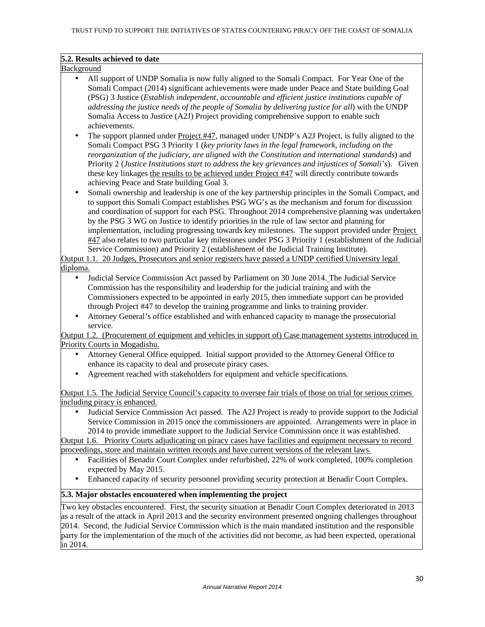#### **5.2. Results achieved to date**

Background

- All support of UNDP Somalia is now fully aligned to the Somali Compact. For Year One of the Somali Compact (2014) significant achievements were made under Peace and State building Goal (PSG) 3 Justice (*Establish independent, accountable and efficient justice institutions capable of addressing the justice needs of the people of Somalia by delivering justice for all*) with the UNDP Somalia Access to Justice (A2J) Project providing comprehensive support to enable such achievements.
- The support planned under Project #47, managed under UNDP's A2J Project, is fully aligned to the Somali Compact PSG 3 Priority 1 (*key priority laws in the legal framework, including on the reorganization of the judiciary, are aligned with the Constitution and international standards*) and Priority 2 (*Justice Institutions start to address the key grievances and injustices of Somali's*). Given these key linkages the results to be achieved under Project #47 will directly contribute towards achieving Peace and State building Goal 3.
- Somali ownership and leadership is one of the key partnership principles in the Somali Compact, and to support this Somali Compact establishes PSG WG's as the mechanism and forum for discussion and coordination of support for each PSG. Throughout 2014 comprehensive planning was undertaken by the PSG 3 WG on Justice to identify priorities in the rule of law sector and planning for implementation, including progressing towards key milestones. The support provided under Project #47 also relates to two particular key milestones under PSG 3 Priority 1 (establishment of the Judicial Service Commission) and Priority 2 (establishment of the Judicial Training Institute).

Output 1.1. 20 Judges, Prosecutors and senior registers have passed a UNDP certified University legal diploma.

- Judicial Service Commission Act passed by Parliament on 30 June 2014. The Judicial Service Commission has the responsibility and leadership for the judicial training and with the Commissioners expected to be appointed in early 2015, then immediate support can be provided through Project #47 to develop the training programme and links to training provider.
- Attorney General's office established and with enhanced capacity to manage the prosecutorial service.

Output 1.2. (Procurement of equipment and vehicles in support of) Case management systems introduced in Priority Courts in Mogadishu.

- Attorney General Office equipped. Initial support provided to the Attorney General Office to enhance its capacity to deal and prosecute piracy cases.
- Agreement reached with stakeholders for equipment and vehicle specifications.

Output 1.5. The Judicial Service Council's capacity to oversee fair trials of those on trial for serious crimes including piracy is enhanced.

• Judicial Service Commission Act passed. The A2J Project is ready to provide support to the Judicial Service Commission in 2015 once the commissioners are appointed. Arrangements were in place in 2014 to provide immediate support to the Judicial Service Commission once it was established.

Output 1.6. Priority Courts adjudicating on piracy cases have facilities and equipment necessary to record proceedings, store and maintain written records and have current versions of the relevant laws.

- Facilities of Benadir Court Complex under refurbished, 22% of work completed, 100% completion expected by May 2015.
- Enhanced capacity of security personnel providing security protection at Benadir Court Complex.

#### **5.3. Major obstacles encountered when implementing the project**

Two key obstacles encountered. First, the security situation at Benadir Court Complex deteriorated in 2013 as a result of the attack in April 2013 and the security environment presented ongoing challenges throughout 2014. Second, the Judicial Service Commission which is the main mandated institution and the responsible party for the implementation of the much of the activities did not become, as had been expected, operational in 2014.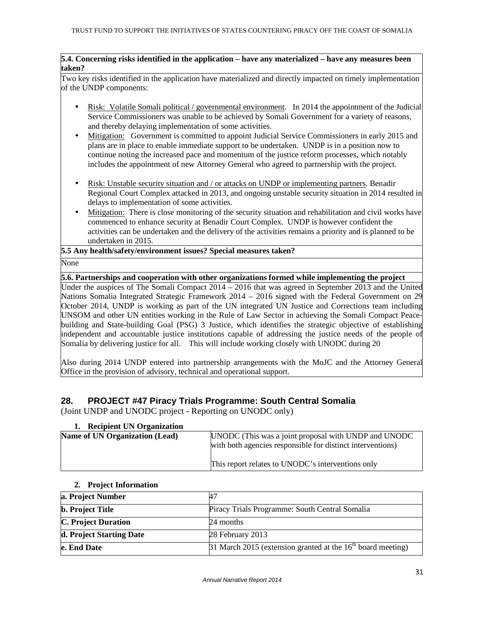#### **5.4. Concerning risks identified in the application – have any materialized – have any measures been taken?**

Two key risks identified in the application have materialized and directly impacted on timely implementation of the UNDP components:

- Risk: Volatile Somali political / governmental environment. In 2014 the appointment of the Judicial Service Commissioners was unable to be achieved by Somali Government for a variety of reasons, and thereby delaying implementation of some activities.
- Mitigation: Government is committed to appoint Judicial Service Commissioners in early 2015 and plans are in place to enable immediate support to be undertaken. UNDP is in a position now to continue noting the increased pace and momentum of the justice reform processes, which notably includes the appointment of new Attorney General who agreed to partnership with the project.
- Risk: Unstable security situation and / or attacks on UNDP or implementing partners. Benadir Regional Court Complex attacked in 2013, and ongoing unstable security situation in 2014 resulted in delays to implementation of some activities.
- Mitigation: There is close monitoring of the security situation and rehabilitation and civil works have commenced to enhance security at Benadir Court Complex. UNDP is however confident the activities can be undertaken and the delivery of the activities remains a priority and is planned to be undertaken in 2015.

#### **5.5 Any health/safety/environment issues? Special measures taken?**

#### None

#### **5.6. Partnerships and cooperation with other organizations formed while implementing the project**

Under the auspices of The Somali Compact 2014 – 2016 that was agreed in September 2013 and the United Nations Somalia Integrated Strategic Framework 2014 – 2016 signed with the Federal Government on 29 October 2014, UNDP is working as part of the UN integrated UN Justice and Corrections team including UNSOM and other UN entities working in the Rule of Law Sector in achieving the Somali Compact Peacebuilding and State-building Goal (PSG) 3 Justice, which identifies the strategic objective of establishing independent and accountable justice institutions capable of addressing the justice needs of the people of Somalia by delivering justice for all. This will include working closely with UNODC during 20

Also during 2014 UNDP entered into partnership arrangements with the MoJC and the Attorney General Office in the provision of advisory, technical and operational support.

# **28. PROJECT #47 Piracy Trials Programme: South Central Somalia**

(Joint UNDP and UNODC project - Reporting on UNODC only)

| 1. Recipient UN Organization          |                                                                                                                     |
|---------------------------------------|---------------------------------------------------------------------------------------------------------------------|
| <b>Name of UN Organization (Lead)</b> | UNODC (This was a joint proposal with UNDP and UNODC)<br>with both agencies responsible for distinct interventions) |
|                                       | This report relates to UNODC's interventions only                                                                   |

# **2. Project Information**

| a. Project Number          |                                                               |
|----------------------------|---------------------------------------------------------------|
| <b>b.</b> Project Title    | Piracy Trials Programme: South Central Somalia                |
| <b>C. Project Duration</b> | 24 months                                                     |
| d. Project Starting Date   | 28 February 2013                                              |
| e. End Date                | 31 March 2015 (extension granted at the $16th$ board meeting) |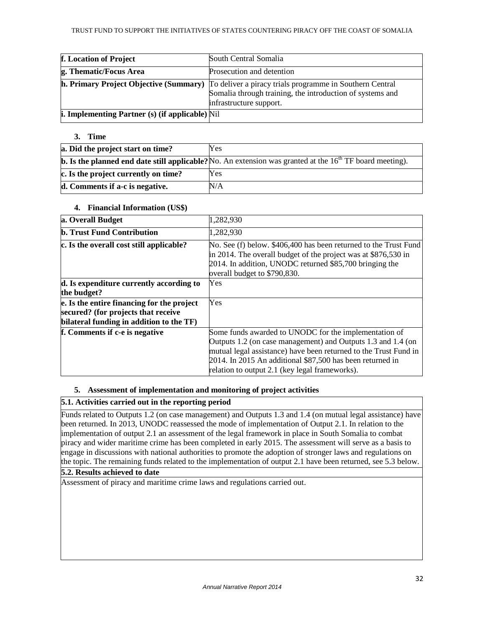| f. Location of Project                                 | South Central Somalia                                                                                                                                                                          |
|--------------------------------------------------------|------------------------------------------------------------------------------------------------------------------------------------------------------------------------------------------------|
| g. Thematic/Focus Area                                 | Prosecution and detention                                                                                                                                                                      |
|                                                        | <b>h. Primary Project Objective (Summary)</b> To deliver a piracy trials programme in Southern Central<br>Somalia through training, the introduction of systems and<br>infrastructure support. |
| <b>i. Implementing Partner (s) (if applicable)</b> Nil |                                                                                                                                                                                                |

#### **3. Time**

| a. Did the project start on time?    | Yes                                                                                                               |
|--------------------------------------|-------------------------------------------------------------------------------------------------------------------|
|                                      | <b>b.</b> Is the planned end date still applicable? No. An extension was granted at the $16th TF$ board meeting). |
| c. Is the project currently on time? | Yes                                                                                                               |
| d. Comments if a-c is negative.      | N/A                                                                                                               |

#### **4. Financial Information (US\$)**

| a. Overall Budget                                                                                                             | 1,282,930                                                                                                                                                                                                                                                                                                |
|-------------------------------------------------------------------------------------------------------------------------------|----------------------------------------------------------------------------------------------------------------------------------------------------------------------------------------------------------------------------------------------------------------------------------------------------------|
| <b>b. Trust Fund Contribution</b>                                                                                             | 1,282,930                                                                                                                                                                                                                                                                                                |
| c. Is the overall cost still applicable?                                                                                      | No. See (f) below. \$406,400 has been returned to the Trust Fund<br>in 2014. The overall budget of the project was at \$876,530 in<br>2014. In addition, UNODC returned \$85,700 bringing the<br>overall budget to \$790,830.                                                                            |
| d. Is expenditure currently according to<br>the budget?                                                                       | Yes                                                                                                                                                                                                                                                                                                      |
| e. Is the entire financing for the project<br>secured? (for projects that receive<br>bilateral funding in addition to the TF) | Yes                                                                                                                                                                                                                                                                                                      |
| f. Comments if c-e is negative                                                                                                | Some funds awarded to UNODC for the implementation of<br>Outputs 1.2 (on case management) and Outputs 1.3 and 1.4 (on<br>mutual legal assistance) have been returned to the Trust Fund in<br>2014. In 2015 An additional \$87,500 has been returned in<br>relation to output 2.1 (key legal frameworks). |

#### **5. Assessment of implementation and monitoring of project activities**

#### **5.1. Activities carried out in the reporting period**

Funds related to Outputs 1.2 (on case management) and Outputs 1.3 and 1.4 (on mutual legal assistance) have been returned. In 2013, UNODC reassessed the mode of implementation of Output 2.1. In relation to the implementation of output 2.1 an assessment of the legal framework in place in South Somalia to combat piracy and wider maritime crime has been completed in early 2015. The assessment will serve as a basis to engage in discussions with national authorities to promote the adoption of stronger laws and regulations on the topic. The remaining funds related to the implementation of output 2.1 have been returned, see 5.3 below.

# **5.2. Results achieved to date**

Assessment of piracy and maritime crime laws and regulations carried out.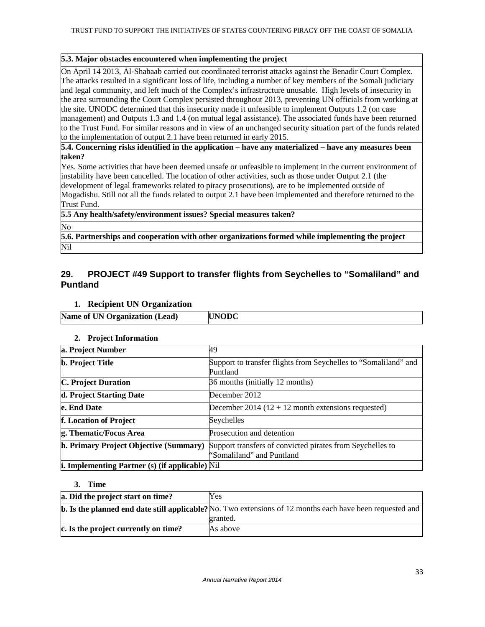#### **5.3. Major obstacles encountered when implementing the project**

On April 14 2013, Al-Shabaab carried out coordinated terrorist attacks against the Benadir Court Complex. The attacks resulted in a significant loss of life, including a number of key members of the Somali judiciary and legal community, and left much of the Complex's infrastructure unusable. High levels of insecurity in the area surrounding the Court Complex persisted throughout 2013, preventing UN officials from working at the site. UNODC determined that this insecurity made it unfeasible to implement Outputs 1.2 (on case management) and Outputs 1.3 and 1.4 (on mutual legal assistance). The associated funds have been returned to the Trust Fund. For similar reasons and in view of an unchanged security situation part of the funds related to the implementation of output 2.1 have been returned in early 2015.

**5.4. Concerning risks identified in the application – have any materialized – have any measures been taken?** 

Yes. Some activities that have been deemed unsafe or unfeasible to implement in the current environment of instability have been cancelled. The location of other activities, such as those under Output 2.1 (the development of legal frameworks related to piracy prosecutions), are to be implemented outside of Mogadishu. Still not all the funds related to output 2.1 have been implemented and therefore returned to the Trust Fund.

## **5.5 Any health/safety/environment issues? Special measures taken?**

No

**5.6. Partnerships and cooperation with other organizations formed while implementing the project**  Nil

#### **29. PROJECT #49 Support to transfer flights from Seychelles to "Somaliland" and Puntland**

#### **1. Recipient UN Organization**

| <b>Name of UN Organization (Lead)</b> | <b>UNODC</b> |
|---------------------------------------|--------------|
|---------------------------------------|--------------|

#### **2. Project Information**

| a. Project Number                                                 | 49                                                                          |
|-------------------------------------------------------------------|-----------------------------------------------------------------------------|
| <b>b.</b> Project Title                                           | Support to transfer flights from Seychelles to "Somaliland" and<br>Puntland |
| <b>C. Project Duration</b>                                        | 36 months (initially 12 months)                                             |
| d. Project Starting Date                                          | December 2012                                                               |
| e. End Date                                                       | December 2014 ( $12 + 12$ month extensions requested)                       |
| f. Location of Project                                            | Seychelles                                                                  |
| g. Thematic/Focus Area                                            | Prosecution and detention                                                   |
| h. Primary Project Objective (Summary)                            | Support transfers of convicted pirates from Seychelles to                   |
|                                                                   | "Somaliland" and Puntland                                                   |
| <b>i.</b> Implementing Partner $(s)$ (if applicable) $\text{Nil}$ |                                                                             |

#### **3. Time**

| a. Did the project start on time?    | Yes                                                                                                              |
|--------------------------------------|------------------------------------------------------------------------------------------------------------------|
|                                      | <b>b.</b> Is the planned end date still applicable? No. Two extensions of 12 months each have been requested and |
|                                      | granted.                                                                                                         |
| c. Is the project currently on time? | As above                                                                                                         |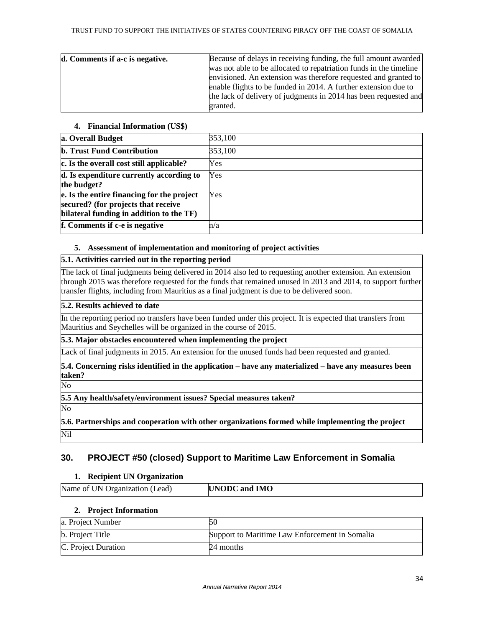| d. Comments if a-c is negative. | Because of delays in receiving funding, the full amount awarded    |
|---------------------------------|--------------------------------------------------------------------|
|                                 | was not able to be allocated to repatriation funds in the timeline |
|                                 | envisioned. An extension was therefore requested and granted to    |
|                                 | enable flights to be funded in 2014. A further extension due to    |
|                                 | the lack of delivery of judgments in 2014 has been requested and   |
|                                 | granted.                                                           |

#### **4. Financial Information (US\$)**

| a. Overall Budget                                                                                                             | 353,100 |
|-------------------------------------------------------------------------------------------------------------------------------|---------|
| <b>b. Trust Fund Contribution</b>                                                                                             | 353,100 |
| c. Is the overall cost still applicable?                                                                                      | Yes     |
| d. Is expenditure currently according to<br>the budget?                                                                       | Yes     |
| e. Is the entire financing for the project<br>secured? (for projects that receive<br>bilateral funding in addition to the TF) | Yes     |
| f. Comments if c-e is negative                                                                                                | n/a     |

#### **5. Assessment of implementation and monitoring of project activities**

#### **5.1. Activities carried out in the reporting period**

The lack of final judgments being delivered in 2014 also led to requesting another extension. An extension through 2015 was therefore requested for the funds that remained unused in 2013 and 2014, to support further transfer flights, including from Mauritius as a final judgment is due to be delivered soon.

# **5.2. Results achieved to date**

In the reporting period no transfers have been funded under this project. It is expected that transfers from Mauritius and Seychelles will be organized in the course of 2015.

## **5.3. Major obstacles encountered when implementing the project**

Lack of final judgments in 2015. An extension for the unused funds had been requested and granted.

**5.4. Concerning risks identified in the application – have any materialized – have any measures been taken?** 

No

**5.5 Any health/safety/environment issues? Special measures taken?** 

No

**5.6. Partnerships and cooperation with other organizations formed while implementing the project**  Nil

# **30. PROJECT #50 (closed) Support to Maritime Law Enforcement in Somalia**

#### **1. Recipient UN Organization**

| Name of UN Organization (Lead) | <b>UNODC</b> and <b>IMO</b> |
|--------------------------------|-----------------------------|

#### **2. Project Information**

| a. Project Number       |                                                |
|-------------------------|------------------------------------------------|
| <b>b.</b> Project Title | Support to Maritime Law Enforcement in Somalia |
| C. Project Duration     | 24 months                                      |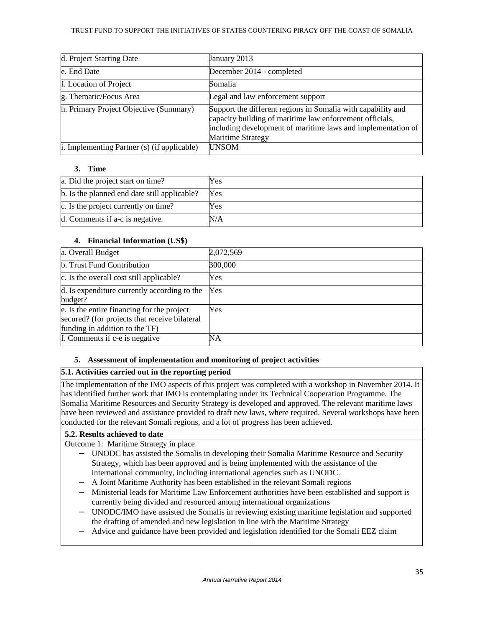| d. Project Starting Date                    | January 2013                                                                                                                                                                                                         |
|---------------------------------------------|----------------------------------------------------------------------------------------------------------------------------------------------------------------------------------------------------------------------|
| e. End Date                                 | December 2014 - completed                                                                                                                                                                                            |
| f. Location of Project                      | Somalia                                                                                                                                                                                                              |
| g. Thematic/Focus Area                      | Legal and law enforcement support                                                                                                                                                                                    |
| h. Primary Project Objective (Summary)      | Support the different regions in Somalia with capability and<br>capacity building of maritime law enforcement officials,<br>including development of maritime laws and implementation of<br><b>Maritime Strategy</b> |
| i. Implementing Partner (s) (if applicable) | <b>UNSOM</b>                                                                                                                                                                                                         |

#### **3. Time**

| a. Did the project start on time?            | Yes |
|----------------------------------------------|-----|
| b. Is the planned end date still applicable? | Yes |
| c. Is the project currently on time?         | Yes |
| d. Comments if a-c is negative.              | N/A |

#### **4. Financial Information (US\$)**

| a. Overall Budget                                                                                                             | 2,072,569 |
|-------------------------------------------------------------------------------------------------------------------------------|-----------|
| <b>b.</b> Trust Fund Contribution                                                                                             | 300,000   |
| c. Is the overall cost still applicable?                                                                                      | Yes       |
| d. Is expenditure currently according to the<br>budget?                                                                       | Yes       |
| e. Is the entire financing for the project<br>secured? (for projects that receive bilateral<br>funding in addition to the TF) | Yes       |
| f. Comments if c-e is negative                                                                                                | NΑ        |

#### **5. Assessment of implementation and monitoring of project activities**

#### **5.1. Activities carried out in the reporting period**

The implementation of the IMO aspects of this project was completed with a workshop in November 2014. It has identified further work that IMO is contemplating under its Technical Cooperation Programme. The Somalia Maritime Resources and Security Strategy is developed and approved. The relevant maritime laws have been reviewed and assistance provided to draft new laws, where required. Several workshops have been conducted for the relevant Somali regions, and a lot of progress has been achieved.

#### **5.2. Results achieved to date**

Outcome 1: Maritime Strategy in place

- − UNODC has assisted the Somalis in developing their Somalia Maritime Resource and Security Strategy, which has been approved and is being implemented with the assistance of the international community, including international agencies such as UNODC.
- − A Joint Maritime Authority has been established in the relevant Somali regions
- Ministerial leads for Maritime Law Enforcement authorities have been established and support is currently being divided and resourced among international organizations
- − UNODC/IMO have assisted the Somalis in reviewing existing maritime legislation and supported the drafting of amended and new legislation in line with the Maritime Strategy
- Advice and guidance have been provided and legislation identified for the Somali EEZ claim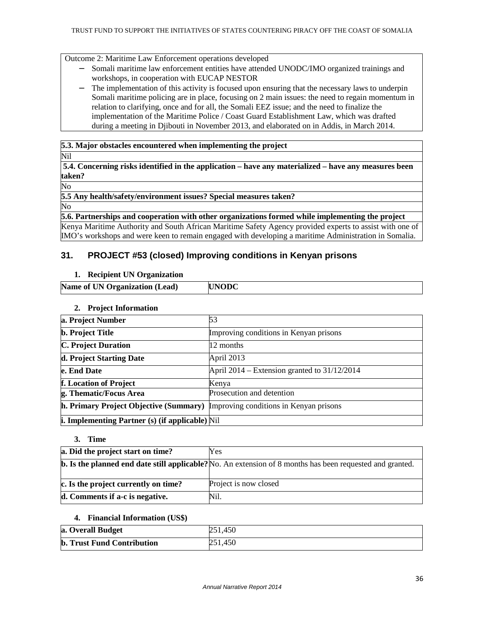Outcome 2: Maritime Law Enforcement operations developed

- − Somali maritime law enforcement entities have attended UNODC/IMO organized trainings and workshops, in cooperation with EUCAP NESTOR
- The implementation of this activity is focused upon ensuring that the necessary laws to underpin Somali maritime policing are in place, focusing on 2 main issues: the need to regain momentum in relation to clarifying, once and for all, the Somali EEZ issue; and the need to finalize the implementation of the Maritime Police / Coast Guard Establishment Law, which was drafted during a meeting in Djibouti in November 2013, and elaborated on in Addis, in March 2014.

#### **5.3. Major obstacles encountered when implementing the project**

Nil

**5.4. Concerning risks identified in the application – have any materialized – have any measures been taken?** 

No

**5.5 Any health/safety/environment issues? Special measures taken?** 

No

**5.6. Partnerships and cooperation with other organizations formed while implementing the project**  Kenya Maritime Authority and South African Maritime Safety Agency provided experts to assist with one of IMO's workshops and were keen to remain engaged with developing a maritime Administration in Somalia.

# **31. PROJECT #53 (closed) Improving conditions in Kenyan prisons**

#### **1. Recipient UN Organization**

| Name of UN Organization (Lead) | $\Lambda$ NODC |
|--------------------------------|----------------|
|                                |                |

#### **2. Project Information**

| a. Project Number                                                                    | 53                                             |
|--------------------------------------------------------------------------------------|------------------------------------------------|
| <b>b.</b> Project Title                                                              | Improving conditions in Kenyan prisons         |
| <b>C. Project Duration</b>                                                           | 12 months                                      |
| d. Project Starting Date                                                             | April 2013                                     |
| e. End Date                                                                          | April 2014 – Extension granted to $31/12/2014$ |
| f. Location of Project                                                               | Kenya                                          |
| g. Thematic/Focus Area                                                               | Prosecution and detention                      |
| <b>h. Primary Project Objective (Summary)</b> Improving conditions in Kenyan prisons |                                                |
| <b>i.</b> Implementing Partner $(s)$ (if applicable) Nil                             |                                                |

#### **3. Time**

| a. Did the project start on time?    | Yes                                                                                                              |
|--------------------------------------|------------------------------------------------------------------------------------------------------------------|
|                                      | <b>b.</b> Is the planned end date still applicable? No. An extension of 8 months has been requested and granted. |
| c. Is the project currently on time? | Project is now closed                                                                                            |
| d. Comments if a-c is negative.      | Nil.                                                                                                             |

#### **4. Financial Information (US\$)**

| a. Overall Budget                 | 251,450 |
|-----------------------------------|---------|
| <b>b. Trust Fund Contribution</b> | 251,450 |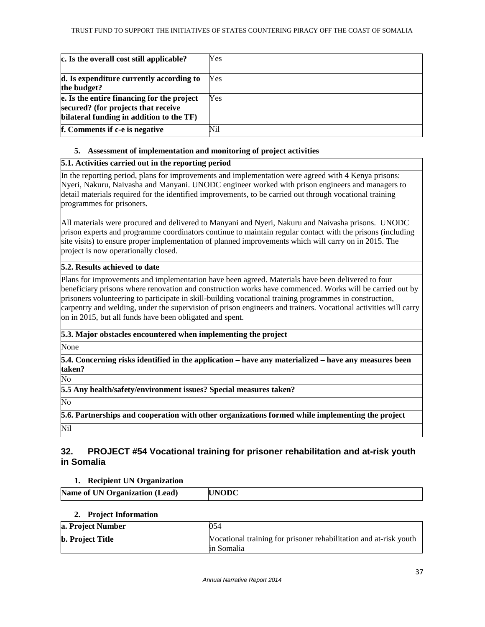| c. Is the overall cost still applicable?                                                                                      | Yes |
|-------------------------------------------------------------------------------------------------------------------------------|-----|
|                                                                                                                               |     |
| d. Is expenditure currently according to<br>the budget?                                                                       | Yes |
| e. Is the entire financing for the project<br>secured? (for projects that receive<br>bilateral funding in addition to the TF) | Yes |
| f. Comments if c-e is negative                                                                                                | Nil |

## **5. Assessment of implementation and monitoring of project activities**

## **5.1. Activities carried out in the reporting period**

In the reporting period, plans for improvements and implementation were agreed with 4 Kenya prisons: Nyeri, Nakuru, Naivasha and Manyani. UNODC engineer worked with prison engineers and managers to detail materials required for the identified improvements, to be carried out through vocational training programmes for prisoners.

All materials were procured and delivered to Manyani and Nyeri, Nakuru and Naivasha prisons. UNODC prison experts and programme coordinators continue to maintain regular contact with the prisons (including site visits) to ensure proper implementation of planned improvements which will carry on in 2015. The project is now operationally closed.

## **5.2. Results achieved to date**

Plans for improvements and implementation have been agreed. Materials have been delivered to four beneficiary prisons where renovation and construction works have commenced. Works will be carried out by prisoners volunteering to participate in skill-building vocational training programmes in construction, carpentry and welding, under the supervision of prison engineers and trainers. Vocational activities will carry on in 2015, but all funds have been obligated and spent.

## **5.3. Major obstacles encountered when implementing the project**

None

**5.4. Concerning risks identified in the application – have any materialized – have any measures been taken?** 

No

**5.5 Any health/safety/environment issues? Special measures taken?** 

No

**5.6. Partnerships and cooperation with other organizations formed while implementing the project**  Nil

## **32. PROJECT #54 Vocational training for prisoner rehabilitation and at-risk youth in Somalia**

## **1. Recipient UN Organization**

| <b>Name of UN Organization (Lead)</b> | <b>INODC</b> |
|---------------------------------------|--------------|
|                                       |              |

## **2. Project Information**

| a. Project Number       | 054                                                               |
|-------------------------|-------------------------------------------------------------------|
| <b>b.</b> Project Title | Vocational training for prisoner rehabilitation and at-risk youth |
|                         | in Somalia                                                        |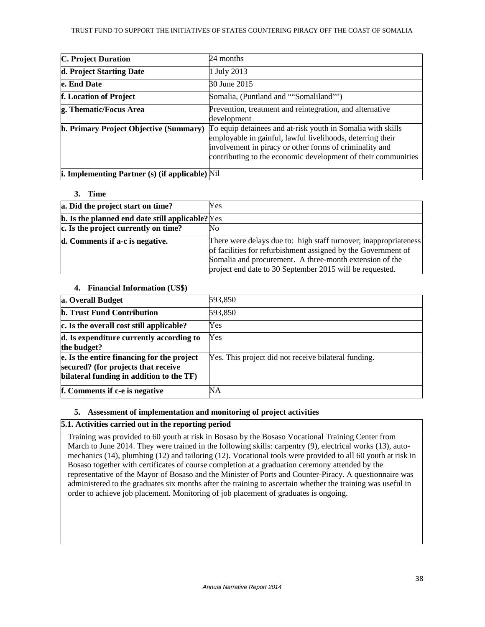| <b>C. Project Duration</b>                             | 24 months                                                                                                                                                                                                                                             |
|--------------------------------------------------------|-------------------------------------------------------------------------------------------------------------------------------------------------------------------------------------------------------------------------------------------------------|
| d. Project Starting Date                               | 1 July 2013                                                                                                                                                                                                                                           |
| e. End Date                                            | 30 June 2015                                                                                                                                                                                                                                          |
| f. Location of Project                                 | Somalia, (Puntland and ""Somaliland"")                                                                                                                                                                                                                |
| g. Thematic/Focus Area                                 | Prevention, treatment and reintegration, and alternative<br>development                                                                                                                                                                               |
| h. Primary Project Objective (Summary)                 | To equip detainees and at-risk youth in Somalia with skills<br>employable in gainful, lawful livelihoods, deterring their<br>involvement in piracy or other forms of criminality and<br>contributing to the economic development of their communities |
| <b>i. Implementing Partner (s) (if applicable)</b> Nil |                                                                                                                                                                                                                                                       |

### **3. Time**

| a. Did the project start on time?                       | Yes                                                              |
|---------------------------------------------------------|------------------------------------------------------------------|
| <b>b.</b> Is the planned end date still applicable? Yes |                                                                  |
| c. Is the project currently on time?                    | No                                                               |
| d. Comments if a-c is negative.                         | There were delays due to: high staff turnover; inappropriateness |
|                                                         | of facilities for refurbishment assigned by the Government of    |
|                                                         | Somalia and procurement. A three-month extension of the          |
|                                                         | project end date to 30 September 2015 will be requested.         |

## **4. Financial Information (US\$)**

| a. Overall Budget                          | 593,850                                              |
|--------------------------------------------|------------------------------------------------------|
| <b>b. Trust Fund Contribution</b>          | 593,850                                              |
| c. Is the overall cost still applicable?   | Yes                                                  |
| d. Is expenditure currently according to   | Yes                                                  |
| the budget?                                |                                                      |
| e. Is the entire financing for the project | Yes. This project did not receive bilateral funding. |
| secured? (for projects that receive        |                                                      |
| bilateral funding in addition to the TF)   |                                                      |
| f. Comments if c-e is negative             | NΑ                                                   |

## **5. Assessment of implementation and monitoring of project activities**

## **5.1. Activities carried out in the reporting period**

Training was provided to 60 youth at risk in Bosaso by the Bosaso Vocational Training Center from March to June 2014. They were trained in the following skills: carpentry (9), electrical works (13), automechanics (14), plumbing (12) and tailoring (12). Vocational tools were provided to all 60 youth at risk in Bosaso together with certificates of course completion at a graduation ceremony attended by the representative of the Mayor of Bosaso and the Minister of Ports and Counter-Piracy. A questionnaire was administered to the graduates six months after the training to ascertain whether the training was useful in order to achieve job placement. Monitoring of job placement of graduates is ongoing.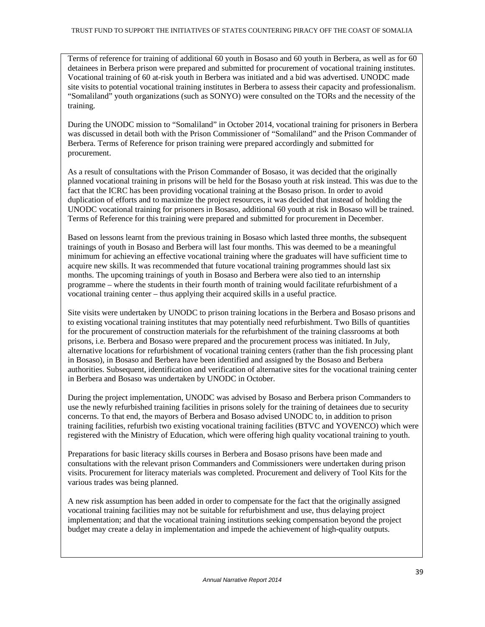Terms of reference for training of additional 60 youth in Bosaso and 60 youth in Berbera, as well as for 60 detainees in Berbera prison were prepared and submitted for procurement of vocational training institutes. Vocational training of 60 at-risk youth in Berbera was initiated and a bid was advertised. UNODC made site visits to potential vocational training institutes in Berbera to assess their capacity and professionalism. "Somaliland" youth organizations (such as SONYO) were consulted on the TORs and the necessity of the training.

During the UNODC mission to "Somaliland" in October 2014, vocational training for prisoners in Berbera was discussed in detail both with the Prison Commissioner of "Somaliland" and the Prison Commander of Berbera. Terms of Reference for prison training were prepared accordingly and submitted for procurement.

As a result of consultations with the Prison Commander of Bosaso, it was decided that the originally planned vocational training in prisons will be held for the Bosaso youth at risk instead. This was due to the fact that the ICRC has been providing vocational training at the Bosaso prison. In order to avoid duplication of efforts and to maximize the project resources, it was decided that instead of holding the UNODC vocational training for prisoners in Bosaso, additional 60 youth at risk in Bosaso will be trained. Terms of Reference for this training were prepared and submitted for procurement in December.

Based on lessons learnt from the previous training in Bosaso which lasted three months, the subsequent trainings of youth in Bosaso and Berbera will last four months. This was deemed to be a meaningful minimum for achieving an effective vocational training where the graduates will have sufficient time to acquire new skills. It was recommended that future vocational training programmes should last six months. The upcoming trainings of youth in Bosaso and Berbera were also tied to an internship programme – where the students in their fourth month of training would facilitate refurbishment of a vocational training center – thus applying their acquired skills in a useful practice.

Site visits were undertaken by UNODC to prison training locations in the Berbera and Bosaso prisons and to existing vocational training institutes that may potentially need refurbishment. Two Bills of quantities for the procurement of construction materials for the refurbishment of the training classrooms at both prisons, i.e. Berbera and Bosaso were prepared and the procurement process was initiated. In July, alternative locations for refurbishment of vocational training centers (rather than the fish processing plant in Bosaso), in Bosaso and Berbera have been identified and assigned by the Bosaso and Berbera authorities. Subsequent, identification and verification of alternative sites for the vocational training center in Berbera and Bosaso was undertaken by UNODC in October.

During the project implementation, UNODC was advised by Bosaso and Berbera prison Commanders to use the newly refurbished training facilities in prisons solely for the training of detainees due to security concerns. To that end, the mayors of Berbera and Bosaso advised UNODC to, in addition to prison training facilities, refurbish two existing vocational training facilities (BTVC and YOVENCO) which were registered with the Ministry of Education, which were offering high quality vocational training to youth.

Preparations for basic literacy skills courses in Berbera and Bosaso prisons have been made and consultations with the relevant prison Commanders and Commissioners were undertaken during prison visits. Procurement for literacy materials was completed. Procurement and delivery of Tool Kits for the various trades was being planned.

A new risk assumption has been added in order to compensate for the fact that the originally assigned vocational training facilities may not be suitable for refurbishment and use, thus delaying project implementation; and that the vocational training institutions seeking compensation beyond the project budget may create a delay in implementation and impede the achievement of high-quality outputs.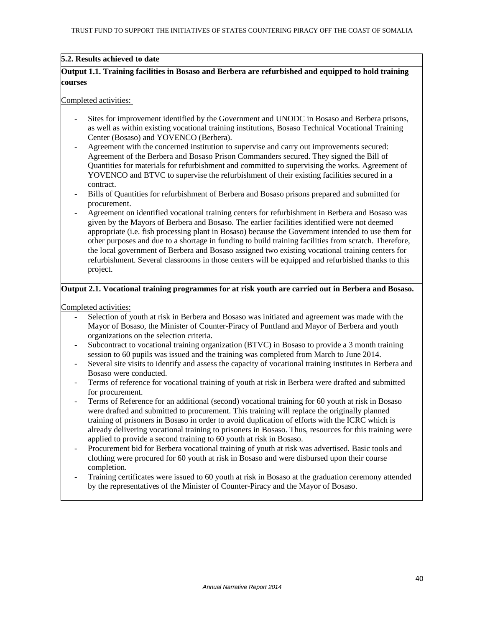## **5.2. Results achieved to date**

## **Output 1.1. Training facilities in Bosaso and Berbera are refurbished and equipped to hold training courses**

#### Completed activities:

- Sites for improvement identified by the Government and UNODC in Bosaso and Berbera prisons, as well as within existing vocational training institutions, Bosaso Technical Vocational Training Center (Bosaso) and YOVENCO (Berbera).
- Agreement with the concerned institution to supervise and carry out improvements secured: Agreement of the Berbera and Bosaso Prison Commanders secured. They signed the Bill of Quantities for materials for refurbishment and committed to supervising the works. Agreement of YOVENCO and BTVC to supervise the refurbishment of their existing facilities secured in a contract.
- Bills of Quantities for refurbishment of Berbera and Bosaso prisons prepared and submitted for procurement.
- Agreement on identified vocational training centers for refurbishment in Berbera and Bosaso was given by the Mayors of Berbera and Bosaso. The earlier facilities identified were not deemed appropriate (i.e. fish processing plant in Bosaso) because the Government intended to use them for other purposes and due to a shortage in funding to build training facilities from scratch. Therefore, the local government of Berbera and Bosaso assigned two existing vocational training centers for refurbishment. Several classrooms in those centers will be equipped and refurbished thanks to this project.

### **Output 2.1. Vocational training programmes for at risk youth are carried out in Berbera and Bosaso.**

Completed activities:

- Selection of youth at risk in Berbera and Bosaso was initiated and agreement was made with the Mayor of Bosaso, the Minister of Counter-Piracy of Puntland and Mayor of Berbera and youth organizations on the selection criteria.
- Subcontract to vocational training organization (BTVC) in Bosaso to provide a 3 month training session to 60 pupils was issued and the training was completed from March to June 2014.
- Several site visits to identify and assess the capacity of vocational training institutes in Berbera and Bosaso were conducted.
- Terms of reference for vocational training of youth at risk in Berbera were drafted and submitted for procurement.
- Terms of Reference for an additional (second) vocational training for 60 youth at risk in Bosaso were drafted and submitted to procurement. This training will replace the originally planned training of prisoners in Bosaso in order to avoid duplication of efforts with the ICRC which is already delivering vocational training to prisoners in Bosaso. Thus, resources for this training were applied to provide a second training to 60 youth at risk in Bosaso.
- Procurement bid for Berbera vocational training of youth at risk was advertised. Basic tools and clothing were procured for 60 youth at risk in Bosaso and were disbursed upon their course completion.
- Training certificates were issued to 60 youth at risk in Bosaso at the graduation ceremony attended by the representatives of the Minister of Counter-Piracy and the Mayor of Bosaso.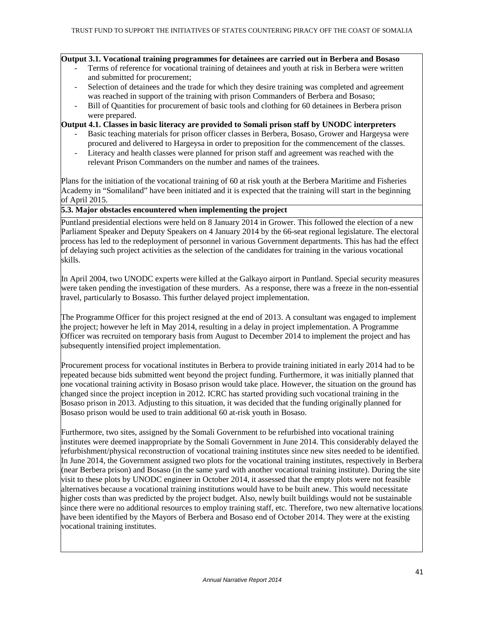## **Output 3.1. Vocational training programmes for detainees are carried out in Berbera and Bosaso**

- Terms of reference for vocational training of detainees and youth at risk in Berbera were written and submitted for procurement;
- Selection of detainees and the trade for which they desire training was completed and agreement was reached in support of the training with prison Commanders of Berbera and Bosaso;
- Bill of Quantities for procurement of basic tools and clothing for 60 detainees in Berbera prison were prepared.

### **Output 4.1. Classes in basic literacy are provided to Somali prison staff by UNODC interpreters**

- Basic teaching materials for prison officer classes in Berbera, Bosaso, Grower and Hargeysa were procured and delivered to Hargeysa in order to preposition for the commencement of the classes.
- Literacy and health classes were planned for prison staff and agreement was reached with the relevant Prison Commanders on the number and names of the trainees.

Plans for the initiation of the vocational training of 60 at risk youth at the Berbera Maritime and Fisheries Academy in "Somaliland" have been initiated and it is expected that the training will start in the beginning of April 2015.

## **5.3. Major obstacles encountered when implementing the project**

Puntland presidential elections were held on 8 January 2014 in Grower. This followed the election of a new Parliament Speaker and Deputy Speakers on 4 January 2014 by the 66-seat regional legislature. The electoral process has led to the redeployment of personnel in various Government departments. This has had the effect of delaying such project activities as the selection of the candidates for training in the various vocational skills.

In April 2004, two UNODC experts were killed at the Galkayo airport in Puntland. Special security measures were taken pending the investigation of these murders. As a response, there was a freeze in the non-essential travel, particularly to Bosasso. This further delayed project implementation.

The Programme Officer for this project resigned at the end of 2013. A consultant was engaged to implement the project; however he left in May 2014, resulting in a delay in project implementation. A Programme Officer was recruited on temporary basis from August to December 2014 to implement the project and has subsequently intensified project implementation.

Procurement process for vocational institutes in Berbera to provide training initiated in early 2014 had to be repeated because bids submitted went beyond the project funding. Furthermore, it was initially planned that one vocational training activity in Bosaso prison would take place. However, the situation on the ground has changed since the project inception in 2012. ICRC has started providing such vocational training in the Bosaso prison in 2013. Adjusting to this situation, it was decided that the funding originally planned for Bosaso prison would be used to train additional 60 at-risk youth in Bosaso.

Furthermore, two sites, assigned by the Somali Government to be refurbished into vocational training institutes were deemed inappropriate by the Somali Government in June 2014. This considerably delayed the refurbishment/physical reconstruction of vocational training institutes since new sites needed to be identified. In June 2014, the Government assigned two plots for the vocational training institutes, respectively in Berbera (near Berbera prison) and Bosaso (in the same yard with another vocational training institute). During the site visit to these plots by UNODC engineer in October 2014, it assessed that the empty plots were not feasible alternatives because a vocational training institutions would have to be built anew. This would necessitate higher costs than was predicted by the project budget. Also, newly built buildings would not be sustainable since there were no additional resources to employ training staff, etc. Therefore, two new alternative locations have been identified by the Mayors of Berbera and Bosaso end of October 2014. They were at the existing vocational training institutes.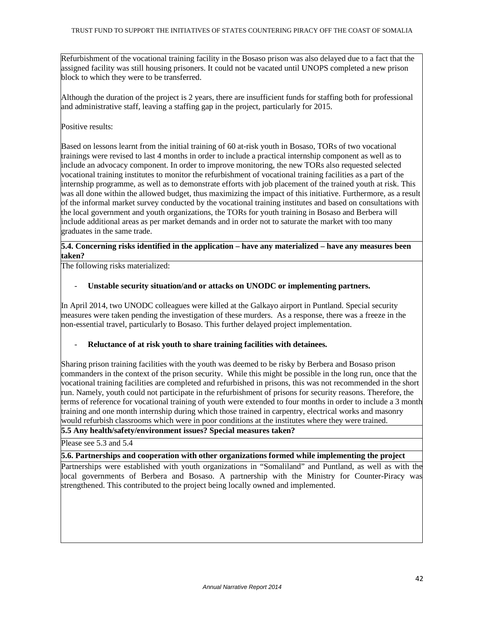Refurbishment of the vocational training facility in the Bosaso prison was also delayed due to a fact that the assigned facility was still housing prisoners. It could not be vacated until UNOPS completed a new prison block to which they were to be transferred.

Although the duration of the project is 2 years, there are insufficient funds for staffing both for professional and administrative staff, leaving a staffing gap in the project, particularly for 2015.

## Positive results:

Based on lessons learnt from the initial training of 60 at-risk youth in Bosaso, TORs of two vocational trainings were revised to last 4 months in order to include a practical internship component as well as to include an advocacy component. In order to improve monitoring, the new TORs also requested selected vocational training institutes to monitor the refurbishment of vocational training facilities as a part of the internship programme, as well as to demonstrate efforts with job placement of the trained youth at risk. This was all done within the allowed budget, thus maximizing the impact of this initiative. Furthermore, as a result of the informal market survey conducted by the vocational training institutes and based on consultations with the local government and youth organizations, the TORs for youth training in Bosaso and Berbera will include additional areas as per market demands and in order not to saturate the market with too many graduates in the same trade.

## **5.4. Concerning risks identified in the application – have any materialized – have any measures been taken?**

The following risks materialized:

## - **Unstable security situation/and or attacks on UNODC or implementing partners.**

In April 2014, two UNODC colleagues were killed at the Galkayo airport in Puntland. Special security measures were taken pending the investigation of these murders. As a response, there was a freeze in the non-essential travel, particularly to Bosaso. This further delayed project implementation.

### - **Reluctance of at risk youth to share training facilities with detainees.**

Sharing prison training facilities with the youth was deemed to be risky by Berbera and Bosaso prison commanders in the context of the prison security. While this might be possible in the long run, once that the vocational training facilities are completed and refurbished in prisons, this was not recommended in the short run. Namely, youth could not participate in the refurbishment of prisons for security reasons. Therefore, the terms of reference for vocational training of youth were extended to four months in order to include a 3 month training and one month internship during which those trained in carpentry, electrical works and masonry would refurbish classrooms which were in poor conditions at the institutes where they were trained.

## **5.5 Any health/safety/environment issues? Special measures taken?**

Please see 5.3 and 5.4

### **5.6. Partnerships and cooperation with other organizations formed while implementing the project**

Partnerships were established with youth organizations in "Somaliland" and Puntland, as well as with the local governments of Berbera and Bosaso. A partnership with the Ministry for Counter-Piracy was strengthened. This contributed to the project being locally owned and implemented.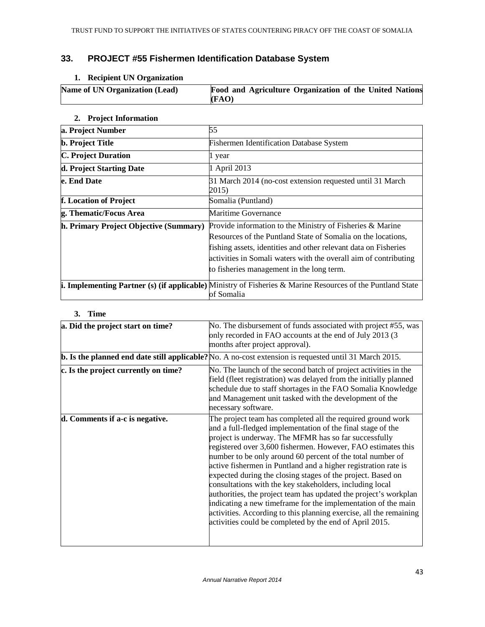# **33. PROJECT #55 Fishermen Identification Database System**

## **1. Recipient UN Organization**

| <b>Name of UN Organization (Lead)</b> | Food and Agriculture Organization of the United Nations |
|---------------------------------------|---------------------------------------------------------|
|                                       | (FAO)                                                   |

## **2. Project Information**

| a. Project Number                      | 55                                                                                                                                                                                                                                                                                                            |
|----------------------------------------|---------------------------------------------------------------------------------------------------------------------------------------------------------------------------------------------------------------------------------------------------------------------------------------------------------------|
| <b>b.</b> Project Title                | <b>Fishermen Identification Database System</b>                                                                                                                                                                                                                                                               |
| <b>C. Project Duration</b>             | 1 year                                                                                                                                                                                                                                                                                                        |
| d. Project Starting Date               | 1 April 2013                                                                                                                                                                                                                                                                                                  |
| e. End Date                            | 31 March 2014 (no-cost extension requested until 31 March<br>2015)                                                                                                                                                                                                                                            |
| f. Location of Project                 | Somalia (Puntland)                                                                                                                                                                                                                                                                                            |
| g. Thematic/Focus Area                 | <b>Maritime Governance</b>                                                                                                                                                                                                                                                                                    |
| h. Primary Project Objective (Summary) | Provide information to the Ministry of Fisheries & Marine<br>Resources of the Puntland State of Somalia on the locations,<br>fishing assets, identities and other relevant data on Fisheries<br>activities in Somali waters with the overall aim of contributing<br>to fisheries management in the long term. |
|                                        | <b>i. Implementing Partner (s) (if applicable)</b> Ministry of Fisheries & Marine Resources of the Puntland State<br>of Somalia                                                                                                                                                                               |

## **3. Time**

| a. Did the project start on time?    | No. The disbursement of funds associated with project #55, was                                                                                                                                                                                                                                                                                                                                                                                                                                                                                                                                                                                                                                                                                                                       |
|--------------------------------------|--------------------------------------------------------------------------------------------------------------------------------------------------------------------------------------------------------------------------------------------------------------------------------------------------------------------------------------------------------------------------------------------------------------------------------------------------------------------------------------------------------------------------------------------------------------------------------------------------------------------------------------------------------------------------------------------------------------------------------------------------------------------------------------|
|                                      | only recorded in FAO accounts at the end of July 2013 (3)<br>months after project approval).                                                                                                                                                                                                                                                                                                                                                                                                                                                                                                                                                                                                                                                                                         |
|                                      | $\vert$ <b>b.</b> Is the planned end date still applicable? No. A no-cost extension is requested until 31 March 2015.                                                                                                                                                                                                                                                                                                                                                                                                                                                                                                                                                                                                                                                                |
| c. Is the project currently on time? | No. The launch of the second batch of project activities in the<br>field (fleet registration) was delayed from the initially planned<br>schedule due to staff shortages in the FAO Somalia Knowledge<br>and Management unit tasked with the development of the<br>necessary software.                                                                                                                                                                                                                                                                                                                                                                                                                                                                                                |
| d. Comments if a-c is negative.      | The project team has completed all the required ground work<br>and a full-fledged implementation of the final stage of the<br>project is underway. The MFMR has so far successfully<br>registered over 3,600 fishermen. However, FAO estimates this<br>number to be only around 60 percent of the total number of<br>active fishermen in Puntland and a higher registration rate is<br>expected during the closing stages of the project. Based on<br>consultations with the key stakeholders, including local<br>authorities, the project team has updated the project's workplan<br>indicating a new timeframe for the implementation of the main<br>activities. According to this planning exercise, all the remaining<br>activities could be completed by the end of April 2015. |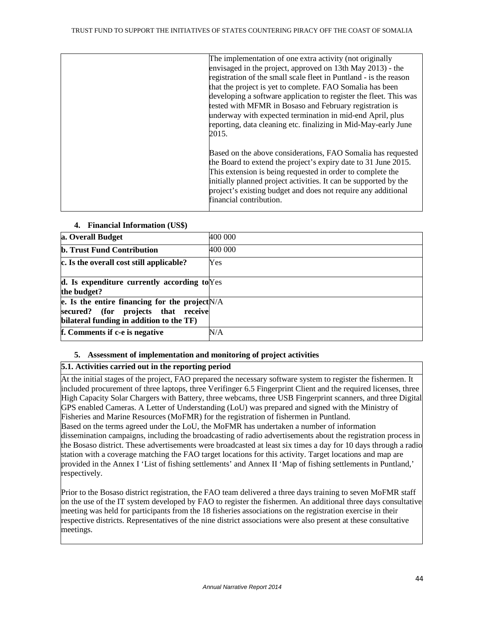| The implementation of one extra activity (not originally          |
|-------------------------------------------------------------------|
| envisaged in the project, approved on 13th May 2013) - the        |
| registration of the small scale fleet in Puntland - is the reason |
| that the project is yet to complete. FAO Somalia has been         |
| developing a software application to register the fleet. This was |
| tested with MFMR in Bosaso and February registration is           |
| underway with expected termination in mid-end April, plus         |
| reporting, data cleaning etc. finalizing in Mid-May-early June    |
| 2015.                                                             |
|                                                                   |
| Based on the above considerations, FAO Somalia has requested      |
| the Board to extend the project's expiry date to 31 June 2015.    |
| This extension is being requested in order to complete the        |
| initially planned project activities. It can be supported by the  |
| project's existing budget and does not require any additional     |
| financial contribution.                                           |
|                                                                   |

| a. Overall Budget                                       | 400 000   |
|---------------------------------------------------------|-----------|
| <b>b. Trust Fund Contribution</b>                       | 400 000   |
| c. Is the overall cost still applicable?                | Yes       |
|                                                         |           |
| $\mathbf d$ . Is expenditure currently according to Yes |           |
| the budget?                                             |           |
| e. Is the entire financing for the project $N/A$        |           |
| secured? (for projects that receive                     |           |
| bilateral funding in addition to the TF)                |           |
| f. Comments if c-e is negative                          | $\rm N/A$ |

### **4. Financial Information (US\$)**

## **5. Assessment of implementation and monitoring of project activities**

## **5.1. Activities carried out in the reporting period**

At the initial stages of the project, FAO prepared the necessary software system to register the fishermen. It included procurement of three laptops, three Verifinger 6.5 Fingerprint Client and the required licenses, three High Capacity Solar Chargers with Battery, three webcams, three USB Fingerprint scanners, and three Digital GPS enabled Cameras. A Letter of Understanding (LoU) was prepared and signed with the Ministry of Fisheries and Marine Resources (MoFMR) for the registration of fishermen in Puntland. Based on the terms agreed under the LoU, the MoFMR has undertaken a number of information dissemination campaigns, including the broadcasting of radio advertisements about the registration process in the Bosaso district. These advertisements were broadcasted at least six times a day for 10 days through a radio station with a coverage matching the FAO target locations for this activity. Target locations and map are provided in the Annex I 'List of fishing settlements' and Annex II 'Map of fishing settlements in Puntland,' respectively.

Prior to the Bosaso district registration, the FAO team delivered a three days training to seven MoFMR staff on the use of the IT system developed by FAO to register the fishermen. An additional three days consultative meeting was held for participants from the 18 fisheries associations on the registration exercise in their respective districts. Representatives of the nine district associations were also present at these consultative meetings.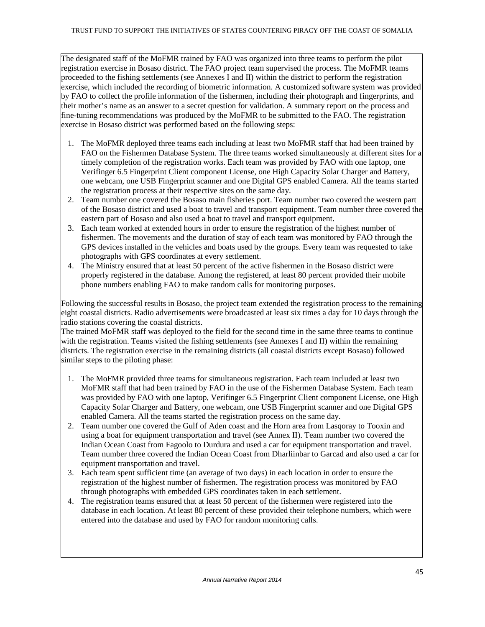The designated staff of the MoFMR trained by FAO was organized into three teams to perform the pilot registration exercise in Bosaso district. The FAO project team supervised the process. The MoFMR teams proceeded to the fishing settlements (see Annexes I and II) within the district to perform the registration exercise, which included the recording of biometric information. A customized software system was provided by FAO to collect the profile information of the fishermen, including their photograph and fingerprints, and their mother's name as an answer to a secret question for validation. A summary report on the process and fine-tuning recommendations was produced by the MoFMR to be submitted to the FAO. The registration exercise in Bosaso district was performed based on the following steps:

- 1. The MoFMR deployed three teams each including at least two MoFMR staff that had been trained by FAO on the Fishermen Database System. The three teams worked simultaneously at different sites for a timely completion of the registration works. Each team was provided by FAO with one laptop, one Verifinger 6.5 Fingerprint Client component License, one High Capacity Solar Charger and Battery, one webcam, one USB Fingerprint scanner and one Digital GPS enabled Camera. All the teams started the registration process at their respective sites on the same day.
- 2. Team number one covered the Bosaso main fisheries port. Team number two covered the western part of the Bosaso district and used a boat to travel and transport equipment. Team number three covered the eastern part of Bosaso and also used a boat to travel and transport equipment.
- 3. Each team worked at extended hours in order to ensure the registration of the highest number of fishermen. The movements and the duration of stay of each team was monitored by FAO through the GPS devices installed in the vehicles and boats used by the groups. Every team was requested to take photographs with GPS coordinates at every settlement.
- 4. The Ministry ensured that at least 50 percent of the active fishermen in the Bosaso district were properly registered in the database. Among the registered, at least 80 percent provided their mobile phone numbers enabling FAO to make random calls for monitoring purposes.

Following the successful results in Bosaso, the project team extended the registration process to the remaining eight coastal districts. Radio advertisements were broadcasted at least six times a day for 10 days through the radio stations covering the coastal districts.

The trained MoFMR staff was deployed to the field for the second time in the same three teams to continue with the registration. Teams visited the fishing settlements (see Annexes I and II) within the remaining districts. The registration exercise in the remaining districts (all coastal districts except Bosaso) followed similar steps to the piloting phase:

- 1. The MoFMR provided three teams for simultaneous registration. Each team included at least two MoFMR staff that had been trained by FAO in the use of the Fishermen Database System. Each team was provided by FAO with one laptop, Verifinger 6.5 Fingerprint Client component License, one High Capacity Solar Charger and Battery, one webcam, one USB Fingerprint scanner and one Digital GPS enabled Camera. All the teams started the registration process on the same day.
- 2. Team number one covered the Gulf of Aden coast and the Horn area from Lasqoray to Tooxin and using a boat for equipment transportation and travel (see Annex II). Team number two covered the Indian Ocean Coast from Fagoolo to Durdura and used a car for equipment transportation and travel. Team number three covered the Indian Ocean Coast from Dharliinbar to Garcad and also used a car for equipment transportation and travel.
- 3. Each team spent sufficient time (an average of two days) in each location in order to ensure the registration of the highest number of fishermen. The registration process was monitored by FAO through photographs with embedded GPS coordinates taken in each settlement.
- 4. The registration teams ensured that at least 50 percent of the fishermen were registered into the database in each location. At least 80 percent of these provided their telephone numbers, which were entered into the database and used by FAO for random monitoring calls.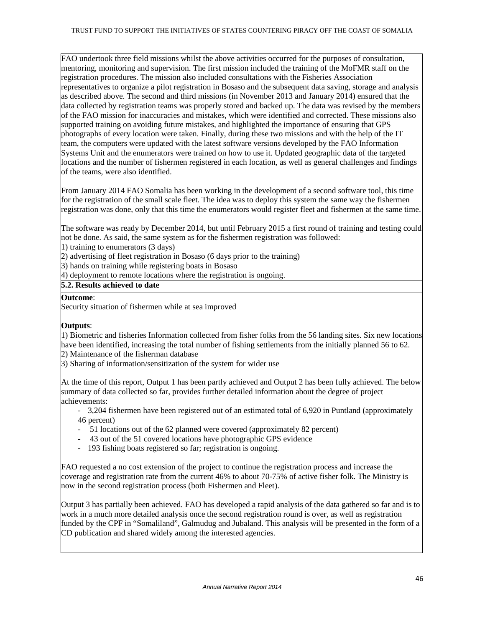FAO undertook three field missions whilst the above activities occurred for the purposes of consultation, mentoring, monitoring and supervision. The first mission included the training of the MoFMR staff on the registration procedures. The mission also included consultations with the Fisheries Association representatives to organize a pilot registration in Bosaso and the subsequent data saving, storage and analysis as described above. The second and third missions (in November 2013 and January 2014) ensured that the data collected by registration teams was properly stored and backed up. The data was revised by the members of the FAO mission for inaccuracies and mistakes, which were identified and corrected. These missions also supported training on avoiding future mistakes, and highlighted the importance of ensuring that GPS photographs of every location were taken. Finally, during these two missions and with the help of the IT team, the computers were updated with the latest software versions developed by the FAO Information Systems Unit and the enumerators were trained on how to use it. Updated geographic data of the targeted locations and the number of fishermen registered in each location, as well as general challenges and findings of the teams, were also identified.

From January 2014 FAO Somalia has been working in the development of a second software tool, this time for the registration of the small scale fleet. The idea was to deploy this system the same way the fishermen registration was done, only that this time the enumerators would register fleet and fishermen at the same time.

The software was ready by December 2014, but until February 2015 a first round of training and testing could not be done. As said, the same system as for the fishermen registration was followed:

1) training to enumerators (3 days)

2) advertising of fleet registration in Bosaso (6 days prior to the training)

3) hands on training while registering boats in Bosaso

4) deployment to remote locations where the registration is ongoing.

## **5.2. Results achieved to date**

## **Outcome**:

Security situation of fishermen while at sea improved

## **Outputs**:

1) Biometric and fisheries Information collected from fisher folks from the 56 landing sites. Six new locations have been identified, increasing the total number of fishing settlements from the initially planned 56 to 62. 2) Maintenance of the fisherman database

3) Sharing of information/sensitization of the system for wider use

At the time of this report, Output 1 has been partly achieved and Output 2 has been fully achieved. The below summary of data collected so far, provides further detailed information about the degree of project achievements:

- 3,204 fishermen have been registered out of an estimated total of 6,920 in Puntland (approximately 46 percent)

- 51 locations out of the 62 planned were covered (approximately 82 percent)
- 43 out of the 51 covered locations have photographic GPS evidence
- 193 fishing boats registered so far; registration is ongoing.

FAO requested a no cost extension of the project to continue the registration process and increase the coverage and registration rate from the current 46% to about 70-75% of active fisher folk. The Ministry is now in the second registration process (both Fishermen and Fleet).

Output 3 has partially been achieved. FAO has developed a rapid analysis of the data gathered so far and is to work in a much more detailed analysis once the second registration round is over, as well as registration funded by the CPF in "Somaliland", Galmudug and Jubaland. This analysis will be presented in the form of a CD publication and shared widely among the interested agencies.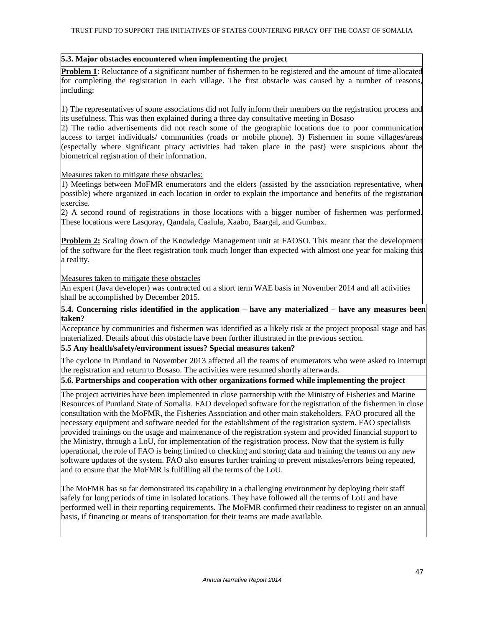### **5.3. Major obstacles encountered when implementing the project**

**Problem 1**: Reluctance of a significant number of fishermen to be registered and the amount of time allocated for completing the registration in each village. The first obstacle was caused by a number of reasons, including:

1) The representatives of some associations did not fully inform their members on the registration process and its usefulness. This was then explained during a three day consultative meeting in Bosaso

2) The radio advertisements did not reach some of the geographic locations due to poor communication access to target individuals/ communities (roads or mobile phone). 3) Fishermen in some villages/areas (especially where significant piracy activities had taken place in the past) were suspicious about the biometrical registration of their information.

Measures taken to mitigate these obstacles:

1) Meetings between MoFMR enumerators and the elders (assisted by the association representative, when possible) where organized in each location in order to explain the importance and benefits of the registration exercise.

2) A second round of registrations in those locations with a bigger number of fishermen was performed. These locations were Lasqoray, Qandala, Caalula, Xaabo, Baargal, and Gumbax.

**Problem 2:** Scaling down of the Knowledge Management unit at FAOSO. This meant that the development of the software for the fleet registration took much longer than expected with almost one year for making this a reality.

Measures taken to mitigate these obstacles

An expert (Java developer) was contracted on a short term WAE basis in November 2014 and all activities shall be accomplished by December 2015.

**5.4. Concerning risks identified in the application – have any materialized – have any measures been taken?** 

Acceptance by communities and fishermen was identified as a likely risk at the project proposal stage and has materialized. Details about this obstacle have been further illustrated in the previous section.

**5.5 Any health/safety/environment issues? Special measures taken?** 

The cyclone in Puntland in November 2013 affected all the teams of enumerators who were asked to interrupt the registration and return to Bosaso. The activities were resumed shortly afterwards.

**5.6. Partnerships and cooperation with other organizations formed while implementing the project** 

The project activities have been implemented in close partnership with the Ministry of Fisheries and Marine Resources of Puntland State of Somalia. FAO developed software for the registration of the fishermen in close consultation with the MoFMR, the Fisheries Association and other main stakeholders. FAO procured all the necessary equipment and software needed for the establishment of the registration system. FAO specialists provided trainings on the usage and maintenance of the registration system and provided financial support to the Ministry, through a LoU, for implementation of the registration process. Now that the system is fully operational, the role of FAO is being limited to checking and storing data and training the teams on any new software updates of the system. FAO also ensures further training to prevent mistakes/errors being repeated, and to ensure that the MoFMR is fulfilling all the terms of the LoU.

The MoFMR has so far demonstrated its capability in a challenging environment by deploying their staff safely for long periods of time in isolated locations. They have followed all the terms of LoU and have performed well in their reporting requirements. The MoFMR confirmed their readiness to register on an annual basis, if financing or means of transportation for their teams are made available.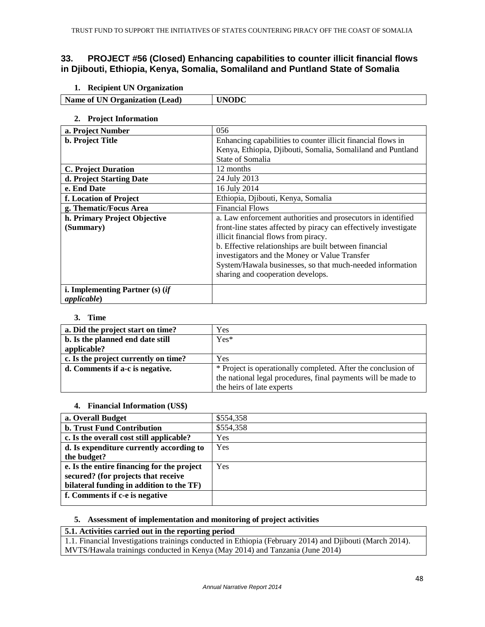## **33. PROJECT #56 (Closed) Enhancing capabilities to counter illicit financial flows in Djibouti, Ethiopia, Kenya, Somalia, Somaliland and Puntland State of Somalia**

**1. Recipient UN Organization** 

| Name of UN Organization<br>(Lead) | N |
|-----------------------------------|---|

### **2. Project Information**

 $\overline{\phantom{a}}$ 

| a. Project Number                 | 056                                                              |
|-----------------------------------|------------------------------------------------------------------|
| <b>b.</b> Project Title           | Enhancing capabilities to counter illicit financial flows in     |
|                                   | Kenya, Ethiopia, Djibouti, Somalia, Somaliland and Puntland      |
|                                   | State of Somalia                                                 |
| <b>C. Project Duration</b>        | 12 months                                                        |
| d. Project Starting Date          | 24 July 2013                                                     |
| e. End Date                       | 16 July 2014                                                     |
| f. Location of Project            | Ethiopia, Djibouti, Kenya, Somalia                               |
| g. Thematic/Focus Area            | <b>Financial Flows</b>                                           |
| h. Primary Project Objective      | a. Law enforcement authorities and prosecutors in identified     |
| (Summary)                         | front-line states affected by piracy can effectively investigate |
|                                   | illicit financial flows from piracy.                             |
|                                   | b. Effective relationships are built between financial           |
|                                   | investigators and the Money or Value Transfer                    |
|                                   | System/Hawala businesses, so that much-needed information        |
|                                   | sharing and cooperation develops.                                |
| i. Implementing Partner $(s)$ (if |                                                                  |
| <i>applicable</i> )               |                                                                  |

### **3. Time**

| a. Did the project start on time?    | Yes                                                           |
|--------------------------------------|---------------------------------------------------------------|
| b. Is the planned end date still     | $Yes*$                                                        |
| applicable?                          |                                                               |
| c. Is the project currently on time? | Yes                                                           |
| d. Comments if a-c is negative.      | * Project is operationally completed. After the conclusion of |
|                                      | the national legal procedures, final payments will be made to |
|                                      | the heirs of late experts                                     |

### **4. Financial Information (US\$)**

| a. Overall Budget                          | \$554,358 |
|--------------------------------------------|-----------|
| <b>b. Trust Fund Contribution</b>          | \$554,358 |
| c. Is the overall cost still applicable?   | Yes       |
| d. Is expenditure currently according to   | Yes       |
| the budget?                                |           |
| e. Is the entire financing for the project | Yes       |
| secured? (for projects that receive        |           |
| bilateral funding in addition to the TF)   |           |
| f. Comments if c-e is negative             |           |
|                                            |           |

## **5. Assessment of implementation and monitoring of project activities**

## **5.1. Activities carried out in the reporting period**

1.1. Financial Investigations trainings conducted in Ethiopia (February 2014) and Djibouti (March 2014). MVTS/Hawala trainings conducted in Kenya (May 2014) and Tanzania (June 2014)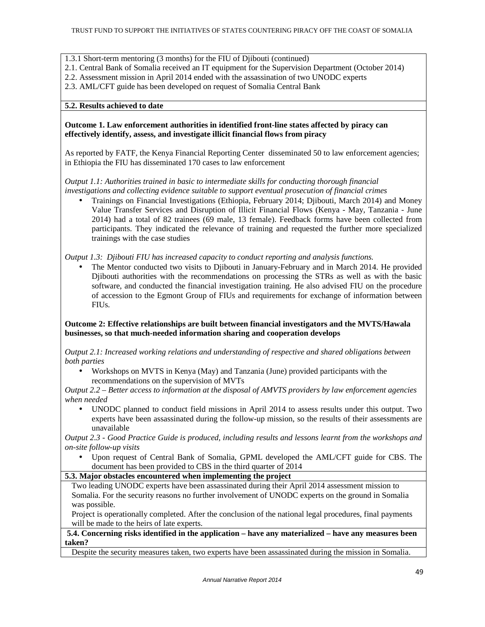1.3.1 Short-term mentoring (3 months) for the FIU of Djibouti (continued)

- 2.1. Central Bank of Somalia received an IT equipment for the Supervision Department (October 2014)
- 2.2. Assessment mission in April 2014 ended with the assassination of two UNODC experts
- 2.3. AML/CFT guide has been developed on request of Somalia Central Bank

### **5.2. Results achieved to date**

### **Outcome 1. Law enforcement authorities in identified front-line states affected by piracy can effectively identify, assess, and investigate illicit financial flows from piracy**

As reported by FATF, the Kenya Financial Reporting Center disseminated 50 to law enforcement agencies; in Ethiopia the FIU has disseminated 170 cases to law enforcement

*Output 1.1: Authorities trained in basic to intermediate skills for conducting thorough financial investigations and collecting evidence suitable to support eventual prosecution of financial crimes* 

• Trainings on Financial Investigations (Ethiopia, February 2014; Djibouti, March 2014) and Money Value Transfer Services and Disruption of Illicit Financial Flows (Kenya - May, Tanzania - June 2014) had a total of 82 trainees (69 male, 13 female). Feedback forms have been collected from participants. They indicated the relevance of training and requested the further more specialized trainings with the case studies

*Output 1.3: Djibouti FIU has increased capacity to conduct reporting and analysis functions.* 

• The Mentor conducted two visits to Djibouti in January-February and in March 2014. He provided Djibouti authorities with the recommendations on processing the STRs as well as with the basic software, and conducted the financial investigation training. He also advised FIU on the procedure of accession to the Egmont Group of FIUs and requirements for exchange of information between FIUs.

**Outcome 2: Effective relationships are built between financial investigators and the MVTS/Hawala businesses, so that much-needed information sharing and cooperation develops** 

*Output 2.1: Increased working relations and understanding of respective and shared obligations between both parties* 

• Workshops on MVTS in Kenya (May) and Tanzania (June) provided participants with the recommendations on the supervision of MVTs

*Output 2.2 – Better access to information at the disposal of AMVTS providers by law enforcement agencies when needed* 

• UNODC planned to conduct field missions in April 2014 to assess results under this output. Two experts have been assassinated during the follow-up mission, so the results of their assessments are unavailable

*Output 2.3 - Good Practice Guide is produced, including results and lessons learnt from the workshops and on-site follow-up visits* 

• Upon request of Central Bank of Somalia, GPML developed the AML/CFT guide for CBS. The document has been provided to CBS in the third quarter of 2014

## **5.3. Major obstacles encountered when implementing the project**

Two leading UNODC experts have been assassinated during their April 2014 assessment mission to Somalia. For the security reasons no further involvement of UNODC experts on the ground in Somalia was possible.

Project is operationally completed. After the conclusion of the national legal procedures, final payments will be made to the heirs of late experts.

**5.4. Concerning risks identified in the application – have any materialized – have any measures been taken?**

Despite the security measures taken, two experts have been assassinated during the mission in Somalia.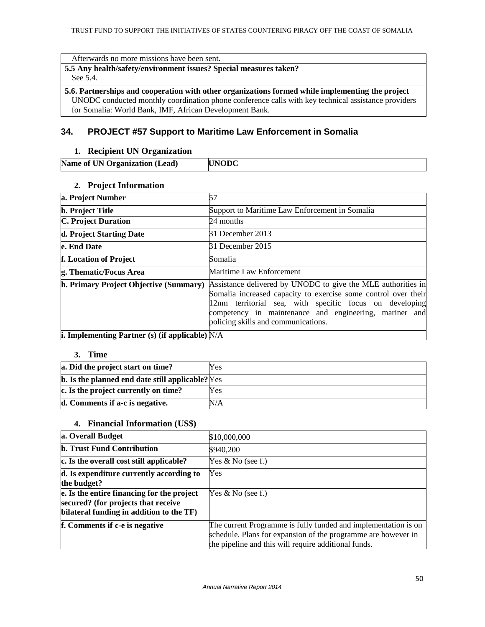Afterwards no more missions have been sent.

**5.5 Any health/safety/environment issues? Special measures taken?** 

### See 5.4.

### **5.6. Partnerships and cooperation with other organizations formed while implementing the project**

UNODC conducted monthly coordination phone conference calls with key technical assistance providers for Somalia: World Bank, IMF, African Development Bank.

## **34. PROJECT #57 Support to Maritime Law Enforcement in Somalia**

### **1. Recipient UN Organization**

| Name of UN Organization (Lead) | <b>IUNODC</b> |
|--------------------------------|---------------|

### **2. Project Information**

| a. Project Number                                        | 57                                                                                                                                                                                                                                                                                         |
|----------------------------------------------------------|--------------------------------------------------------------------------------------------------------------------------------------------------------------------------------------------------------------------------------------------------------------------------------------------|
| <b>b.</b> Project Title                                  | Support to Maritime Law Enforcement in Somalia                                                                                                                                                                                                                                             |
| <b>C. Project Duration</b>                               | 24 months                                                                                                                                                                                                                                                                                  |
| d. Project Starting Date                                 | 31 December 2013                                                                                                                                                                                                                                                                           |
| e. End Date                                              | 31 December 2015                                                                                                                                                                                                                                                                           |
| f. Location of Project                                   | Somalia                                                                                                                                                                                                                                                                                    |
| g. Thematic/Focus Area                                   | Maritime Law Enforcement                                                                                                                                                                                                                                                                   |
| h. Primary Project Objective (Summary)                   | Assistance delivered by UNODC to give the MLE authorities in<br>Somalia increased capacity to exercise some control over their<br>12nm territorial sea, with specific focus on developing<br>competency in maintenance and engineering, mariner and<br>policing skills and communications. |
| <b>i.</b> Implementing Partner (s) (if applicable) $N/A$ |                                                                                                                                                                                                                                                                                            |

### **3. Time**

| a. Did the project start on time?                       | Yes |
|---------------------------------------------------------|-----|
| <b>b.</b> Is the planned end date still applicable? Yes |     |
| c. Is the project currently on time?                    | Yes |
| d. Comments if a-c is negative.                         | N/A |

## **4. Financial Information (US\$)**

| a. Overall Budget                                                                                                             | \$10,000,000                                                                                                                                                                            |
|-------------------------------------------------------------------------------------------------------------------------------|-----------------------------------------------------------------------------------------------------------------------------------------------------------------------------------------|
| <b>b. Trust Fund Contribution</b>                                                                                             | \$940,200                                                                                                                                                                               |
| c. Is the overall cost still applicable?                                                                                      | Yes $& No$ (see f.)                                                                                                                                                                     |
| d. Is expenditure currently according to<br>the budget?                                                                       | Yes                                                                                                                                                                                     |
| e. Is the entire financing for the project<br>secured? (for projects that receive<br>bilateral funding in addition to the TF) | Yes $\&$ No (see f.)                                                                                                                                                                    |
| f. Comments if c-e is negative                                                                                                | The current Programme is fully funded and implementation is on<br>schedule. Plans for expansion of the programme are however in<br>the pipeline and this will require additional funds. |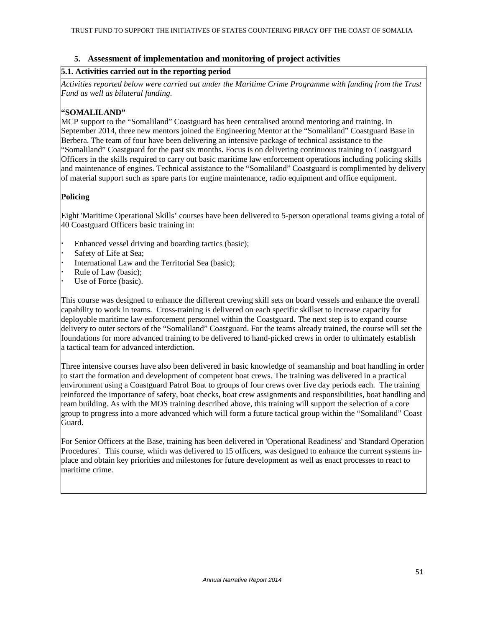## **5. Assessment of implementation and monitoring of project activities**

### **5.1. Activities carried out in the reporting period**

*Activities reported below were carried out under the Maritime Crime Programme with funding from the Trust Fund as well as bilateral funding.*

## **"SOMALILAND"**

MCP support to the "Somaliland" Coastguard has been centralised around mentoring and training. In September 2014, three new mentors joined the Engineering Mentor at the "Somaliland" Coastguard Base in Berbera. The team of four have been delivering an intensive package of technical assistance to the "Somaliland" Coastguard for the past six months. Focus is on delivering continuous training to Coastguard Officers in the skills required to carry out basic maritime law enforcement operations including policing skills and maintenance of engines. Technical assistance to the "Somaliland" Coastguard is complimented by delivery of material support such as spare parts for engine maintenance, radio equipment and office equipment.

## **Policing**

Eight 'Maritime Operational Skills' courses have been delivered to 5-person operational teams giving a total of 40 Coastguard Officers basic training in:

 Enhanced vessel driving and boarding tactics (basic); Safety of Life at Sea; International Law and the Territorial Sea (basic); Rule of Law (basic); Use of Force (basic).

This course was designed to enhance the different crewing skill sets on board vessels and enhance the overall capability to work in teams. Cross-training is delivered on each specific skillset to increase capacity for deployable maritime law enforcement personnel within the Coastguard. The next step is to expand course delivery to outer sectors of the "Somaliland" Coastguard. For the teams already trained, the course will set the foundations for more advanced training to be delivered to hand-picked crews in order to ultimately establish a tactical team for advanced interdiction.

Three intensive courses have also been delivered in basic knowledge of seamanship and boat handling in order to start the formation and development of competent boat crews. The training was delivered in a practical environment using a Coastguard Patrol Boat to groups of four crews over five day periods each. The training reinforced the importance of safety, boat checks, boat crew assignments and responsibilities, boat handling and team building. As with the MOS training described above, this training will support the selection of a core group to progress into a more advanced which will form a future tactical group within the "Somaliland" Coast Guard.

For Senior Officers at the Base, training has been delivered in 'Operational Readiness' and 'Standard Operation Procedures'. This course, which was delivered to 15 officers, was designed to enhance the current systems inplace and obtain key priorities and milestones for future development as well as enact processes to react to maritime crime.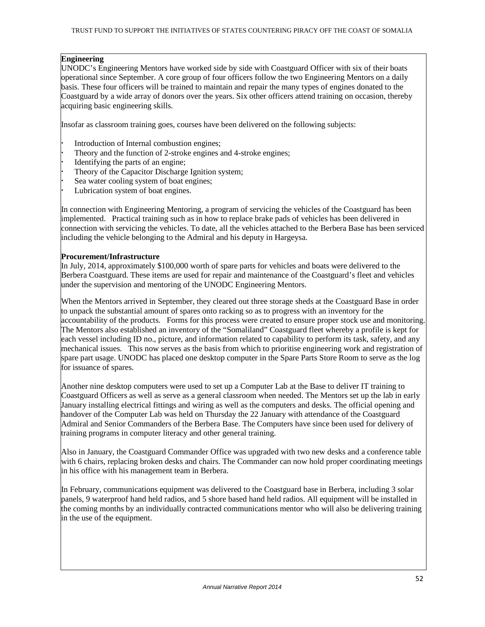### **Engineering**

UNODC's Engineering Mentors have worked side by side with Coastguard Officer with six of their boats operational since September. A core group of four officers follow the two Engineering Mentors on a daily basis. These four officers will be trained to maintain and repair the many types of engines donated to the Coastguard by a wide array of donors over the years. Six other officers attend training on occasion, thereby acquiring basic engineering skills.

Insofar as classroom training goes, courses have been delivered on the following subjects:

- Introduction of Internal combustion engines;
- Theory and the function of 2-stroke engines and 4-stroke engines;
- Identifying the parts of an engine;
- Theory of the Capacitor Discharge Ignition system;
- Sea water cooling system of boat engines;
- Lubrication system of boat engines.

In connection with Engineering Mentoring, a program of servicing the vehicles of the Coastguard has been implemented. Practical training such as in how to replace brake pads of vehicles has been delivered in connection with servicing the vehicles. To date, all the vehicles attached to the Berbera Base has been serviced including the vehicle belonging to the Admiral and his deputy in Hargeysa.

## **Procurement/Infrastructure**

In July, 2014, approximately \$100,000 worth of spare parts for vehicles and boats were delivered to the Berbera Coastguard. These items are used for repair and maintenance of the Coastguard's fleet and vehicles under the supervision and mentoring of the UNODC Engineering Mentors.

When the Mentors arrived in September, they cleared out three storage sheds at the Coastguard Base in order to unpack the substantial amount of spares onto racking so as to progress with an inventory for the accountability of the products. Forms for this process were created to ensure proper stock use and monitoring. The Mentors also established an inventory of the "Somaliland" Coastguard fleet whereby a profile is kept for each vessel including ID no., picture, and information related to capability to perform its task, safety, and any mechanical issues. This now serves as the basis from which to prioritise engineering work and registration of spare part usage. UNODC has placed one desktop computer in the Spare Parts Store Room to serve as the log for issuance of spares.

Another nine desktop computers were used to set up a Computer Lab at the Base to deliver IT training to Coastguard Officers as well as serve as a general classroom when needed. The Mentors set up the lab in early January installing electrical fittings and wiring as well as the computers and desks. The official opening and handover of the Computer Lab was held on Thursday the 22 January with attendance of the Coastguard Admiral and Senior Commanders of the Berbera Base. The Computers have since been used for delivery of training programs in computer literacy and other general training.

Also in January, the Coastguard Commander Office was upgraded with two new desks and a conference table with 6 chairs, replacing broken desks and chairs. The Commander can now hold proper coordinating meetings in his office with his management team in Berbera.

In February, communications equipment was delivered to the Coastguard base in Berbera, including 3 solar panels, 9 waterproof hand held radios, and 5 shore based hand held radios. All equipment will be installed in the coming months by an individually contracted communications mentor who will also be delivering training in the use of the equipment.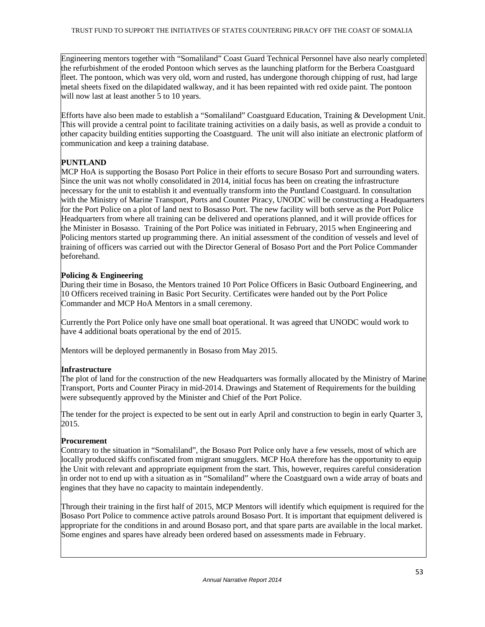Engineering mentors together with "Somaliland" Coast Guard Technical Personnel have also nearly completed the refurbishment of the eroded Pontoon which serves as the launching platform for the Berbera Coastguard fleet. The pontoon, which was very old, worn and rusted, has undergone thorough chipping of rust, had large metal sheets fixed on the dilapidated walkway, and it has been repainted with red oxide paint. The pontoon will now last at least another 5 to 10 years.

Efforts have also been made to establish a "Somaliland" Coastguard Education, Training & Development Unit. This will provide a central point to facilitate training activities on a daily basis, as well as provide a conduit to other capacity building entities supporting the Coastguard. The unit will also initiate an electronic platform of communication and keep a training database.

## **PUNTLAND**

MCP HoA is supporting the Bosaso Port Police in their efforts to secure Bosaso Port and surrounding waters. Since the unit was not wholly consolidated in 2014, initial focus has been on creating the infrastructure necessary for the unit to establish it and eventually transform into the Puntland Coastguard. In consultation with the Ministry of Marine Transport, Ports and Counter Piracy, UNODC will be constructing a Headquarters for the Port Police on a plot of land next to Bosasso Port. The new facility will both serve as the Port Police Headquarters from where all training can be delivered and operations planned, and it will provide offices for the Minister in Bosasso. Training of the Port Police was initiated in February, 2015 when Engineering and Policing mentors started up programming there. An initial assessment of the condition of vessels and level of training of officers was carried out with the Director General of Bosaso Port and the Port Police Commander beforehand.

## **Policing & Engineering**

During their time in Bosaso, the Mentors trained 10 Port Police Officers in Basic Outboard Engineering, and 10 Officers received training in Basic Port Security. Certificates were handed out by the Port Police Commander and MCP HoA Mentors in a small ceremony.

Currently the Port Police only have one small boat operational. It was agreed that UNODC would work to have 4 additional boats operational by the end of 2015.

Mentors will be deployed permanently in Bosaso from May 2015.

## **Infrastructure**

The plot of land for the construction of the new Headquarters was formally allocated by the Ministry of Marine Transport, Ports and Counter Piracy in mid-2014. Drawings and Statement of Requirements for the building were subsequently approved by the Minister and Chief of the Port Police.

The tender for the project is expected to be sent out in early April and construction to begin in early Quarter 3, 2015.

## **Procurement**

Contrary to the situation in "Somaliland", the Bosaso Port Police only have a few vessels, most of which are locally produced skiffs confiscated from migrant smugglers. MCP HoA therefore has the opportunity to equip the Unit with relevant and appropriate equipment from the start. This, however, requires careful consideration in order not to end up with a situation as in "Somaliland" where the Coastguard own a wide array of boats and engines that they have no capacity to maintain independently.

Through their training in the first half of 2015, MCP Mentors will identify which equipment is required for the Bosaso Port Police to commence active patrols around Bosaso Port. It is important that equipment delivered is appropriate for the conditions in and around Bosaso port, and that spare parts are available in the local market. Some engines and spares have already been ordered based on assessments made in February.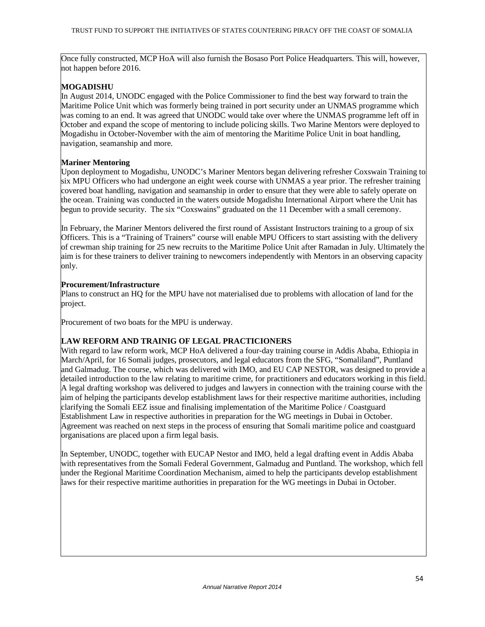Once fully constructed, MCP HoA will also furnish the Bosaso Port Police Headquarters. This will, however, not happen before 2016.

## **MOGADISHU**

In August 2014, UNODC engaged with the Police Commissioner to find the best way forward to train the Maritime Police Unit which was formerly being trained in port security under an UNMAS programme which was coming to an end. It was agreed that UNODC would take over where the UNMAS programme left off in October and expand the scope of mentoring to include policing skills. Two Marine Mentors were deployed to Mogadishu in October-November with the aim of mentoring the Maritime Police Unit in boat handling, navigation, seamanship and more.

## **Mariner Mentoring**

Upon deployment to Mogadishu, UNODC's Mariner Mentors began delivering refresher Coxswain Training to six MPU Officers who had undergone an eight week course with UNMAS a year prior. The refresher training covered boat handling, navigation and seamanship in order to ensure that they were able to safely operate on the ocean. Training was conducted in the waters outside Mogadishu International Airport where the Unit has begun to provide security. The six "Coxswains" graduated on the 11 December with a small ceremony.

In February, the Mariner Mentors delivered the first round of Assistant Instructors training to a group of six Officers. This is a "Training of Trainers" course will enable MPU Officers to start assisting with the delivery of crewman ship training for 25 new recruits to the Maritime Police Unit after Ramadan in July. Ultimately the aim is for these trainers to deliver training to newcomers independently with Mentors in an observing capacity only.

## **Procurement/Infrastructure**

Plans to construct an HQ for the MPU have not materialised due to problems with allocation of land for the project.

Procurement of two boats for the MPU is underway.

## **LAW REFORM AND TRAINIG OF LEGAL PRACTICIONERS**

With regard to law reform work, MCP HoA delivered a four-day training course in Addis Ababa, Ethiopia in March/April, for 16 Somali judges, prosecutors, and legal educators from the SFG, "Somaliland", Puntland and Galmadug. The course, which was delivered with IMO, and EU CAP NESTOR, was designed to provide a detailed introduction to the law relating to maritime crime, for practitioners and educators working in this field. A legal drafting workshop was delivered to judges and lawyers in connection with the training course with the aim of helping the participants develop establishment laws for their respective maritime authorities, including clarifying the Somali EEZ issue and finalising implementation of the Maritime Police / Coastguard Establishment Law in respective authorities in preparation for the WG meetings in Dubai in October. Agreement was reached on next steps in the process of ensuring that Somali maritime police and coastguard organisations are placed upon a firm legal basis.

In September, UNODC, together with EUCAP Nestor and IMO, held a legal drafting event in Addis Ababa with representatives from the Somali Federal Government, Galmadug and Puntland. The workshop, which fell under the Regional Maritime Coordination Mechanism, aimed to help the participants develop establishment laws for their respective maritime authorities in preparation for the WG meetings in Dubai in October.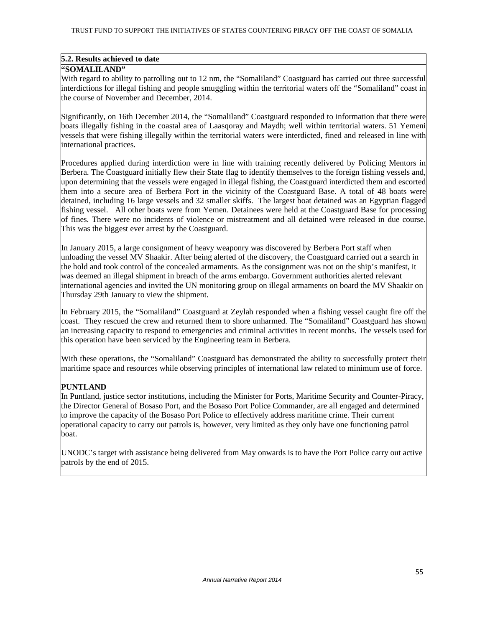#### **5.2. Results achieved to date**

### **"SOMALILAND"**

With regard to ability to patrolling out to 12 nm, the "Somaliland" Coastguard has carried out three successful interdictions for illegal fishing and people smuggling within the territorial waters off the "Somaliland" coast in the course of November and December, 2014.

Significantly, on 16th December 2014, the "Somaliland" Coastguard responded to information that there were boats illegally fishing in the coastal area of Laasqoray and Maydh; well within territorial waters. 51 Yemeni vessels that were fishing illegally within the territorial waters were interdicted, fined and released in line with international practices.

Procedures applied during interdiction were in line with training recently delivered by Policing Mentors in Berbera. The Coastguard initially flew their State flag to identify themselves to the foreign fishing vessels and, upon determining that the vessels were engaged in illegal fishing, the Coastguard interdicted them and escorted them into a secure area of Berbera Port in the vicinity of the Coastguard Base. A total of 48 boats were detained, including 16 large vessels and 32 smaller skiffs. The largest boat detained was an Egyptian flagged fishing vessel. All other boats were from Yemen. Detainees were held at the Coastguard Base for processing of fines. There were no incidents of violence or mistreatment and all detained were released in due course. This was the biggest ever arrest by the Coastguard.

In January 2015, a large consignment of heavy weaponry was discovered by Berbera Port staff when unloading the vessel MV Shaakir. After being alerted of the discovery, the Coastguard carried out a search in the hold and took control of the concealed armaments. As the consignment was not on the ship's manifest, it was deemed an illegal shipment in breach of the arms embargo. Government authorities alerted relevant international agencies and invited the UN monitoring group on illegal armaments on board the MV Shaakir on Thursday 29th January to view the shipment.

In February 2015, the "Somaliland" Coastguard at Zeylah responded when a fishing vessel caught fire off the coast. They rescued the crew and returned them to shore unharmed. The "Somaliland" Coastguard has shown an increasing capacity to respond to emergencies and criminal activities in recent months. The vessels used for this operation have been serviced by the Engineering team in Berbera.

With these operations, the "Somaliland" Coastguard has demonstrated the ability to successfully protect their maritime space and resources while observing principles of international law related to minimum use of force.

## **PUNTLAND**

In Puntland, justice sector institutions, including the Minister for Ports, Maritime Security and Counter-Piracy, the Director General of Bosaso Port, and the Bosaso Port Police Commander, are all engaged and determined to improve the capacity of the Bosaso Port Police to effectively address maritime crime. Their current operational capacity to carry out patrols is, however, very limited as they only have one functioning patrol boat.

UNODC's target with assistance being delivered from May onwards is to have the Port Police carry out active patrols by the end of 2015.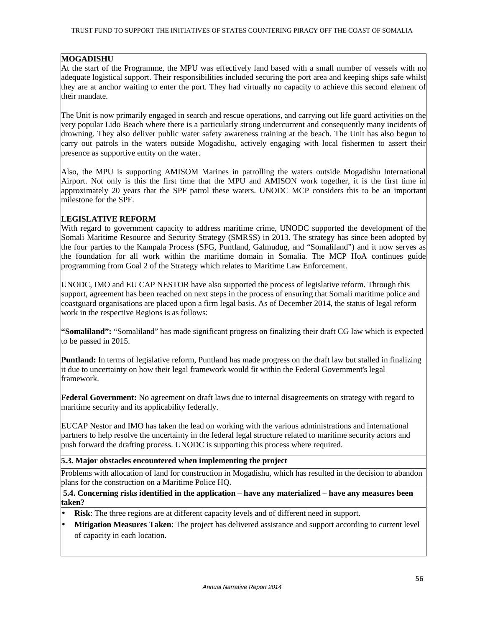## **MOGADISHU**

At the start of the Programme, the MPU was effectively land based with a small number of vessels with no adequate logistical support. Their responsibilities included securing the port area and keeping ships safe whilst they are at anchor waiting to enter the port. They had virtually no capacity to achieve this second element of their mandate.

The Unit is now primarily engaged in search and rescue operations, and carrying out life guard activities on the very popular Lido Beach where there is a particularly strong undercurrent and consequently many incidents of drowning. They also deliver public water safety awareness training at the beach. The Unit has also begun to carry out patrols in the waters outside Mogadishu, actively engaging with local fishermen to assert their presence as supportive entity on the water.

Also, the MPU is supporting AMISOM Marines in patrolling the waters outside Mogadishu International Airport. Not only is this the first time that the MPU and AMISON work together, it is the first time in approximately 20 years that the SPF patrol these waters. UNODC MCP considers this to be an important milestone for the SPF.

## **LEGISLATIVE REFORM**

With regard to government capacity to address maritime crime, UNODC supported the development of the Somali Maritime Resource and Security Strategy (SMRSS) in 2013. The strategy has since been adopted by the four parties to the Kampala Process (SFG, Puntland, Galmudug, and "Somaliland") and it now serves as the foundation for all work within the maritime domain in Somalia. The MCP HoA continues guide programming from Goal 2 of the Strategy which relates to Maritime Law Enforcement.

UNODC, IMO and EU CAP NESTOR have also supported the process of legislative reform. Through this support, agreement has been reached on next steps in the process of ensuring that Somali maritime police and coastguard organisations are placed upon a firm legal basis. As of December 2014, the status of legal reform work in the respective Regions is as follows:

**"Somaliland":** "Somaliland" has made significant progress on finalizing their draft CG law which is expected to be passed in 2015.

**Puntland:** In terms of legislative reform, Puntland has made progress on the draft law but stalled in finalizing it due to uncertainty on how their legal framework would fit within the Federal Government's legal framework.

**Federal Government:** No agreement on draft laws due to internal disagreements on strategy with regard to maritime security and its applicability federally.

EUCAP Nestor and IMO has taken the lead on working with the various administrations and international partners to help resolve the uncertainty in the federal legal structure related to maritime security actors and push forward the drafting process. UNODC is supporting this process where required.

### **5.3. Major obstacles encountered when implementing the project**

Problems with allocation of land for construction in Mogadishu, which has resulted in the decision to abandon plans for the construction on a Maritime Police HQ.

**5.4. Concerning risks identified in the application – have any materialized – have any measures been taken?** 

- **Risk**: The three regions are at different capacity levels and of different need in support.
- **Mitigation Measures Taken**: The project has delivered assistance and support according to current level of capacity in each location.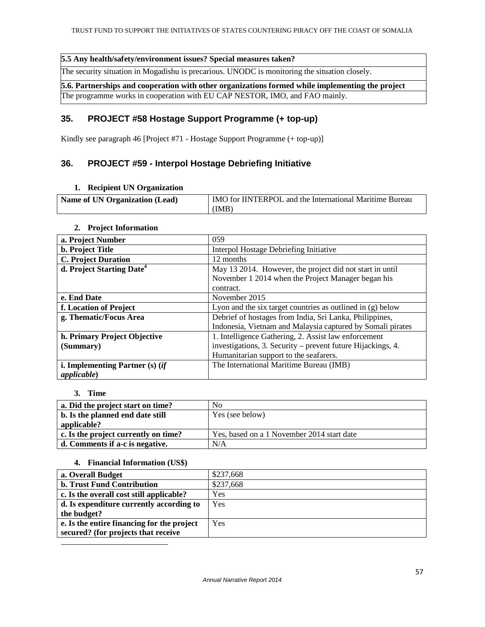### **5.5 Any health/safety/environment issues? Special measures taken?**

The security situation in Mogadishu is precarious. UNODC is monitoring the situation closely.

**5.6. Partnerships and cooperation with other organizations formed while implementing the project** 

The programme works in cooperation with EU CAP NESTOR, IMO, and FAO mainly.

## **35. PROJECT #58 Hostage Support Programme (+ top-up)**

Kindly see paragraph 46 [Project #71 - Hostage Support Programme (+ top-up)]

## **36. PROJECT #59 - Interpol Hostage Debriefing Initiative**

### **1. Recipient UN Organization**

| <b>Name of UN Organization (Lead)</b> | IMO for IINTERPOL and the International Maritime Bureau |
|---------------------------------------|---------------------------------------------------------|
|                                       | (IMB)                                                   |

## **2. Project Information**

| a. Project Number                     | 059                                                          |
|---------------------------------------|--------------------------------------------------------------|
| <b>b.</b> Project Title               | Interpol Hostage Debriefing Initiative                       |
| <b>C. Project Duration</b>            | 12 months                                                    |
| d. Project Starting Date <sup>4</sup> | May 13 2014. However, the project did not start in until     |
|                                       | November 1 2014 when the Project Manager began his           |
|                                       | contract.                                                    |
| e. End Date                           | November 2015                                                |
| f. Location of Project                | Lyon and the six target countries as outlined in $(g)$ below |
| g. Thematic/Focus Area                | Debrief of hostages from India, Sri Lanka, Philippines,      |
|                                       | Indonesia, Vietnam and Malaysia captured by Somali pirates   |
| h. Primary Project Objective          | 1. Intelligence Gathering, 2. Assist law enforcement         |
| (Summary)                             | investigations, 3. Security – prevent future Hijackings, 4.  |
|                                       | Humanitarian support to the seafarers.                       |
| i. Implementing Partner $(s)$ (if     | The International Maritime Bureau (IMB)                      |
| <i>applicable</i> )                   |                                                              |

### **3. Time**

| a. Did the project start on time?    | N <sub>0</sub>                             |
|--------------------------------------|--------------------------------------------|
| b. Is the planned end date still     | Yes (see below)                            |
| applicable?                          |                                            |
| c. Is the project currently on time? | Yes, based on a 1 November 2014 start date |
| d. Comments if a-c is negative.      | N/A                                        |

### **4. Financial Information (US\$)**

| a. Overall Budget                          | \$237,668 |
|--------------------------------------------|-----------|
| <b>b. Trust Fund Contribution</b>          | \$237,668 |
| c. Is the overall cost still applicable?   | Yes       |
| d. Is expenditure currently according to   | Yes       |
| the budget?                                |           |
| e. Is the entire financing for the project | Yes       |
| secured? (for projects that receive        |           |
|                                            |           |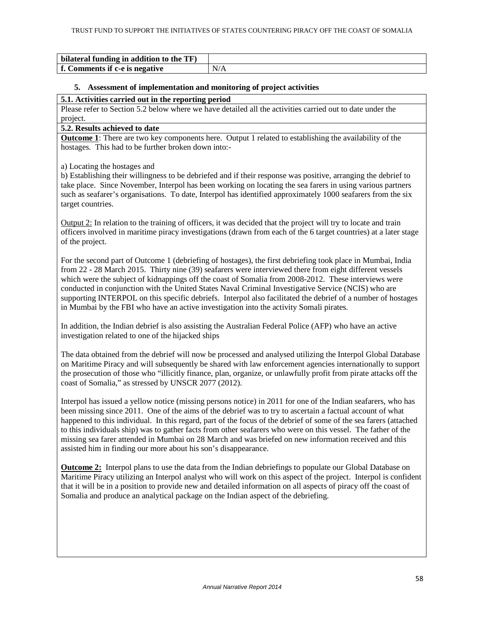| bilateral funding in addition to the TF) |  |
|------------------------------------------|--|
| f. Comments if c-e is negative           |  |

### **5. Assessment of implementation and monitoring of project activities**

### **5.1. Activities carried out in the reporting period**

Please refer to Section 5.2 below where we have detailed all the activities carried out to date under the project.

#### **5.2. Results achieved to date**

**Outcome 1**: There are two key components here. Output 1 related to establishing the availability of the hostages. This had to be further broken down into:-

a) Locating the hostages and

b) Establishing their willingness to be debriefed and if their response was positive, arranging the debrief to take place. Since November, Interpol has been working on locating the sea farers in using various partners such as seafarer's organisations. To date, Interpol has identified approximately 1000 seafarers from the six target countries.

Output 2: In relation to the training of officers, it was decided that the project will try to locate and train officers involved in maritime piracy investigations (drawn from each of the 6 target countries) at a later stage of the project.

For the second part of Outcome 1 (debriefing of hostages), the first debriefing took place in Mumbai, India from 22 - 28 March 2015. Thirty nine (39) seafarers were interviewed there from eight different vessels which were the subject of kidnappings off the coast of Somalia from 2008-2012. These interviews were conducted in conjunction with the United States Naval Criminal Investigative Service (NCIS) who are supporting INTERPOL on this specific debriefs. Interpol also facilitated the debrief of a number of hostages in Mumbai by the FBI who have an active investigation into the activity Somali pirates.

In addition, the Indian debrief is also assisting the Australian Federal Police (AFP) who have an active investigation related to one of the hijacked ships

The data obtained from the debrief will now be processed and analysed utilizing the Interpol Global Database on Maritime Piracy and will subsequently be shared with law enforcement agencies internationally to support the prosecution of those who "illicitly finance, plan, organize, or unlawfully profit from pirate attacks off the coast of Somalia," as stressed by UNSCR 2077 (2012).

Interpol has issued a yellow notice (missing persons notice) in 2011 for one of the Indian seafarers, who has been missing since 2011. One of the aims of the debrief was to try to ascertain a factual account of what happened to this individual. In this regard, part of the focus of the debrief of some of the sea farers (attached to this individuals ship) was to gather facts from other seafarers who were on this vessel. The father of the missing sea farer attended in Mumbai on 28 March and was briefed on new information received and this assisted him in finding our more about his son's disappearance.

**Outcome 2:** Interpol plans to use the data from the Indian debriefings to populate our Global Database on Maritime Piracy utilizing an Interpol analyst who will work on this aspect of the project. Interpol is confident that it will be in a position to provide new and detailed information on all aspects of piracy off the coast of Somalia and produce an analytical package on the Indian aspect of the debriefing.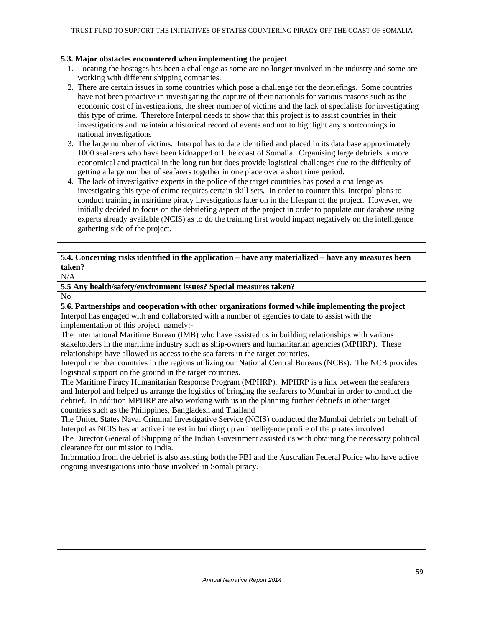### **5.3. Major obstacles encountered when implementing the project**

- 1. Locating the hostages has been a challenge as some are no longer involved in the industry and some are working with different shipping companies.
- 2. There are certain issues in some countries which pose a challenge for the debriefings. Some countries have not been proactive in investigating the capture of their nationals for various reasons such as the economic cost of investigations, the sheer number of victims and the lack of specialists for investigating this type of crime. Therefore Interpol needs to show that this project is to assist countries in their investigations and maintain a historical record of events and not to highlight any shortcomings in national investigations
- 3. The large number of victims. Interpol has to date identified and placed in its data base approximately 1000 seafarers who have been kidnapped off the coast of Somalia. Organising large debriefs is more economical and practical in the long run but does provide logistical challenges due to the difficulty of getting a large number of seafarers together in one place over a short time period.
- 4. The lack of investigative experts in the police of the target countries has posed a challenge as investigating this type of crime requires certain skill sets. In order to counter this, Interpol plans to conduct training in maritime piracy investigations later on in the lifespan of the project. However, we initially decided to focus on the debriefing aspect of the project in order to populate our database using experts already available (NCIS) as to do the training first would impact negatively on the intelligence gathering side of the project.

## **5.4. Concerning risks identified in the application – have any materialized – have any measures been taken?**

### $N/A$

**5.5 Any health/safety/environment issues? Special measures taken?** 

#### No

**5.6. Partnerships and cooperation with other organizations formed while implementing the project** 

Interpol has engaged with and collaborated with a number of agencies to date to assist with the implementation of this project namely:-

The International Maritime Bureau (IMB) who have assisted us in building relationships with various stakeholders in the maritime industry such as ship-owners and humanitarian agencies (MPHRP). These relationships have allowed us access to the sea farers in the target countries.

Interpol member countries in the regions utilizing our National Central Bureaus (NCBs). The NCB provides logistical support on the ground in the target countries.

The Maritime Piracy Humanitarian Response Program (MPHRP). MPHRP is a link between the seafarers and Interpol and helped us arrange the logistics of bringing the seafarers to Mumbai in order to conduct the debrief. In addition MPHRP are also working with us in the planning further debriefs in other target countries such as the Philippines, Bangladesh and Thailand

The United States Naval Criminal Investigative Service (NCIS) conducted the Mumbai debriefs on behalf of Interpol as NCIS has an active interest in building up an intelligence profile of the pirates involved.

The Director General of Shipping of the Indian Government assisted us with obtaining the necessary political clearance for our mission to India.

Information from the debrief is also assisting both the FBI and the Australian Federal Police who have active ongoing investigations into those involved in Somali piracy.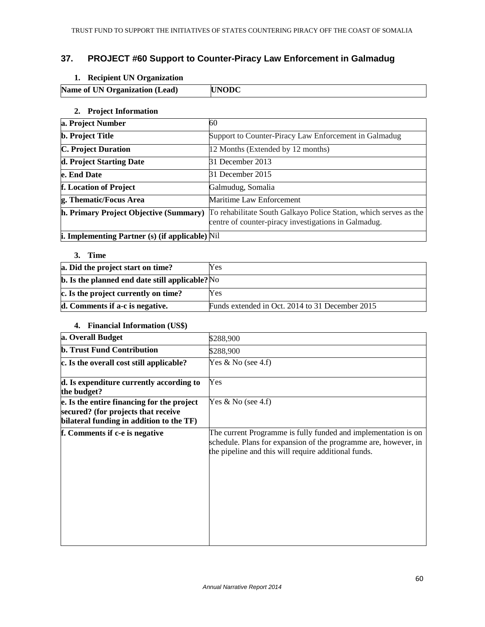## **37. PROJECT #60 Support to Counter-Piracy Law Enforcement in Galmadug**

## **1. Recipient UN Organization**

| Name of UN Organization (Lead) | <b>UNODC</b> |
|--------------------------------|--------------|
|                                |              |

## **2. Project Information**

| a. Project Number                                      | 60                                                                                                                        |
|--------------------------------------------------------|---------------------------------------------------------------------------------------------------------------------------|
| <b>b.</b> Project Title                                | Support to Counter-Piracy Law Enforcement in Galmadug                                                                     |
| <b>C. Project Duration</b>                             | 12 Months (Extended by 12 months)                                                                                         |
| d. Project Starting Date                               | 31 December 2013                                                                                                          |
| e. End Date                                            | 31 December 2015                                                                                                          |
| f. Location of Project                                 | Galmudug, Somalia                                                                                                         |
| g. Thematic/Focus Area                                 | Maritime Law Enforcement                                                                                                  |
| h. Primary Project Objective (Summary)                 | To rehabilitate South Galkayo Police Station, which serves as the<br>centre of counter-piracy investigations in Galmadug. |
| <b>i. Implementing Partner (s) (if applicable)</b> Nil |                                                                                                                           |

### **3. Time**

| a. Did the project start on time?                          | Yes                                             |
|------------------------------------------------------------|-------------------------------------------------|
| $\mathbf b$ . Is the planned end date still applicable? No |                                                 |
| c. Is the project currently on time?                       | Yes                                             |
| d. Comments if a-c is negative.                            | Funds extended in Oct. 2014 to 31 December 2015 |

### **4. Financial Information (US\$)**

| a. Overall Budget                                                                                                             | \$288,900                                                                                                                                                                                 |
|-------------------------------------------------------------------------------------------------------------------------------|-------------------------------------------------------------------------------------------------------------------------------------------------------------------------------------------|
| <b>b. Trust Fund Contribution</b>                                                                                             | \$288,900                                                                                                                                                                                 |
| c. Is the overall cost still applicable?                                                                                      | Yes $& No$ (see 4.f)                                                                                                                                                                      |
| d. Is expenditure currently according to<br>the budget?                                                                       | Yes                                                                                                                                                                                       |
| e. Is the entire financing for the project<br>secured? (for projects that receive<br>bilateral funding in addition to the TF) | Yes $& No$ (see 4.f)                                                                                                                                                                      |
| f. Comments if c-e is negative                                                                                                | The current Programme is fully funded and implementation is on<br>schedule. Plans for expansion of the programme are, however, in<br>the pipeline and this will require additional funds. |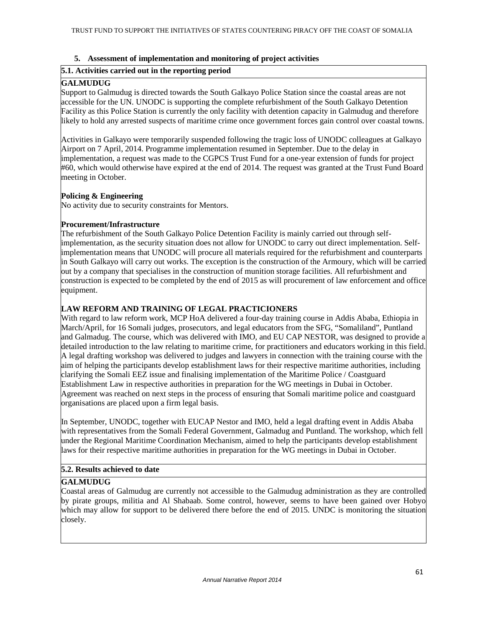## **5. Assessment of implementation and monitoring of project activities**

## **5.1. Activities carried out in the reporting period**

## **GALMUDUG**

Support to Galmudug is directed towards the South Galkayo Police Station since the coastal areas are not accessible for the UN. UNODC is supporting the complete refurbishment of the South Galkayo Detention Facility as this Police Station is currently the only facility with detention capacity in Galmudug and therefore likely to hold any arrested suspects of maritime crime once government forces gain control over coastal towns.

Activities in Galkayo were temporarily suspended following the tragic loss of UNODC colleagues at Galkayo Airport on 7 April, 2014. Programme implementation resumed in September. Due to the delay in implementation, a request was made to the CGPCS Trust Fund for a one-year extension of funds for project #60, which would otherwise have expired at the end of 2014. The request was granted at the Trust Fund Board meeting in October.

## **Policing & Engineering**

No activity due to security constraints for Mentors.

## **Procurement/Infrastructure**

The refurbishment of the South Galkayo Police Detention Facility is mainly carried out through selfimplementation, as the security situation does not allow for UNODC to carry out direct implementation. Selfimplementation means that UNODC will procure all materials required for the refurbishment and counterparts in South Galkayo will carry out works. The exception is the construction of the Armoury, which will be carried out by a company that specialises in the construction of munition storage facilities. All refurbishment and construction is expected to be completed by the end of 2015 as will procurement of law enforcement and office equipment.

## **LAW REFORM AND TRAINING OF LEGAL PRACTICIONERS**

With regard to law reform work, MCP HoA delivered a four-day training course in Addis Ababa, Ethiopia in March/April, for 16 Somali judges, prosecutors, and legal educators from the SFG, "Somaliland", Puntland and Galmadug. The course, which was delivered with IMO, and EU CAP NESTOR, was designed to provide a detailed introduction to the law relating to maritime crime, for practitioners and educators working in this field. A legal drafting workshop was delivered to judges and lawyers in connection with the training course with the aim of helping the participants develop establishment laws for their respective maritime authorities, including clarifying the Somali EEZ issue and finalising implementation of the Maritime Police / Coastguard Establishment Law in respective authorities in preparation for the WG meetings in Dubai in October. Agreement was reached on next steps in the process of ensuring that Somali maritime police and coastguard organisations are placed upon a firm legal basis.

In September, UNODC, together with EUCAP Nestor and IMO, held a legal drafting event in Addis Ababa with representatives from the Somali Federal Government, Galmadug and Puntland. The workshop, which fell under the Regional Maritime Coordination Mechanism, aimed to help the participants develop establishment laws for their respective maritime authorities in preparation for the WG meetings in Dubai in October.

## **5.2. Results achieved to date**

## **GALMUDUG**

Coastal areas of Galmudug are currently not accessible to the Galmudug administration as they are controlled by pirate groups, militia and Al Shabaab. Some control, however, seems to have been gained over Hobyo which may allow for support to be delivered there before the end of 2015. UNDC is monitoring the situation closely.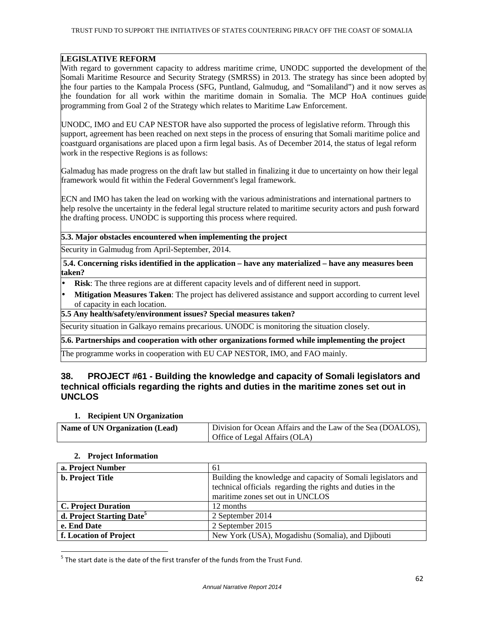## **LEGISLATIVE REFORM**

With regard to government capacity to address maritime crime, UNODC supported the development of the Somali Maritime Resource and Security Strategy (SMRSS) in 2013. The strategy has since been adopted by the four parties to the Kampala Process (SFG, Puntland, Galmudug, and "Somaliland") and it now serves as the foundation for all work within the maritime domain in Somalia. The MCP HoA continues guide programming from Goal 2 of the Strategy which relates to Maritime Law Enforcement.

UNODC, IMO and EU CAP NESTOR have also supported the process of legislative reform. Through this support, agreement has been reached on next steps in the process of ensuring that Somali maritime police and coastguard organisations are placed upon a firm legal basis. As of December 2014, the status of legal reform work in the respective Regions is as follows:

Galmadug has made progress on the draft law but stalled in finalizing it due to uncertainty on how their legal framework would fit within the Federal Government's legal framework.

ECN and IMO has taken the lead on working with the various administrations and international partners to help resolve the uncertainty in the federal legal structure related to maritime security actors and push forward the drafting process. UNODC is supporting this process where required.

### **5.3. Major obstacles encountered when implementing the project**

Security in Galmudug from April-September, 2014.

**5.4. Concerning risks identified in the application – have any materialized – have any measures been taken?** 

- **Risk**: The three regions are at different capacity levels and of different need in support.
- **Mitigation Measures Taken**: The project has delivered assistance and support according to current level of capacity in each location.

**5.5 Any health/safety/environment issues? Special measures taken?** 

Security situation in Galkayo remains precarious. UNODC is monitoring the situation closely.

### **5.6. Partnerships and cooperation with other organizations formed while implementing the project**

The programme works in cooperation with EU CAP NESTOR, IMO, and FAO mainly.

## **38. PROJECT #61 - Building the knowledge and capacity of Somali legislators and technical officials regarding the rights and duties in the maritime zones set out in UNCLOS**

### **1. Recipient UN Organization**

| <b>Name of UN Organization (Lead)</b> | Division for Ocean Affairs and the Law of the Sea (DOALOS), |
|---------------------------------------|-------------------------------------------------------------|
|                                       | Office of Legal Affairs (OLA)                               |

### **2. Project Information**

 $\overline{a}$ 

| a. Project Number                     | 61                                                                                                                                                              |
|---------------------------------------|-----------------------------------------------------------------------------------------------------------------------------------------------------------------|
| <b>b.</b> Project Title               | Building the knowledge and capacity of Somali legislators and<br>technical officials regarding the rights and duties in the<br>maritime zones set out in UNCLOS |
| <b>C. Project Duration</b>            | 12 months                                                                                                                                                       |
| d. Project Starting Date <sup>5</sup> | 2 September 2014                                                                                                                                                |
| e. End Date                           | 2 September 2015                                                                                                                                                |
| f. Location of Project                | New York (USA), Mogadishu (Somalia), and Djibouti                                                                                                               |

 $<sup>5</sup>$  The start date is the date of the first transfer of the funds from the Trust Fund.</sup>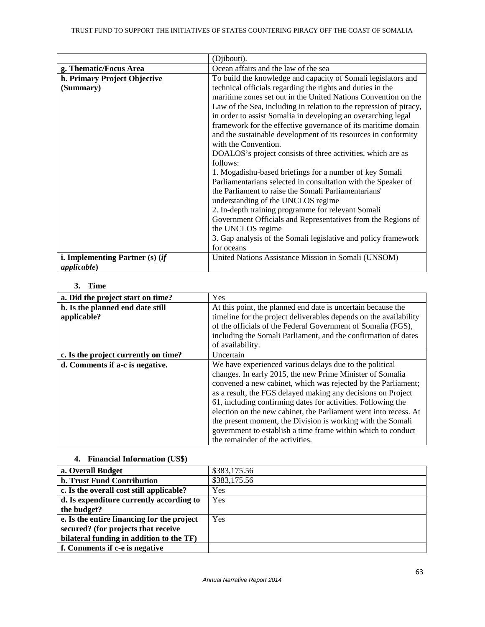|                                   | (Djibouti).                                                        |
|-----------------------------------|--------------------------------------------------------------------|
| g. Thematic/Focus Area            | Ocean affairs and the law of the sea                               |
| h. Primary Project Objective      | To build the knowledge and capacity of Somali legislators and      |
| (Summary)                         | technical officials regarding the rights and duties in the         |
|                                   | maritime zones set out in the United Nations Convention on the     |
|                                   | Law of the Sea, including in relation to the repression of piracy, |
|                                   | in order to assist Somalia in developing an overarching legal      |
|                                   | framework for the effective governance of its maritime domain      |
|                                   | and the sustainable development of its resources in conformity     |
|                                   | with the Convention.                                               |
|                                   | DOALOS's project consists of three activities, which are as        |
|                                   | follows:                                                           |
|                                   | 1. Mogadishu-based briefings for a number of key Somali            |
|                                   | Parliamentarians selected in consultation with the Speaker of      |
|                                   | the Parliament to raise the Somali Parliamentarians'               |
|                                   | understanding of the UNCLOS regime                                 |
|                                   | 2. In-depth training programme for relevant Somali                 |
|                                   | Government Officials and Representatives from the Regions of       |
|                                   | the UNCLOS regime                                                  |
|                                   | 3. Gap analysis of the Somali legislative and policy framework     |
|                                   | for oceans                                                         |
| i. Implementing Partner $(s)$ (if | United Nations Assistance Mission in Somali (UNSOM)                |
| <i>applicable</i> )               |                                                                    |

## **3. Time**

| a. Did the project start on time?    | Yes                                                               |
|--------------------------------------|-------------------------------------------------------------------|
| b. Is the planned end date still     | At this point, the planned end date is uncertain because the      |
| applicable?                          | timeline for the project deliverables depends on the availability |
|                                      | of the officials of the Federal Government of Somalia (FGS),      |
|                                      | including the Somali Parliament, and the confirmation of dates    |
|                                      | of availability.                                                  |
| c. Is the project currently on time? | Uncertain                                                         |
| d. Comments if a-c is negative.      | We have experienced various delays due to the political           |
|                                      | changes. In early 2015, the new Prime Minister of Somalia         |
|                                      | convened a new cabinet, which was rejected by the Parliament;     |
|                                      | as a result, the FGS delayed making any decisions on Project      |
|                                      | 61, including confirming dates for activities. Following the      |
|                                      | election on the new cabinet, the Parliament went into recess. At  |
|                                      | the present moment, the Division is working with the Somali       |
|                                      | government to establish a time frame within which to conduct      |
|                                      | the remainder of the activities.                                  |

## **4. Financial Information (US\$)**

| a. Overall Budget                          | \$383,175.56 |
|--------------------------------------------|--------------|
| <b>b. Trust Fund Contribution</b>          | \$383,175.56 |
| c. Is the overall cost still applicable?   | Yes          |
| d. Is expenditure currently according to   | Yes          |
| the budget?                                |              |
| e. Is the entire financing for the project | Yes          |
| secured? (for projects that receive        |              |
| bilateral funding in addition to the TF)   |              |
| f. Comments if c-e is negative             |              |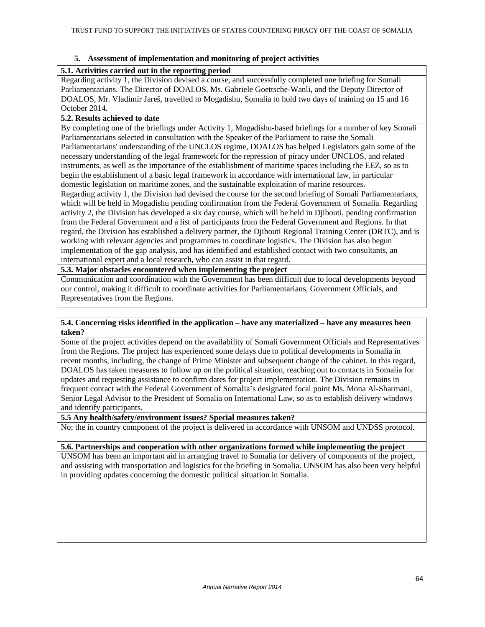## **5. Assessment of implementation and monitoring of project activities**

## **5.1. Activities carried out in the reporting period**

Regarding activity 1, the Division devised a course, and successfully completed one briefing for Somali Parliamentarians. The Director of DOALOS, Ms. Gabriele Goettsche-Wanli, and the Deputy Director of DOALOS, Mr. Vladimír Jareš, travelled to Mogadishu, Somalia to hold two days of training on 15 and 16 October 2014.

## **5.2. Results achieved to date**

By completing one of the briefings under Activity 1, Mogadishu-based briefings for a number of key Somali Parliamentarians selected in consultation with the Speaker of the Parliament to raise the Somali Parliamentarians' understanding of the UNCLOS regime, DOALOS has helped Legislators gain some of the necessary understanding of the legal framework for the repression of piracy under UNCLOS, and related instruments, as well as the importance of the establishment of maritime spaces including the EEZ, so as to begin the establishment of a basic legal framework in accordance with international law, in particular domestic legislation on maritime zones, and the sustainable exploitation of marine resources. Regarding activity 1, the Division had devised the course for the second briefing of Somali Parliamentarians, which will be held in Mogadishu pending confirmation from the Federal Government of Somalia. Regarding activity 2, the Division has developed a six day course, which will be held in Djibouti, pending confirmation from the Federal Government and a list of participants from the Federal Government and Regions. In that

regard, the Division has established a delivery partner, the Djibouti Regional Training Center (DRTC), and is working with relevant agencies and programmes to coordinate logistics. The Division has also begun implementation of the gap analysis, and has identified and established contact with two consultants, an international expert and a local research, who can assist in that regard.

## **5.3. Major obstacles encountered when implementing the project**

Communication and coordination with the Government has been difficult due to local developments beyond our control, making it difficult to coordinate activities for Parliamentarians, Government Officials, and Representatives from the Regions.

### **5.4. Concerning risks identified in the application – have any materialized – have any measures been taken?**

Some of the project activities depend on the availability of Somali Government Officials and Representatives from the Regions. The project has experienced some delays due to political developments in Somalia in recent months, including, the change of Prime Minister and subsequent change of the cabinet. In this regard, DOALOS has taken measures to follow up on the political situation, reaching out to contacts in Somalia for updates and requesting assistance to confirm dates for project implementation. The Division remains in frequent contact with the Federal Government of Somalia's designated focal point Ms. Mona Al-Sharmani, Senior Legal Advisor to the President of Somalia on International Law, so as to establish delivery windows and identify participants.

## **5.5 Any health/safety/environment issues? Special measures taken?**

No; the in country component of the project is delivered in accordance with UNSOM and UNDSS protocol.

### **5.6. Partnerships and cooperation with other organizations formed while implementing the project**

UNSOM has been an important aid in arranging travel to Somalia for delivery of components of the project, and assisting with transportation and logistics for the briefing in Somalia. UNSOM has also been very helpful in providing updates concerning the domestic political situation in Somalia.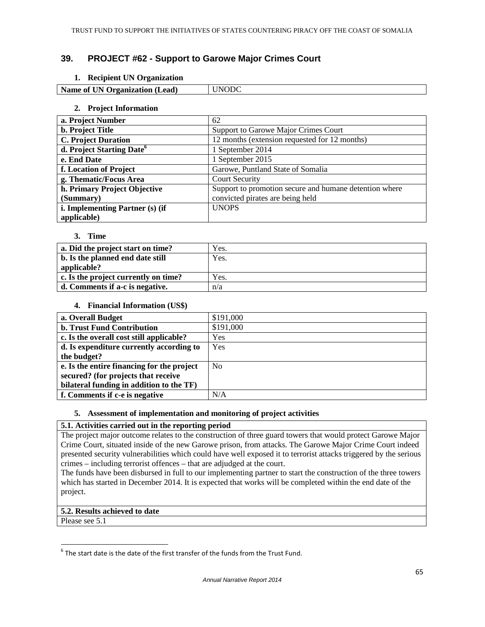## **39. PROJECT #62 - Support to Garowe Major Crimes Court**

### **1. Recipient UN Organization**

| Name of UN Organization (Lead) | 7DC<br>INI ( |
|--------------------------------|--------------|
|                                |              |

### **2. Project Information**

| a. Project Number                     | 62                                                     |
|---------------------------------------|--------------------------------------------------------|
| <b>b.</b> Project Title               | Support to Garowe Major Crimes Court                   |
| <b>C. Project Duration</b>            | 12 months (extension requested for 12 months)          |
| d. Project Starting Date <sup>6</sup> | 1 September 2014                                       |
| e. End Date                           | 1 September 2015                                       |
| f. Location of Project                | Garowe, Puntland State of Somalia                      |
| g. Thematic/Focus Area                | <b>Court Security</b>                                  |
| h. Primary Project Objective          | Support to promotion secure and humane detention where |
| (Summary)                             | convicted pirates are being held                       |
| i. Implementing Partner (s) (if       | <b>UNOPS</b>                                           |
| applicable)                           |                                                        |

#### **3. Time**

| a. Did the project start on time?    | Yes. |
|--------------------------------------|------|
| b. Is the planned end date still     | Yes. |
| applicable?                          |      |
| c. Is the project currently on time? | Yes. |
| d. Comments if a-c is negative.      | n/a  |

#### **4. Financial Information (US\$)**

| a. Overall Budget                          | \$191,000      |
|--------------------------------------------|----------------|
| <b>b. Trust Fund Contribution</b>          | \$191,000      |
| c. Is the overall cost still applicable?   | Yes            |
| d. Is expenditure currently according to   | Yes            |
| the budget?                                |                |
| e. Is the entire financing for the project | N <sub>0</sub> |
| secured? (for projects that receive        |                |
| bilateral funding in addition to the TF)   |                |
| f. Comments if c-e is negative             | N/A            |

### **5. Assessment of implementation and monitoring of project activities**

### **5.1. Activities carried out in the reporting period**

The project major outcome relates to the construction of three guard towers that would protect Garowe Major Crime Court, situated inside of the new Garowe prison, from attacks. The Garowe Major Crime Court indeed presented security vulnerabilities which could have well exposed it to terrorist attacks triggered by the serious crimes – including terrorist offences – that are adjudged at the court.

The funds have been disbursed in full to our implementing partner to start the construction of the three towers which has started in December 2014. It is expected that works will be completed within the end date of the project.

### **5.2. Results achieved to date**

Please see 5.1

<sup>&</sup>lt;u>Fill be stard date is the date of the first</u> transfer of the funds from the Trust Fund.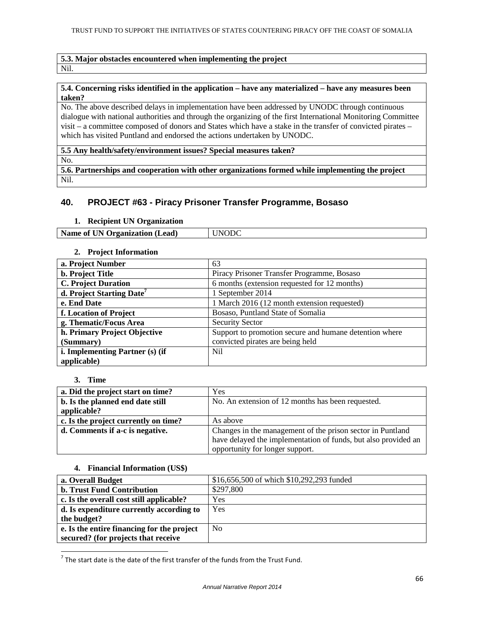#### **5.3. Major obstacles encountered when implementing the project**  Nil.

#### **5.4. Concerning risks identified in the application – have any materialized – have any measures been taken?**

No. The above described delays in implementation have been addressed by UNODC through continuous dialogue with national authorities and through the organizing of the first International Monitoring Committee visit – a committee composed of donors and States which have a stake in the transfer of convicted pirates – which has visited Puntland and endorsed the actions undertaken by UNODC.

**5.5 Any health/safety/environment issues? Special measures taken?** 

No.

**5.6. Partnerships and cooperation with other organizations formed while implementing the project**  Nil.

## **40. PROJECT #63 - Piracy Prisoner Transfer Programme, Bosaso**

#### **1. Recipient UN Organization**

**Name of UN Organization (Lead)** UNODC

#### **2. Project Information**

| a. Project Number                     | 63                                                     |
|---------------------------------------|--------------------------------------------------------|
| <b>b.</b> Project Title               | Piracy Prisoner Transfer Programme, Bosaso             |
| <b>C. Project Duration</b>            | 6 months (extension requested for 12 months)           |
| d. Project Starting Date <sup>7</sup> | 1 September 2014                                       |
| e. End Date                           | 1 March 2016 (12 month extension requested)            |
| f. Location of Project                | Bosaso, Puntland State of Somalia                      |
| g. Thematic/Focus Area                | <b>Security Sector</b>                                 |
| h. Primary Project Objective          | Support to promotion secure and humane detention where |
| (Summary)                             | convicted pirates are being held                       |
| i. Implementing Partner (s) (if       | Nil                                                    |
| applicable)                           |                                                        |

### **3. Time**

 $\overline{a}$ 

| a. Did the project start on time?    | Yes                                                            |
|--------------------------------------|----------------------------------------------------------------|
| b. Is the planned end date still     | No. An extension of 12 months has been requested.              |
| applicable?                          |                                                                |
| c. Is the project currently on time? | As above                                                       |
| d. Comments if a-c is negative.      | Changes in the management of the prison sector in Puntland     |
|                                      | have delayed the implementation of funds, but also provided an |
|                                      | opportunity for longer support.                                |

#### **4. Financial Information (US\$)**

| a. Overall Budget                          | \$16,656,500 of which \$10,292,293 funded |
|--------------------------------------------|-------------------------------------------|
| <b>b. Trust Fund Contribution</b>          | \$297,800                                 |
| c. Is the overall cost still applicable?   | Yes                                       |
| d. Is expenditure currently according to   | Yes                                       |
| the budget?                                |                                           |
| e. Is the entire financing for the project | N <sub>0</sub>                            |
| secured? (for projects that receive        |                                           |

 $^7$  The start date is the date of the first transfer of the funds from the Trust Fund.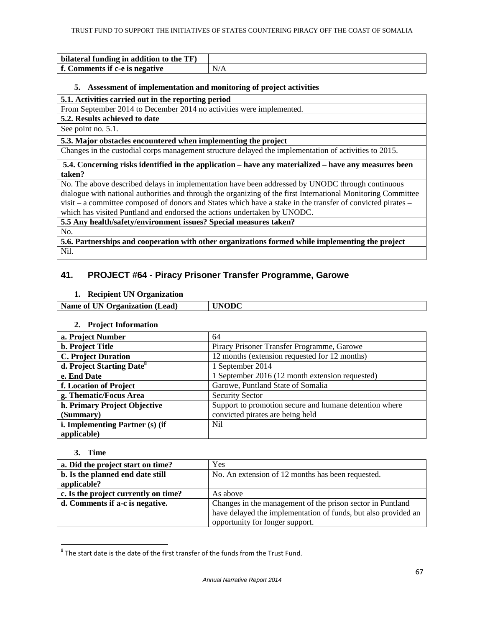| bilateral funding in addition to the TF) |     |
|------------------------------------------|-----|
| f. Comments if c-e is negative           | N/A |

### **5. Assessment of implementation and monitoring of project activities**

### **5.1. Activities carried out in the reporting period**

From September 2014 to December 2014 no activities were implemented.

**5.2. Results achieved to date** 

See point no. 5.1.

**5.3. Major obstacles encountered when implementing the project** 

Changes in the custodial corps management structure delayed the implementation of activities to 2015.

**5.4. Concerning risks identified in the application – have any materialized – have any measures been taken?**

No. The above described delays in implementation have been addressed by UNODC through continuous dialogue with national authorities and through the organizing of the first International Monitoring Committee visit – a committee composed of donors and States which have a stake in the transfer of convicted pirates – which has visited Puntland and endorsed the actions undertaken by UNODC.

**5.5 Any health/safety/environment issues? Special measures taken?** 

No.

**5.6. Partnerships and cooperation with other organizations formed while implementing the project**  Nil.

## **41. PROJECT #64 - Piracy Prisoner Transfer Programme, Garowe**

### **1. Recipient UN Organization**

**Name of UN Organization (Lead) UNODC** 

### **2. Project Information**

| a. Project Number                     | 64                                                     |
|---------------------------------------|--------------------------------------------------------|
| <b>b.</b> Project Title               | Piracy Prisoner Transfer Programme, Garowe             |
| <b>C. Project Duration</b>            | 12 months (extension requested for 12 months)          |
| d. Project Starting Date <sup>8</sup> | 1 September 2014                                       |
| e. End Date                           | 1 September 2016 (12 month extension requested)        |
| f. Location of Project                | Garowe, Puntland State of Somalia                      |
| g. Thematic/Focus Area                | <b>Security Sector</b>                                 |
| h. Primary Project Objective          | Support to promotion secure and humane detention where |
| (Summary)                             | convicted pirates are being held                       |
| i. Implementing Partner (s) (if       | Nil                                                    |
| applicable)                           |                                                        |

### **3. Time**

| a. Did the project start on time?    | Yes                                                            |
|--------------------------------------|----------------------------------------------------------------|
| b. Is the planned end date still     | No. An extension of 12 months has been requested.              |
| applicable?                          |                                                                |
| c. Is the project currently on time? | As above                                                       |
| d. Comments if a-c is negative.      | Changes in the management of the prison sector in Puntland     |
|                                      | have delayed the implementation of funds, but also provided an |
|                                      | opportunity for longer support.                                |

**EXECUTE:**<br><sup>8</sup> The start date is the date of the first transfer of the funds from the Trust Fund.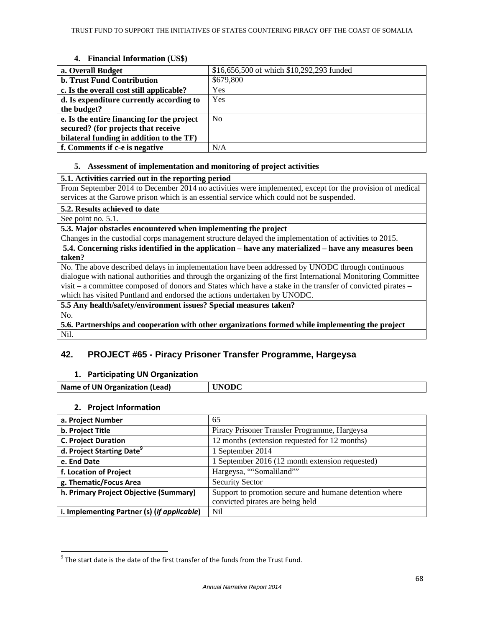### **4. Financial Information (US\$)**

| a. Overall Budget                          | \$16,656,500 of which \$10,292,293 funded |
|--------------------------------------------|-------------------------------------------|
| <b>b. Trust Fund Contribution</b>          | \$679,800                                 |
| c. Is the overall cost still applicable?   | Yes                                       |
| d. Is expenditure currently according to   | Yes                                       |
| the budget?                                |                                           |
| e. Is the entire financing for the project | N <sub>0</sub>                            |
| secured? (for projects that receive        |                                           |
| bilateral funding in addition to the TF)   |                                           |
| f. Comments if c-e is negative             | N/A                                       |

#### **5. Assessment of implementation and monitoring of project activities**

## **5.1. Activities carried out in the reporting period**

From September 2014 to December 2014 no activities were implemented, except for the provision of medical services at the Garowe prison which is an essential service which could not be suspended.

**5.2. Results achieved to date** 

See point no. 5.1.

**5.3. Major obstacles encountered when implementing the project** 

Changes in the custodial corps management structure delayed the implementation of activities to 2015.

**5.4. Concerning risks identified in the application – have any materialized – have any measures been taken?**

No. The above described delays in implementation have been addressed by UNODC through continuous dialogue with national authorities and through the organizing of the first International Monitoring Committee visit – a committee composed of donors and States which have a stake in the transfer of convicted pirates – which has visited Puntland and endorsed the actions undertaken by UNODC.

**5.5 Any health/safety/environment issues? Special measures taken?** 

No.

 $\overline{a}$ 

**5.6. Partnerships and cooperation with other organizations formed while implementing the project**  Nil.

## **42. PROJECT #65 - Piracy Prisoner Transfer Programme, Hargeysa**

## 1. Participating UN Organization

| <b>Name of UN Organization (Lead)</b> | <b>INODC</b> |
|---------------------------------------|--------------|
|                                       |              |

### 2. Project Information

| a. Project Number                           | 65                                                     |
|---------------------------------------------|--------------------------------------------------------|
| b. Project Title                            | Piracy Prisoner Transfer Programme, Hargeysa           |
| <b>C. Project Duration</b>                  | 12 months (extension requested for 12 months)          |
| d. Project Starting Date <sup>9</sup>       | 1 September 2014                                       |
| e. End Date                                 | 1 September 2016 (12 month extension requested)        |
| f. Location of Project                      | Hargeysa, ""Somaliland""                               |
| g. Thematic/Focus Area                      | <b>Security Sector</b>                                 |
| h. Primary Project Objective (Summary)      | Support to promotion secure and humane detention where |
|                                             | convicted pirates are being held                       |
| i. Implementing Partner (s) (if applicable) | Nil                                                    |

 $9$  The start date is the date of the first transfer of the funds from the Trust Fund.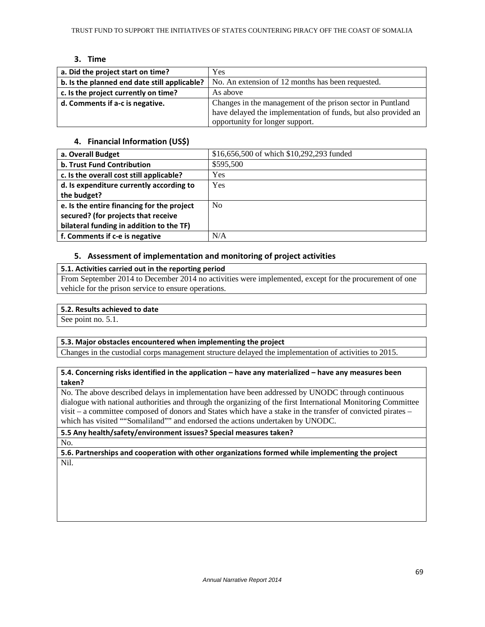## 3. Time

| a. Did the project start on time?            | Yes                                                            |
|----------------------------------------------|----------------------------------------------------------------|
| b. Is the planned end date still applicable? | No. An extension of 12 months has been requested.              |
| c. Is the project currently on time?         | As above                                                       |
| d. Comments if a-c is negative.              | Changes in the management of the prison sector in Puntland     |
|                                              | have delayed the implementation of funds, but also provided an |
|                                              | opportunity for longer support.                                |

## 4. Financial Information (US\$)

| a. Overall Budget                          | \$16,656,500 of which \$10,292,293 funded |
|--------------------------------------------|-------------------------------------------|
| b. Trust Fund Contribution                 | \$595,500                                 |
| c. Is the overall cost still applicable?   | Yes                                       |
| d. Is expenditure currently according to   | Yes                                       |
| the budget?                                |                                           |
| e. Is the entire financing for the project | N <sub>0</sub>                            |
| secured? (for projects that receive        |                                           |
| bilateral funding in addition to the TF)   |                                           |
| f. Comments if c-e is negative             | N/A                                       |

## 5. Assessment of implementation and monitoring of project activities

## 5.1. Activities carried out in the reporting period

From September 2014 to December 2014 no activities were implemented, except for the procurement of one vehicle for the prison service to ensure operations.

### 5.2. Results achieved to date

See point no. 5.1.

### 5.3. Major obstacles encountered when implementing the project

Changes in the custodial corps management structure delayed the implementation of activities to 2015.

5.4. Concerning risks identified in the application – have any materialized – have any measures been taken?

No. The above described delays in implementation have been addressed by UNODC through continuous dialogue with national authorities and through the organizing of the first International Monitoring Committee visit – a committee composed of donors and States which have a stake in the transfer of convicted pirates – which has visited ""Somaliland"" and endorsed the actions undertaken by UNODC.

5.5 Any health/safety/environment issues? Special measures taken? No.

5.6. Partnerships and cooperation with other organizations formed while implementing the project Nil.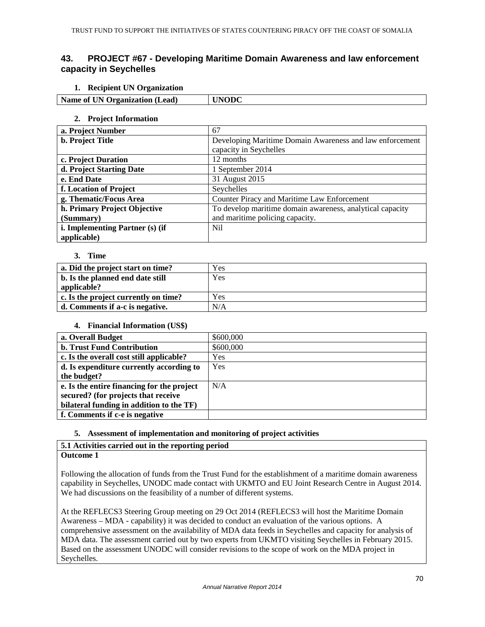## **43. PROJECT #67 - Developing Maritime Domain Awareness and law enforcement capacity in Seychelles**

### **1. Recipient UN Organization**

| --<br>__                                                               |  |
|------------------------------------------------------------------------|--|
| Name of<br>Organization<br>Lead)<br>$\overline{ }$<br>UN.<br>$\ddotsc$ |  |
|                                                                        |  |

### **2. Project Information**

| a. Project Number               | 67                                                        |
|---------------------------------|-----------------------------------------------------------|
| <b>b.</b> Project Title         | Developing Maritime Domain Awareness and law enforcement  |
|                                 | capacity in Seychelles                                    |
| c. Project Duration             | 12 months                                                 |
| d. Project Starting Date        | 1 September 2014                                          |
| e. End Date                     | 31 August 2015                                            |
| f. Location of Project          | Seychelles                                                |
| g. Thematic/Focus Area          | Counter Piracy and Maritime Law Enforcement               |
| h. Primary Project Objective    | To develop maritime domain awareness, analytical capacity |
| (Summary)                       | and maritime policing capacity.                           |
| i. Implementing Partner (s) (if | Nil.                                                      |
| applicable)                     |                                                           |

#### **3. Time**

| a. Did the project start on time?    | Yes |
|--------------------------------------|-----|
| b. Is the planned end date still     | Yes |
| applicable?                          |     |
| c. Is the project currently on time? | Yes |
| d. Comments if a-c is negative.      | N/A |

### **4. Financial Information (US\$)**

| a. Overall Budget                          | \$600,000 |
|--------------------------------------------|-----------|
| <b>b. Trust Fund Contribution</b>          | \$600,000 |
| c. Is the overall cost still applicable?   | Yes       |
| d. Is expenditure currently according to   | Yes       |
| the budget?                                |           |
| e. Is the entire financing for the project | N/A       |
| secured? (for projects that receive        |           |
| bilateral funding in addition to the TF)   |           |
| f. Comments if c-e is negative             |           |

## **5. Assessment of implementation and monitoring of project activities**

#### **5.1 Activities carried out in the reporting period Outcome 1**

Following the allocation of funds from the Trust Fund for the establishment of a maritime domain awareness capability in Seychelles, UNODC made contact with UKMTO and EU Joint Research Centre in August 2014. We had discussions on the feasibility of a number of different systems.

At the REFLECS3 Steering Group meeting on 29 Oct 2014 (REFLECS3 will host the Maritime Domain Awareness – MDA - capability) it was decided to conduct an evaluation of the various options. A comprehensive assessment on the availability of MDA data feeds in Seychelles and capacity for analysis of MDA data. The assessment carried out by two experts from UKMTO visiting Seychelles in February 2015. Based on the assessment UNODC will consider revisions to the scope of work on the MDA project in Seychelles.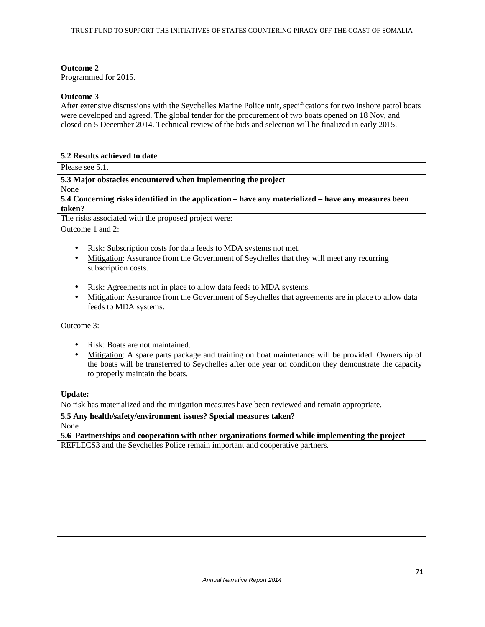### **Outcome 2**

Programmed for 2015.

## **Outcome 3**

After extensive discussions with the Seychelles Marine Police unit, specifications for two inshore patrol boats were developed and agreed. The global tender for the procurement of two boats opened on 18 Nov, and closed on 5 December 2014. Technical review of the bids and selection will be finalized in early 2015.

### **5.2 Results achieved to date**

Please see 5.1.

## **5.3 Major obstacles encountered when implementing the project**

None

### **5.4 Concerning risks identified in the application – have any materialized – have any measures been taken?**

The risks associated with the proposed project were: Outcome 1 and 2:

- Risk: Subscription costs for data feeds to MDA systems not met.
- Mitigation: Assurance from the Government of Seychelles that they will meet any recurring subscription costs.
- Risk: Agreements not in place to allow data feeds to MDA systems.
- Mitigation: Assurance from the Government of Seychelles that agreements are in place to allow data feeds to MDA systems.

Outcome 3:

- Risk: Boats are not maintained.
- Mitigation: A spare parts package and training on boat maintenance will be provided. Ownership of the boats will be transferred to Seychelles after one year on condition they demonstrate the capacity to properly maintain the boats.

## **Update:**

No risk has materialized and the mitigation measures have been reviewed and remain appropriate.

**5.5 Any health/safety/environment issues? Special measures taken?**  None

**5.6 Partnerships and cooperation with other organizations formed while implementing the project**  REFLECS3 and the Seychelles Police remain important and cooperative partners.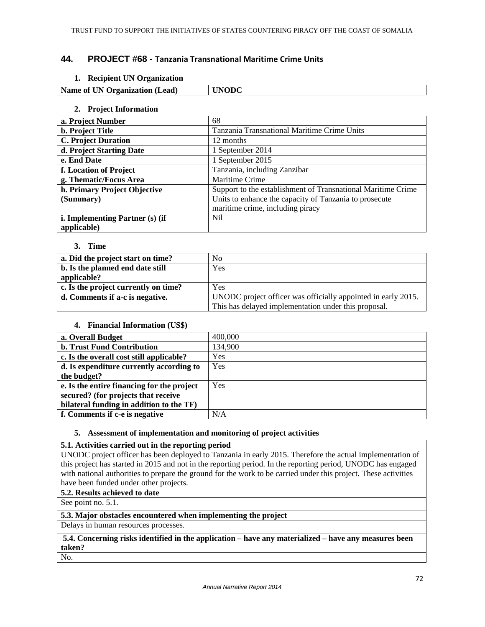## **44. PROJECT #68 -** Tanzania Transnational Maritime Crime Units

## **1. Recipient UN Organization**

|  | $\rightarrow$<br>Na<br>.ead`<br>. )rganization<br>- Ol<br>m<br>. | Dđ |
|--|------------------------------------------------------------------|----|
|--|------------------------------------------------------------------|----|

#### **2. Project Information**

| a. Project Number               | 68                                                           |
|---------------------------------|--------------------------------------------------------------|
| <b>b.</b> Project Title         | Tanzania Transnational Maritime Crime Units                  |
| <b>C. Project Duration</b>      | 12 months                                                    |
| d. Project Starting Date        | 1 September 2014                                             |
| e. End Date                     | 1 September 2015                                             |
| f. Location of Project          | Tanzania, including Zanzibar                                 |
| g. Thematic/Focus Area          | Maritime Crime                                               |
| h. Primary Project Objective    | Support to the establishment of Transnational Maritime Crime |
| (Summary)                       | Units to enhance the capacity of Tanzania to prosecute       |
|                                 | maritime crime, including piracy                             |
| i. Implementing Partner (s) (if | Nil.                                                         |
| applicable)                     |                                                              |

#### **3. Time**

| a. Did the project start on time?    | N <sub>0</sub>                                                |
|--------------------------------------|---------------------------------------------------------------|
| b. Is the planned end date still     | Yes                                                           |
| applicable?                          |                                                               |
| c. Is the project currently on time? | Yes                                                           |
| d. Comments if a-c is negative.      | UNODC project officer was officially appointed in early 2015. |
|                                      | This has delayed implementation under this proposal.          |

### **4. Financial Information (US\$)**

| a. Overall Budget                          | 400,000 |
|--------------------------------------------|---------|
| <b>b. Trust Fund Contribution</b>          | 134,900 |
| c. Is the overall cost still applicable?   | Yes     |
| d. Is expenditure currently according to   | Yes     |
| the budget?                                |         |
| e. Is the entire financing for the project | Yes     |
| secured? (for projects that receive        |         |
| bilateral funding in addition to the TF)   |         |
| f. Comments if c-e is negative             | N/A     |

### **5. Assessment of implementation and monitoring of project activities**

### **5.1. Activities carried out in the reporting period**

UNODC project officer has been deployed to Tanzania in early 2015. Therefore the actual implementation of this project has started in 2015 and not in the reporting period. In the reporting period, UNODC has engaged with national authorities to prepare the ground for the work to be carried under this project. These activities have been funded under other projects.

### **5.2. Results achieved to date**

See point no. 5.1.

## **5.3. Major obstacles encountered when implementing the project**

Delays in human resources processes.

## **5.4. Concerning risks identified in the application – have any materialized – have any measures been taken?**

No.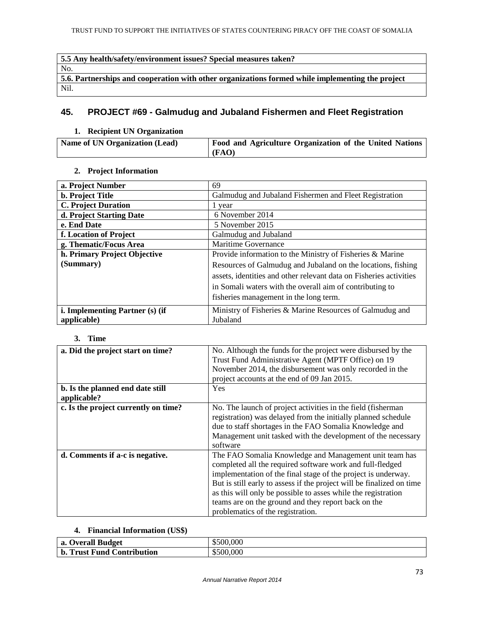# **5.5 Any health/safety/environment issues? Special measures taken?**  No. **5.6. Partnerships and cooperation with other organizations formed while implementing the project**  Nil.

# **45. PROJECT #69 - Galmudug and Jubaland Fishermen and Fleet Registration**

# **1. Recipient UN Organization**

| <b>Name of UN Organization (Lead)</b> | <b>Food and Agriculture Organization of the United Nations</b> |
|---------------------------------------|----------------------------------------------------------------|
|                                       | (FAO)                                                          |

# **2. Project Information**

| a. Project Number               | 69                                                                 |
|---------------------------------|--------------------------------------------------------------------|
| <b>b.</b> Project Title         | Galmudug and Jubaland Fishermen and Fleet Registration             |
| <b>C. Project Duration</b>      | 1 year                                                             |
| d. Project Starting Date        | 6 November 2014                                                    |
| e. End Date                     | 5 November 2015                                                    |
| f. Location of Project          | Galmudug and Jubaland                                              |
| g. Thematic/Focus Area          | <b>Maritime Governance</b>                                         |
| h. Primary Project Objective    | Provide information to the Ministry of Fisheries & Marine          |
| (Summary)                       | Resources of Galmudug and Jubaland on the locations, fishing       |
|                                 | assets, identities and other relevant data on Fisheries activities |
|                                 | in Somali waters with the overall aim of contributing to           |
|                                 | fisheries management in the long term.                             |
| i. Implementing Partner (s) (if | Ministry of Fisheries & Marine Resources of Galmudug and           |
| applicable)                     | Jubaland                                                           |

### **3. Time**

| a. Did the project start on time?               | No. Although the funds for the project were disbursed by the<br>Trust Fund Administrative Agent (MPTF Office) on 19<br>November 2014, the disbursement was only recorded in the<br>project accounts at the end of 09 Jan 2015.                                                                                                                                                                                             |
|-------------------------------------------------|----------------------------------------------------------------------------------------------------------------------------------------------------------------------------------------------------------------------------------------------------------------------------------------------------------------------------------------------------------------------------------------------------------------------------|
| b. Is the planned end date still<br>applicable? | <b>Yes</b>                                                                                                                                                                                                                                                                                                                                                                                                                 |
| c. Is the project currently on time?            | No. The launch of project activities in the field (fisherman<br>registration) was delayed from the initially planned schedule<br>due to staff shortages in the FAO Somalia Knowledge and<br>Management unit tasked with the development of the necessary<br>software                                                                                                                                                       |
| d. Comments if a-c is negative.                 | The FAO Somalia Knowledge and Management unit team has<br>completed all the required software work and full-fledged<br>implementation of the final stage of the project is underway.<br>But is still early to assess if the project will be finalized on time<br>as this will only be possible to asses while the registration<br>teams are on the ground and they report back on the<br>problematics of the registration. |

# **4. Financial Information (US\$)**

| a. Overall Budget               | 500.000   |
|---------------------------------|-----------|
| . Trust Fund Contribution<br>b. | \$500,000 |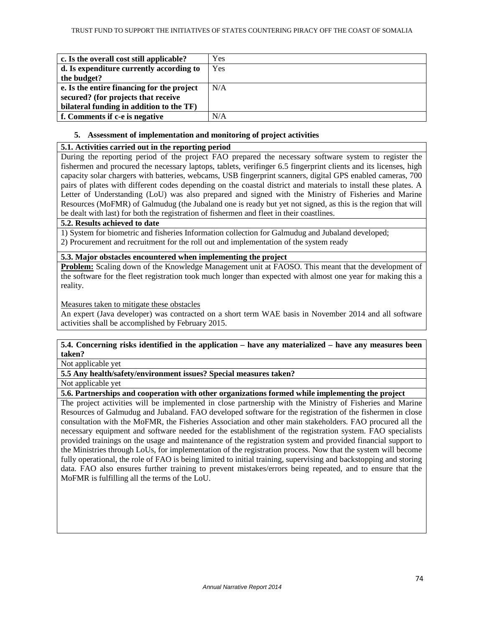| c. Is the overall cost still applicable?   | Yes |
|--------------------------------------------|-----|
| d. Is expenditure currently according to   | Yes |
| the budget?                                |     |
| e. Is the entire financing for the project | N/A |
| secured? (for projects that receive        |     |
| bilateral funding in addition to the TF)   |     |
| f. Comments if c-e is negative             | N/A |

# **5. Assessment of implementation and monitoring of project activities**

# **5.1. Activities carried out in the reporting period**

During the reporting period of the project FAO prepared the necessary software system to register the fishermen and procured the necessary laptops, tablets, verifinger 6.5 fingerprint clients and its licenses, high capacity solar chargers with batteries, webcams, USB fingerprint scanners, digital GPS enabled cameras, 700 pairs of plates with different codes depending on the coastal district and materials to install these plates. A Letter of Understanding (LoU) was also prepared and signed with the Ministry of Fisheries and Marine Resources (MoFMR) of Galmudug (the Jubaland one is ready but yet not signed, as this is the region that will be dealt with last) for both the registration of fishermen and fleet in their coastlines.

### **5.2. Results achieved to date**

1) System for biometric and fisheries Information collection for Galmudug and Jubaland developed; 2) Procurement and recruitment for the roll out and implementation of the system ready

# **5.3. Major obstacles encountered when implementing the project**

**Problem:** Scaling down of the Knowledge Management unit at FAOSO. This meant that the development of the software for the fleet registration took much longer than expected with almost one year for making this a reality.

Measures taken to mitigate these obstacles

An expert (Java developer) was contracted on a short term WAE basis in November 2014 and all software activities shall be accomplished by February 2015.

# **5.4. Concerning risks identified in the application – have any materialized – have any measures been taken?**

Not applicable yet

**5.5 Any health/safety/environment issues? Special measures taken?** 

Not applicable yet

# **5.6. Partnerships and cooperation with other organizations formed while implementing the project**

The project activities will be implemented in close partnership with the Ministry of Fisheries and Marine Resources of Galmudug and Jubaland. FAO developed software for the registration of the fishermen in close consultation with the MoFMR, the Fisheries Association and other main stakeholders. FAO procured all the necessary equipment and software needed for the establishment of the registration system. FAO specialists provided trainings on the usage and maintenance of the registration system and provided financial support to the Ministries through LoUs, for implementation of the registration process. Now that the system will become fully operational, the role of FAO is being limited to initial training, supervising and backstopping and storing data. FAO also ensures further training to prevent mistakes/errors being repeated, and to ensure that the MoFMR is fulfilling all the terms of the LoU.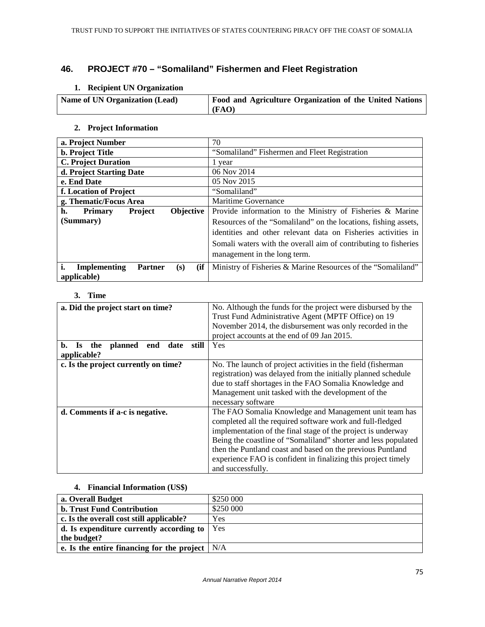# **46. PROJECT #70 – "Somaliland" Fishermen and Fleet Registration**

# **1. Recipient UN Organization**

| Name of UN Organization (Lead) | Food and Agriculture Organization of the United Nations |
|--------------------------------|---------------------------------------------------------|
|                                | (FAO)                                                   |

# **2. Project Information**

| a. Project Number                                   | 70                                                              |
|-----------------------------------------------------|-----------------------------------------------------------------|
| <b>b.</b> Project Title                             | "Somaliland" Fishermen and Fleet Registration                   |
| <b>C. Project Duration</b>                          | 1 year                                                          |
| d. Project Starting Date                            | 06 Nov 2014                                                     |
| e. End Date                                         | 05 Nov 2015                                                     |
| f. Location of Project                              | "Somaliland"                                                    |
| g. Thematic/Focus Area                              | <b>Maritime Governance</b>                                      |
| h.<br>Objective<br><b>Project</b><br><b>Primary</b> | Provide information to the Ministry of Fisheries & Marine       |
| (Summary)                                           | Resources of the "Somaliland" on the locations, fishing assets, |
|                                                     | identities and other relevant data on Fisheries activities in   |
|                                                     | Somali waters with the overall aim of contributing to fisheries |
|                                                     | management in the long term.                                    |
|                                                     |                                                                 |
| (ii<br><b>Implementing</b><br><b>Partner</b><br>(s) | Ministry of Fisheries & Marine Resources of the "Somaliland"    |
| applicable)                                         |                                                                 |

### **3. Time**

| a. Did the project start on time?                                        | No. Although the funds for the project were disbursed by the<br>Trust Fund Administrative Agent (MPTF Office) on 19<br>November 2014, the disbursement was only recorded in the                                                                                                                                                                                                                           |
|--------------------------------------------------------------------------|-----------------------------------------------------------------------------------------------------------------------------------------------------------------------------------------------------------------------------------------------------------------------------------------------------------------------------------------------------------------------------------------------------------|
|                                                                          | project accounts at the end of 09 Jan 2015.                                                                                                                                                                                                                                                                                                                                                               |
| still<br>b.<br>planned<br>date<br>end<br>the<br><b>Is</b><br>applicable? | Yes                                                                                                                                                                                                                                                                                                                                                                                                       |
| c. Is the project currently on time?                                     | No. The launch of project activities in the field (fisherman)<br>registration) was delayed from the initially planned schedule<br>due to staff shortages in the FAO Somalia Knowledge and<br>Management unit tasked with the development of the<br>necessary software                                                                                                                                     |
| d. Comments if a-c is negative.                                          | The FAO Somalia Knowledge and Management unit team has<br>completed all the required software work and full-fledged<br>implementation of the final stage of the project is underway<br>Being the coastline of "Somaliland" shorter and less populated<br>then the Puntland coast and based on the previous Puntland<br>experience FAO is confident in finalizing this project timely<br>and successfully. |

# **4. Financial Information (US\$)**

| a. Overall Budget                                              | \$250 000 |
|----------------------------------------------------------------|-----------|
| <b>b. Trust Fund Contribution</b>                              | \$250 000 |
| c. Is the overall cost still applicable?                       | Yes       |
| d. Is expenditure currently according to $\vert$ Yes           |           |
| the budget?                                                    |           |
| e. Is the entire financing for the project $\vert N/A \rangle$ |           |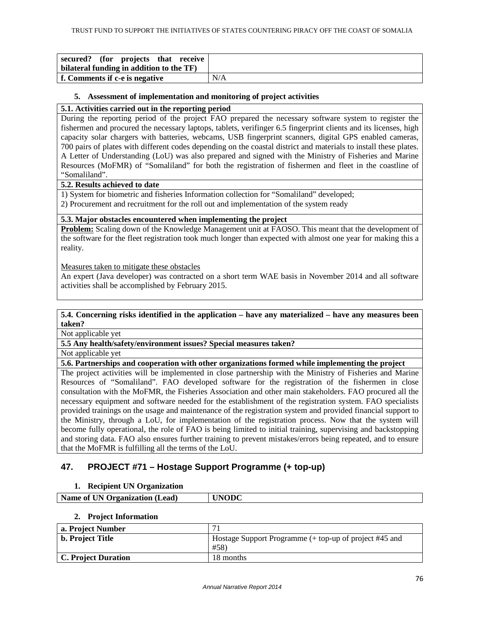| secured? (for projects that receive)<br>bilateral funding in addition to the TF) |     |
|----------------------------------------------------------------------------------|-----|
| f. Comments if c-e is negative                                                   | N/A |

### **5. Assessment of implementation and monitoring of project activities**

### **5.1. Activities carried out in the reporting period**

During the reporting period of the project FAO prepared the necessary software system to register the fishermen and procured the necessary laptops, tablets, verifinger 6.5 fingerprint clients and its licenses, high capacity solar chargers with batteries, webcams, USB fingerprint scanners, digital GPS enabled cameras, 700 pairs of plates with different codes depending on the coastal district and materials to install these plates. A Letter of Understanding (LoU) was also prepared and signed with the Ministry of Fisheries and Marine Resources (MoFMR) of "Somaliland" for both the registration of fishermen and fleet in the coastline of "Somaliland".

### **5.2. Results achieved to date**

1) System for biometric and fisheries Information collection for "Somaliland" developed;

2) Procurement and recruitment for the roll out and implementation of the system ready

### **5.3. Major obstacles encountered when implementing the project**

**Problem:** Scaling down of the Knowledge Management unit at FAOSO. This meant that the development of the software for the fleet registration took much longer than expected with almost one year for making this a reality.

Measures taken to mitigate these obstacles

An expert (Java developer) was contracted on a short term WAE basis in November 2014 and all software activities shall be accomplished by February 2015.

### **5.4. Concerning risks identified in the application – have any materialized – have any measures been taken?**

Not applicable yet

**5.5 Any health/safety/environment issues? Special measures taken?** 

Not applicable yet

# **5.6. Partnerships and cooperation with other organizations formed while implementing the project**

The project activities will be implemented in close partnership with the Ministry of Fisheries and Marine Resources of "Somaliland". FAO developed software for the registration of the fishermen in close consultation with the MoFMR, the Fisheries Association and other main stakeholders. FAO procured all the necessary equipment and software needed for the establishment of the registration system. FAO specialists provided trainings on the usage and maintenance of the registration system and provided financial support to the Ministry, through a LoU, for implementation of the registration process. Now that the system will become fully operational, the role of FAO is being limited to initial training, supervising and backstopping and storing data. FAO also ensures further training to prevent mistakes/errors being repeated, and to ensure that the MoFMR is fulfilling all the terms of the LoU.

# **47. PROJECT #71 – Hostage Support Programme (+ top-up)**

### **1. Recipient UN Organization**

**Name of UN Organization (Lead) UNODC** 

### **2. Project Information**

| a. Project Number   | ⇁                                                      |
|---------------------|--------------------------------------------------------|
| b. Project Title    | Hostage Support Programme (+ top-up of project #45 and |
|                     | #58)                                                   |
| C. Project Duration | 18 months                                              |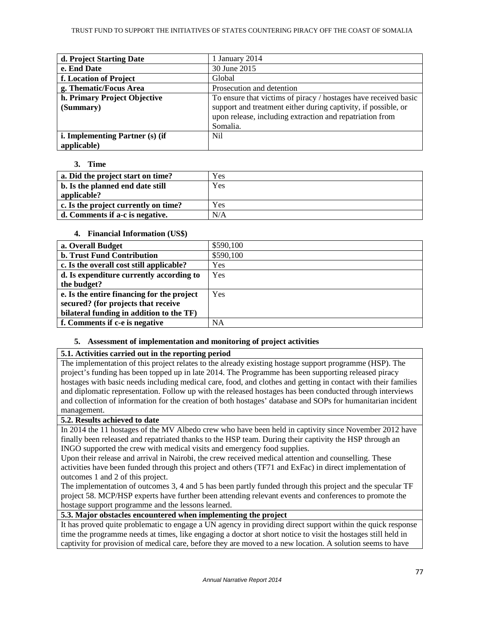| d. Project Starting Date        | 1 January 2014                                                  |
|---------------------------------|-----------------------------------------------------------------|
| e. End Date                     | 30 June 2015                                                    |
| f. Location of Project          | Global                                                          |
| g. Thematic/Focus Area          | Prosecution and detention                                       |
| h. Primary Project Objective    | To ensure that victims of piracy / hostages have received basic |
| (Summary)                       | support and treatment either during captivity, if possible, or  |
|                                 | upon release, including extraction and repatriation from        |
|                                 | Somalia.                                                        |
| i. Implementing Partner (s) (if | Nil.                                                            |
| applicable)                     |                                                                 |

# **3. Time**

| a. Did the project start on time?    | Yes |
|--------------------------------------|-----|
| b. Is the planned end date still     | Yes |
| applicable?                          |     |
| c. Is the project currently on time? | Yes |
| d. Comments if a-c is negative.      | N/A |

# **4. Financial Information (US\$)**

| a. Overall Budget                          | \$590,100 |
|--------------------------------------------|-----------|
| <b>b. Trust Fund Contribution</b>          | \$590,100 |
| c. Is the overall cost still applicable?   | Yes       |
| d. Is expenditure currently according to   | Yes       |
| the budget?                                |           |
| e. Is the entire financing for the project | Yes       |
| secured? (for projects that receive        |           |
| bilateral funding in addition to the TF)   |           |
| f. Comments if c-e is negative             | <b>NA</b> |

# **5. Assessment of implementation and monitoring of project activities**

# **5.1. Activities carried out in the reporting period**

The implementation of this project relates to the already existing hostage support programme (HSP). The project's funding has been topped up in late 2014. The Programme has been supporting released piracy hostages with basic needs including medical care, food, and clothes and getting in contact with their families and diplomatic representation. Follow up with the released hostages has been conducted through interviews and collection of information for the creation of both hostages' database and SOPs for humanitarian incident management.

# **5.2. Results achieved to date**

In 2014 the 11 hostages of the MV Albedo crew who have been held in captivity since November 2012 have finally been released and repatriated thanks to the HSP team. During their captivity the HSP through an INGO supported the crew with medical visits and emergency food supplies.

Upon their release and arrival in Nairobi, the crew received medical attention and counselling. These activities have been funded through this project and others (TF71 and ExFac) in direct implementation of outcomes 1 and 2 of this project.

The implementation of outcomes 3, 4 and 5 has been partly funded through this project and the specular TF project 58. MCP/HSP experts have further been attending relevant events and conferences to promote the hostage support programme and the lessons learned.

# **5.3. Major obstacles encountered when implementing the project**

It has proved quite problematic to engage a UN agency in providing direct support within the quick response time the programme needs at times, like engaging a doctor at short notice to visit the hostages still held in captivity for provision of medical care, before they are moved to a new location. A solution seems to have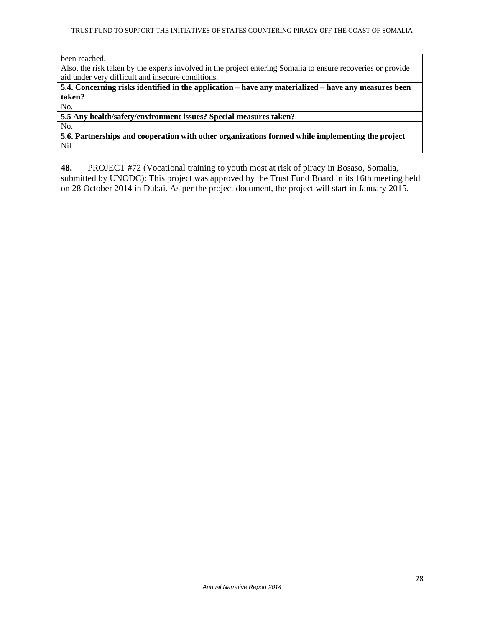been reached.

Also, the risk taken by the experts involved in the project entering Somalia to ensure recoveries or provide aid under very difficult and insecure conditions.

**5.4. Concerning risks identified in the application – have any materialized – have any measures been taken?**

No.

**5.5 Any health/safety/environment issues? Special measures taken?** 

No.

**5.6. Partnerships and cooperation with other organizations formed while implementing the project**  Nil

**48.** PROJECT #72 (Vocational training to youth most at risk of piracy in Bosaso, Somalia, submitted by UNODC): This project was approved by the Trust Fund Board in its 16th meeting held on 28 October 2014 in Dubai. As per the project document, the project will start in January 2015.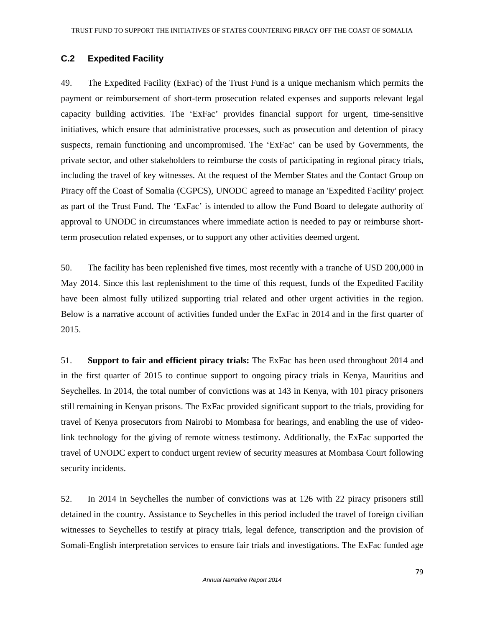# **C.2 Expedited Facility**

49. The Expedited Facility (ExFac) of the Trust Fund is a unique mechanism which permits the payment or reimbursement of short-term prosecution related expenses and supports relevant legal capacity building activities. The 'ExFac' provides financial support for urgent, time-sensitive initiatives, which ensure that administrative processes, such as prosecution and detention of piracy suspects, remain functioning and uncompromised. The 'ExFac' can be used by Governments, the private sector, and other stakeholders to reimburse the costs of participating in regional piracy trials, including the travel of key witnesses. At the request of the Member States and the Contact Group on Piracy off the Coast of Somalia (CGPCS), UNODC agreed to manage an 'Expedited Facility' project as part of the Trust Fund. The 'ExFac' is intended to allow the Fund Board to delegate authority of approval to UNODC in circumstances where immediate action is needed to pay or reimburse shortterm prosecution related expenses, or to support any other activities deemed urgent.

50. The facility has been replenished five times, most recently with a tranche of USD 200,000 in May 2014. Since this last replenishment to the time of this request, funds of the Expedited Facility have been almost fully utilized supporting trial related and other urgent activities in the region. Below is a narrative account of activities funded under the ExFac in 2014 and in the first quarter of 2015.

51. **Support to fair and efficient piracy trials:** The ExFac has been used throughout 2014 and in the first quarter of 2015 to continue support to ongoing piracy trials in Kenya, Mauritius and Seychelles. In 2014, the total number of convictions was at 143 in Kenya, with 101 piracy prisoners still remaining in Kenyan prisons. The ExFac provided significant support to the trials, providing for travel of Kenya prosecutors from Nairobi to Mombasa for hearings, and enabling the use of videolink technology for the giving of remote witness testimony. Additionally, the ExFac supported the travel of UNODC expert to conduct urgent review of security measures at Mombasa Court following security incidents.

52. In 2014 in Seychelles the number of convictions was at 126 with 22 piracy prisoners still detained in the country. Assistance to Seychelles in this period included the travel of foreign civilian witnesses to Seychelles to testify at piracy trials, legal defence, transcription and the provision of Somali-English interpretation services to ensure fair trials and investigations. The ExFac funded age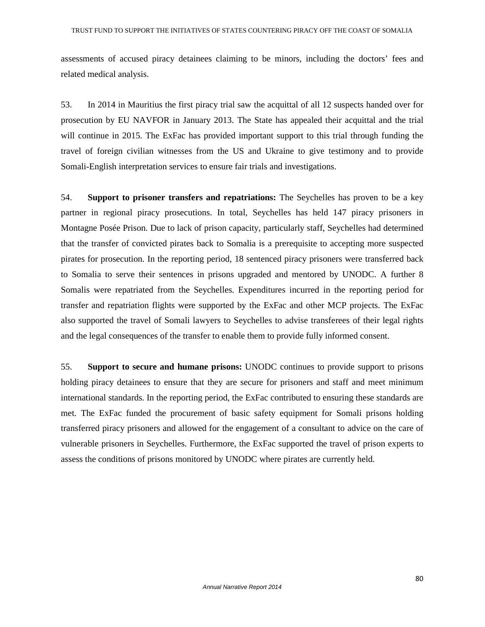assessments of accused piracy detainees claiming to be minors, including the doctors' fees and related medical analysis.

53. In 2014 in Mauritius the first piracy trial saw the acquittal of all 12 suspects handed over for prosecution by EU NAVFOR in January 2013. The State has appealed their acquittal and the trial will continue in 2015. The ExFac has provided important support to this trial through funding the travel of foreign civilian witnesses from the US and Ukraine to give testimony and to provide Somali-English interpretation services to ensure fair trials and investigations.

54. **Support to prisoner transfers and repatriations:** The Seychelles has proven to be a key partner in regional piracy prosecutions. In total, Seychelles has held 147 piracy prisoners in Montagne Posée Prison. Due to lack of prison capacity, particularly staff, Seychelles had determined that the transfer of convicted pirates back to Somalia is a prerequisite to accepting more suspected pirates for prosecution. In the reporting period, 18 sentenced piracy prisoners were transferred back to Somalia to serve their sentences in prisons upgraded and mentored by UNODC. A further 8 Somalis were repatriated from the Seychelles. Expenditures incurred in the reporting period for transfer and repatriation flights were supported by the ExFac and other MCP projects. The ExFac also supported the travel of Somali lawyers to Seychelles to advise transferees of their legal rights and the legal consequences of the transfer to enable them to provide fully informed consent.

55. **Support to secure and humane prisons:** UNODC continues to provide support to prisons holding piracy detainees to ensure that they are secure for prisoners and staff and meet minimum international standards. In the reporting period, the ExFac contributed to ensuring these standards are met. The ExFac funded the procurement of basic safety equipment for Somali prisons holding transferred piracy prisoners and allowed for the engagement of a consultant to advice on the care of vulnerable prisoners in Seychelles. Furthermore, the ExFac supported the travel of prison experts to assess the conditions of prisons monitored by UNODC where pirates are currently held.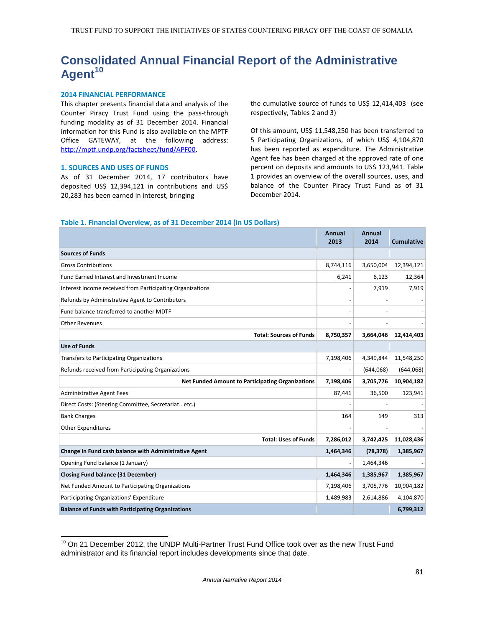# **Consolidated Annual Financial Report of the Administrative Agent<sup>10</sup>**

### 2014 FINANCIAL PERFORMANCE

This chapter presents financial data and analysis of the Counter Piracy Trust Fund using the pass-through funding modality as of 31 December 2014. Financial information for this Fund is also available on the MPTF Office GATEWAY, at the following address: http://mptf.undp.org/factsheet/fund/APF00.

#### 1. SOURCES AND USES OF FUNDS

As of 31 December 2014, 17 contributors have deposited US\$ 12,394,121 in contributions and US\$ 20,283 has been earned in interest, bringing

the cumulative source of funds to US\$ 12,414,403 (see respectively, Tables 2 and 3)

Of this amount, US\$ 11,548,250 has been transferred to 5 Participating Organizations, of which US\$ 4,104,870 has been reported as expenditure. The Administrative Agent fee has been charged at the approved rate of one percent on deposits and amounts to US\$ 123,941. Table 1 provides an overview of the overall sources, uses, and balance of the Counter Piracy Trust Fund as of 31 December 2014.

#### Table 1. Financial Overview, as of 31 December 2014 (in US Dollars)

|                                                           | <b>Annual</b><br>2013 | Annual<br>2014 | <b>Cumulative</b> |
|-----------------------------------------------------------|-----------------------|----------------|-------------------|
| <b>Sources of Funds</b>                                   |                       |                |                   |
| <b>Gross Contributions</b>                                | 8,744,116             | 3,650,004      | 12,394,121        |
| Fund Earned Interest and Investment Income                | 6,241                 | 6,123          | 12,364            |
| Interest Income received from Participating Organizations |                       | 7,919          | 7,919             |
| Refunds by Administrative Agent to Contributors           |                       |                |                   |
| Fund balance transferred to another MDTF                  |                       |                |                   |
| <b>Other Revenues</b>                                     |                       |                |                   |
| <b>Total: Sources of Funds</b>                            | 8,750,357             | 3,664,046      | 12,414,403        |
| <b>Use of Funds</b>                                       |                       |                |                   |
| <b>Transfers to Participating Organizations</b>           | 7,198,406             | 4,349,844      | 11,548,250        |
| Refunds received from Participating Organizations         |                       | (644,068)      | (644,068)         |
| <b>Net Funded Amount to Participating Organizations</b>   | 7,198,406             | 3,705,776      | 10,904,182        |
| <b>Administrative Agent Fees</b>                          | 87,441                | 36,500         | 123,941           |
| Direct Costs: (Steering Committee, Secretariatetc.)       |                       |                |                   |
| <b>Bank Charges</b>                                       | 164                   | 149            | 313               |
| <b>Other Expenditures</b>                                 |                       |                |                   |
| <b>Total: Uses of Funds</b>                               | 7,286,012             | 3,742,425      | 11,028,436        |
| Change in Fund cash balance with Administrative Agent     | 1,464,346             | (78, 378)      | 1,385,967         |
| Opening Fund balance (1 January)                          |                       | 1,464,346      |                   |
| <b>Closing Fund balance (31 December)</b>                 | 1,464,346             | 1,385,967      | 1,385,967         |
| Net Funded Amount to Participating Organizations          | 7,198,406             | 3,705,776      | 10,904,182        |
| Participating Organizations' Expenditure                  | 1,489,983             | 2,614,886      | 4,104,870         |
| <b>Balance of Funds with Participating Organizations</b>  |                       |                | 6,799,312         |

<sup>-</sup> $10$  On 21 December 2012, the UNDP Multi-Partner Trust Fund Office took over as the new Trust Fund administrator and its financial report includes developments since that date.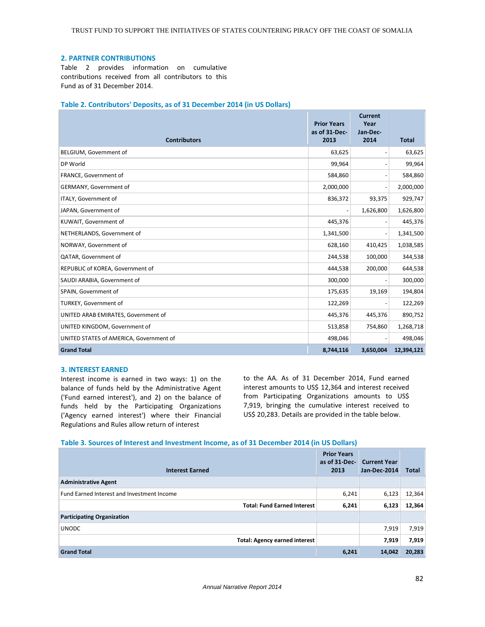### 2. PARTNER CONTRIBUTIONS

Table 2 provides information on cumulative contributions received from all contributors to this Fund as of 31 December 2014.

### Table 2. Contributors' Deposits, as of 31 December 2014 (in US Dollars)

|                                         | <b>Prior Years</b><br>as of 31-Dec- | <b>Current</b><br>Year<br>Jan-Dec- |              |
|-----------------------------------------|-------------------------------------|------------------------------------|--------------|
| <b>Contributors</b>                     | 2013                                | 2014                               | <b>Total</b> |
| BELGIUM, Government of                  | 63,625                              | $\overline{\phantom{a}}$           | 63,625       |
| DP World                                | 99,964                              | $\overline{\phantom{m}}$           | 99,964       |
| FRANCE, Government of                   | 584,860                             | $\overline{\phantom{a}}$           | 584,860      |
| GERMANY, Government of                  | 2,000,000                           | $\overline{\phantom{a}}$           | 2,000,000    |
| ITALY, Government of                    | 836,372                             | 93,375                             | 929,747      |
| JAPAN, Government of                    | $\overline{\phantom{a}}$            | 1,626,800                          | 1,626,800    |
| KUWAIT, Government of                   | 445,376                             | $\qquad \qquad \blacksquare$       | 445,376      |
| NETHERLANDS, Government of              | 1,341,500                           | $\overline{\phantom{a}}$           | 1,341,500    |
| NORWAY, Government of                   | 628,160                             | 410,425                            | 1,038,585    |
| QATAR, Government of                    | 244,538                             | 100,000                            | 344,538      |
| REPUBLIC of KOREA, Government of        | 444,538                             | 200,000                            | 644,538      |
| SAUDI ARABIA, Government of             | 300,000                             | $\overline{\phantom{a}}$           | 300,000      |
| SPAIN, Government of                    | 175,635                             | 19,169                             | 194,804      |
| TURKEY, Government of                   | 122,269                             | $\overline{\phantom{a}}$           | 122,269      |
| UNITED ARAB EMIRATES, Government of     | 445,376                             | 445,376                            | 890,752      |
| UNITED KINGDOM, Government of           | 513,858                             | 754,860                            | 1,268,718    |
| UNITED STATES of AMERICA, Government of | 498,046                             | $\qquad \qquad \blacksquare$       | 498,046      |
| <b>Grand Total</b>                      | 8,744,116                           | 3,650,004                          | 12,394,121   |

#### 3. INTEREST EARNED

Interest income is earned in two ways: 1) on the balance of funds held by the Administrative Agent ('Fund earned interest'), and 2) on the balance of funds held by the Participating Organizations ('Agency earned interest') where their Financial Regulations and Rules allow return of interest

to the AA. As of 31 December 2014, Fund earned interest amounts to US\$ 12,364 and interest received from Participating Organizations amounts to US\$ 7,919, bringing the cumulative interest received to US\$ 20,283. Details are provided in the table below.

#### Table 3. Sources of Interest and Investment Income, as of 31 December 2014 (in US Dollars)

| <b>Interest Earned</b>                     | <b>Prior Years</b><br>as of 31-Dec-<br>2013 | <b>Current Year</b><br>Jan-Dec-2014 | <b>Total</b> |
|--------------------------------------------|---------------------------------------------|-------------------------------------|--------------|
| <b>Administrative Agent</b>                |                                             |                                     |              |
| Fund Earned Interest and Investment Income | 6,241                                       | 6,123                               | 12,364       |
| <b>Total: Fund Earned Interest</b>         | 6,241                                       | 6,123                               | 12,364       |
| <b>Participating Organization</b>          |                                             |                                     |              |
| <b>UNODC</b>                               |                                             | 7,919                               | 7,919        |
| <b>Total: Agency earned interest</b>       |                                             | 7,919                               | 7,919        |
| <b>Grand Total</b>                         | 6,241                                       | 14,042                              | 20,283       |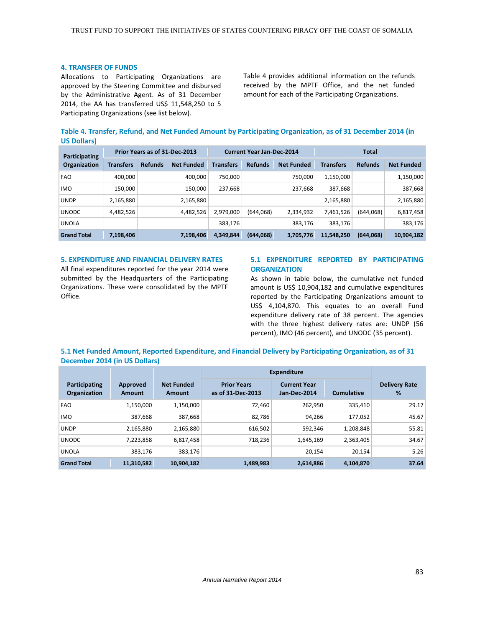#### 4. TRANSFER OF FUNDS

Allocations to Participating Organizations are approved by the Steering Committee and disbursed by the Administrative Agent. As of 31 December 2014, the AA has transferred US\$ 11,548,250 to 5 Participating Organizations (see list below).

Table 4 provides additional information on the refunds received by the MPTF Office, and the net funded amount for each of the Participating Organizations.

|                   | Table 4. Transfer, Refund, and Net Funded Amount by Participating Organization, as of 31 December 2014 (in |  |  |
|-------------------|------------------------------------------------------------------------------------------------------------|--|--|
| <b>US Dollars</b> |                                                                                                            |  |  |

| Participating<br><b>Organization</b> | Prior Years as of 31-Dec-2013 |                |                   | <b>Current Year Jan-Dec-2014</b> |                |                   | <b>Total</b>     |                |                   |
|--------------------------------------|-------------------------------|----------------|-------------------|----------------------------------|----------------|-------------------|------------------|----------------|-------------------|
|                                      | <b>Transfers</b>              | <b>Refunds</b> | <b>Net Funded</b> | <b>Transfers</b>                 | <b>Refunds</b> | <b>Net Funded</b> | <b>Transfers</b> | <b>Refunds</b> | <b>Net Funded</b> |
| <b>FAO</b>                           | 400,000                       |                | 400,000           | 750.000                          |                | 750,000           | 1,150,000        |                | 1,150,000         |
| <b>IMO</b>                           | 150,000                       |                | 150.000           | 237,668                          |                | 237,668           | 387,668          |                | 387,668           |
| <b>UNDP</b>                          | 2,165,880                     |                | 2,165,880         |                                  |                |                   | 2,165,880        |                | 2,165,880         |
| <b>UNODC</b>                         | 4,482,526                     |                | 4,482,526         | 2,979,000                        | (644,068)      | 2,334,932         | 7,461,526        | (644,068)      | 6,817,458         |
| <b>UNOLA</b>                         |                               |                |                   | 383,176                          |                | 383,176           | 383.176          |                | 383,176           |
| <b>Grand Total</b>                   | 7,198,406                     |                | 7,198,406         | 4.349.844                        | (644,068)      | 3,705,776         | 11,548,250       | (644,068)      | 10,904,182        |

#### 5. EXPENDITURE AND FINANCIAL DELIVERY RATES

All final expenditures reported for the year 2014 were submitted by the Headquarters of the Participating Organizations. These were consolidated by the MPTF Office.

### 5.1 EXPENDITURE REPORTED BY PARTICIPATING **ORGANIZATION**

As shown in table below, the cumulative net funded amount is US\$ 10,904,182 and cumulative expenditures reported by the Participating Organizations amount to US\$ 4,104,870. This equates to an overall Fund expenditure delivery rate of 38 percent. The agencies with the three highest delivery rates are: UNDP (56 percent), IMO (46 percent), and UNODC (35 percent).

### 5.1 Net Funded Amount, Reported Expenditure, and Financial Delivery by Participating Organization, as of 31 December 2014 (in US Dollars)

|                                      |                    |                             | <b>Expenditure</b>                      |                                     |                   |                           |
|--------------------------------------|--------------------|-----------------------------|-----------------------------------------|-------------------------------------|-------------------|---------------------------|
| Participating<br><b>Organization</b> | Approved<br>Amount | <b>Net Funded</b><br>Amount | <b>Prior Years</b><br>as of 31-Dec-2013 | <b>Current Year</b><br>Jan-Dec-2014 | <b>Cumulative</b> | <b>Delivery Rate</b><br>% |
| <b>FAO</b>                           | 1,150,000          | 1.150.000                   | 72.460                                  | 262,950                             | 335.410           | 29.17                     |
| <b>IMO</b>                           | 387,668            | 387,668                     | 82,786                                  | 94,266                              | 177,052           | 45.67                     |
| <b>UNDP</b>                          | 2,165,880          | 2,165,880                   | 616,502                                 | 592,346                             | 1,208,848         | 55.81                     |
| <b>UNODC</b>                         | 7,223,858          | 6,817,458                   | 718,236                                 | 1,645,169                           | 2,363,405         | 34.67                     |
| <b>UNOLA</b>                         | 383,176            | 383,176                     |                                         | 20,154                              | 20,154            | 5.26                      |
| <b>Grand Total</b>                   | 11,310,582         | 10.904.182                  | 1,489,983                               | 2,614,886                           | 4,104,870         | 37.64                     |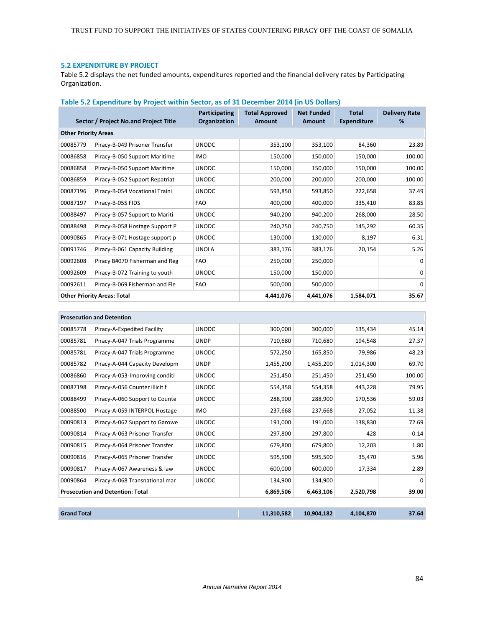### 5.2 EXPENDITURE BY PROJECT

 $\overline{a}$ 

Table 5.2 displays the net funded amounts, expenditures reported and the financial delivery rates by Participating Organization.

| Table 5.2 Expenditure by Project within Sector, as of 31 December 2014 (in US Dollars) |  |  |
|----------------------------------------------------------------------------------------|--|--|
|                                                                                        |  |  |

|                                    | Sector / Project No.and Project Title | Participating<br>Organization | <b>Total Approved</b><br>Amount | <b>Net Funded</b><br>Amount | <b>Total</b><br><b>Expenditure</b> | <b>Delivery Rate</b><br>% |  |  |
|------------------------------------|---------------------------------------|-------------------------------|---------------------------------|-----------------------------|------------------------------------|---------------------------|--|--|
|                                    | <b>Other Priority Areas</b>           |                               |                                 |                             |                                    |                           |  |  |
| 00085779                           | Piracy-B-049 Prisoner Transfer        | <b>UNODC</b>                  | 353,100                         | 353,100                     | 84,360                             | 23.89                     |  |  |
| 00086858                           | Piracy-B-050 Support Maritime         | <b>IMO</b>                    | 150,000                         | 150,000                     | 150,000                            | 100.00                    |  |  |
| 00086858                           | Piracy-B-050 Support Maritime         | <b>UNODC</b>                  | 150,000                         | 150,000                     | 150,000                            | 100.00                    |  |  |
| 00086859                           | Piracy-B-052 Support Repatriat        | <b>UNODC</b>                  | 200,000                         | 200,000                     | 200,000                            | 100.00                    |  |  |
| 00087196                           | Piracy-B-054 Vocational Traini        | <b>UNODC</b>                  | 593,850                         | 593,850                     | 222,658                            | 37.49                     |  |  |
| 00087197                           | Piracy-B-055 FIDS                     | <b>FAO</b>                    | 400,000                         | 400,000                     | 335,410                            | 83.85                     |  |  |
| 00088497                           | Piracy-B-057 Support to Mariti        | <b>UNODC</b>                  | 940,200                         | 940,200                     | 268,000                            | 28.50                     |  |  |
| 00088498                           | Piracy-B-058 Hostage Support P        | <b>UNODC</b>                  | 240,750                         | 240,750                     | 145,292                            | 60.35                     |  |  |
| 00090865                           | Piracy-B-071 Hostage support p        | <b>UNODC</b>                  | 130,000                         | 130,000                     | 8,197                              | 6.31                      |  |  |
| 00091746                           | Piracy-B-061 Capacity Building        | <b>UNOLA</b>                  | 383,176                         | 383,176                     | 20,154                             | 5.26                      |  |  |
| 00092608                           | Piracy B#070 Fisherman and Reg        | <b>FAO</b>                    | 250,000                         | 250,000                     |                                    | $\Omega$                  |  |  |
| 00092609                           | Piracy-B-072 Training to youth        | <b>UNODC</b>                  | 150,000                         | 150,000                     |                                    | $\Omega$                  |  |  |
| 00092611                           | Piracy-B-069 Fisherman and Fle        | <b>FAO</b>                    | 500,000                         | 500,000                     |                                    | $\Omega$                  |  |  |
| <b>Other Priority Areas: Total</b> |                                       |                               | 4,441,076                       | 4,441,076                   | 1,584,071                          | 35.67                     |  |  |

|                    | <b>Prosecution and Detention</b>        |              |            |            |           |        |
|--------------------|-----------------------------------------|--------------|------------|------------|-----------|--------|
| 00085778           | Piracy-A-Expedited Facility             | <b>UNODC</b> | 300,000    | 300,000    | 135,434   | 45.14  |
| 00085781           | Piracy-A-047 Trials Programme           | <b>UNDP</b>  | 710,680    | 710,680    | 194,548   | 27.37  |
| 00085781           | Piracy-A-047 Trials Programme           | <b>UNODC</b> | 572,250    | 165,850    | 79,986    | 48.23  |
| 00085782           | Piracy-A-044 Capacity Developm          | <b>UNDP</b>  | 1,455,200  | 1,455,200  | 1,014,300 | 69.70  |
| 00086860           | Piracy-A-053-Improving conditi          | <b>UNODC</b> | 251,450    | 251,450    | 251,450   | 100.00 |
| 00087198           | Piracy-A-056 Counter illicit f          | <b>UNODC</b> | 554,358    | 554,358    | 443,228   | 79.95  |
| 00088499           | Piracy-A-060 Support to Counte          | <b>UNODC</b> | 288,900    | 288,900    | 170,536   | 59.03  |
| 00088500           | Piracy-A-059 INTERPOL Hostage           | <b>IMO</b>   | 237,668    | 237,668    | 27,052    | 11.38  |
| 00090813           | Piracy-A-062 Support to Garowe          | <b>UNODC</b> | 191,000    | 191,000    | 138,830   | 72.69  |
| 00090814           | Piracy-A-063 Prisoner Transfer          | <b>UNODC</b> | 297,800    | 297,800    | 428       | 0.14   |
| 00090815           | Piracy-A-064 Prisoner Transfer          | <b>UNODC</b> | 679,800    | 679,800    | 12,203    | 1.80   |
| 00090816           | Piracy-A-065 Prisoner Transfer          | <b>UNODC</b> | 595,500    | 595,500    | 35,470    | 5.96   |
| 00090817           | Piracy-A-067 Awareness & law            | <b>UNODC</b> | 600,000    | 600,000    | 17,334    | 2.89   |
| 00090864           | Piracy-A-068 Transnational mar          | <b>UNODC</b> | 134,900    | 134,900    |           | 0      |
|                    | <b>Prosecution and Detention: Total</b> |              | 6,869,506  | 6,463,106  | 2,520,798 | 39.00  |
| <b>Grand Total</b> |                                         |              | 11,310,582 | 10,904,182 | 4,104,870 | 37.64  |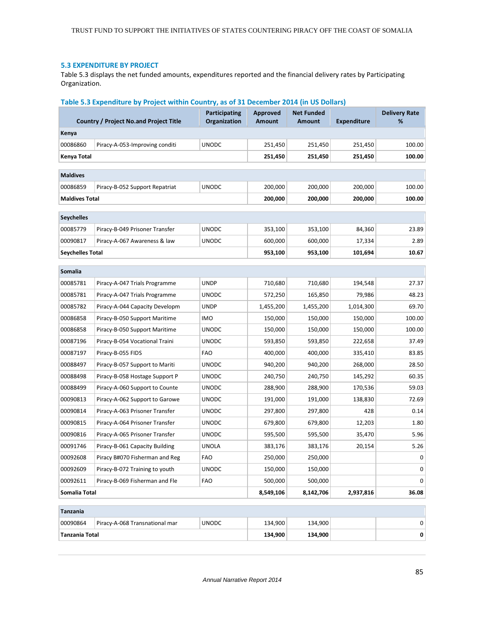### 5.3 EXPENDITURE BY PROJECT

Table 5.3 displays the net funded amounts, expenditures reported and the financial delivery rates by Participating Organization.

|                         | Table 5.3 Expenditure by Project within Country, as of 31 December 2014 (in US Dollars) |                                             |                           |                                    |                    |                           |
|-------------------------|-----------------------------------------------------------------------------------------|---------------------------------------------|---------------------------|------------------------------------|--------------------|---------------------------|
|                         | <b>Country / Project No.and Project Title</b>                                           | <b>Participating</b><br><b>Organization</b> | Approved<br><b>Amount</b> | <b>Net Funded</b><br><b>Amount</b> | <b>Expenditure</b> | <b>Delivery Rate</b><br>% |
| Kenya                   |                                                                                         |                                             |                           |                                    |                    |                           |
| 00086860                | Piracy-A-053-Improving conditi                                                          | <b>UNODC</b>                                | 251,450                   | 251,450                            | 251,450            | 100.00                    |
| Kenya Total             |                                                                                         |                                             | 251,450                   | 251,450                            | 251,450            | 100.00                    |
|                         |                                                                                         |                                             |                           |                                    |                    |                           |
| <b>Maldives</b>         |                                                                                         |                                             |                           |                                    |                    |                           |
| 00086859                | Piracy-B-052 Support Repatriat                                                          | <b>UNODC</b>                                | 200,000                   | 200,000                            | 200,000            | 100.00                    |
| <b>Maldives Total</b>   |                                                                                         |                                             | 200,000                   | 200,000                            | 200,000            | 100.00                    |
| <b>Seychelles</b>       |                                                                                         |                                             |                           |                                    |                    |                           |
| 00085779                | Piracy-B-049 Prisoner Transfer                                                          | <b>UNODC</b>                                | 353,100                   | 353,100                            | 84,360             | 23.89                     |
| 00090817                | Piracy-A-067 Awareness & law                                                            | <b>UNODC</b>                                | 600,000                   | 600,000                            | 17,334             | 2.89                      |
| <b>Seychelles Total</b> |                                                                                         |                                             | 953,100                   | 953,100                            | 101,694            | 10.67                     |
|                         |                                                                                         |                                             |                           |                                    |                    |                           |
| <b>Somalia</b>          |                                                                                         |                                             |                           |                                    |                    |                           |
| 00085781                | Piracy-A-047 Trials Programme                                                           | <b>UNDP</b>                                 | 710,680                   | 710,680                            | 194,548            | 27.37                     |
| 00085781                | Piracy-A-047 Trials Programme                                                           | <b>UNODC</b>                                | 572,250                   | 165,850                            | 79,986             | 48.23                     |
| 00085782                | Piracy-A-044 Capacity Developm                                                          | <b>UNDP</b>                                 | 1,455,200                 | 1,455,200                          | 1,014,300          | 69.70                     |
| 00086858                | Piracy-B-050 Support Maritime                                                           | <b>IMO</b>                                  | 150,000                   | 150,000                            | 150,000            | 100.00                    |
| 00086858                | Piracy-B-050 Support Maritime                                                           | <b>UNODC</b>                                | 150,000                   | 150,000                            | 150,000            | 100.00                    |
| 00087196                | Piracy-B-054 Vocational Traini                                                          | <b>UNODC</b>                                | 593,850                   | 593,850                            | 222,658            | 37.49                     |
| 00087197                | Piracy-B-055 FIDS                                                                       | <b>FAO</b>                                  | 400,000                   | 400,000                            | 335,410            | 83.85                     |
| 00088497                | Piracy-B-057 Support to Mariti                                                          | <b>UNODC</b>                                | 940,200                   | 940,200                            | 268,000            | 28.50                     |
| 00088498                | Piracy-B-058 Hostage Support P                                                          | <b>UNODC</b>                                | 240,750                   | 240,750                            | 145,292            | 60.35                     |
| 00088499                | Piracy-A-060 Support to Counte                                                          | <b>UNODC</b>                                | 288,900                   | 288,900                            | 170,536            | 59.03                     |
| 00090813                | Piracy-A-062 Support to Garowe                                                          | <b>UNODC</b>                                | 191,000                   | 191,000                            | 138,830            | 72.69                     |
| 00090814                | Piracy-A-063 Prisoner Transfer                                                          | <b>UNODC</b>                                | 297,800                   | 297,800                            | 428                | 0.14                      |
| 00090815                | Piracy-A-064 Prisoner Transfer                                                          | <b>UNODC</b>                                | 679,800                   | 679,800                            | 12,203             | 1.80                      |
| 00090816                | Piracy-A-065 Prisoner Transfer                                                          | <b>UNODC</b>                                | 595,500                   | 595,500                            | 35,470             | 5.96                      |
| 00091746                | Piracy-B-061 Capacity Building                                                          | <b>UNOLA</b>                                | 383,176                   | 383,176                            | 20,154             | 5.26                      |
| 00092608                | Piracy B#070 Fisherman and Reg                                                          | <b>FAO</b>                                  | 250,000                   | 250,000                            |                    | 0                         |
| 00092609                | Piracy-B-072 Training to youth                                                          | <b>UNODC</b>                                | 150,000                   | 150,000                            |                    | 0                         |
| 00092611                | Piracy-B-069 Fisherman and Fle                                                          | <b>FAO</b>                                  | 500,000                   | 500,000                            |                    | 0                         |
| Somalia Total           |                                                                                         |                                             | 8,549,106                 | 8,142,706                          | 2,937,816          | 36.08                     |
| Tanzania                |                                                                                         |                                             |                           |                                    |                    |                           |
| 00090864                | Piracy-A-068 Transnational mar                                                          | <b>UNODC</b>                                | 134,900                   | 134,900                            |                    | 0                         |
| <b>Tanzania Total</b>   |                                                                                         |                                             | 134,900                   | 134,900                            |                    | 0                         |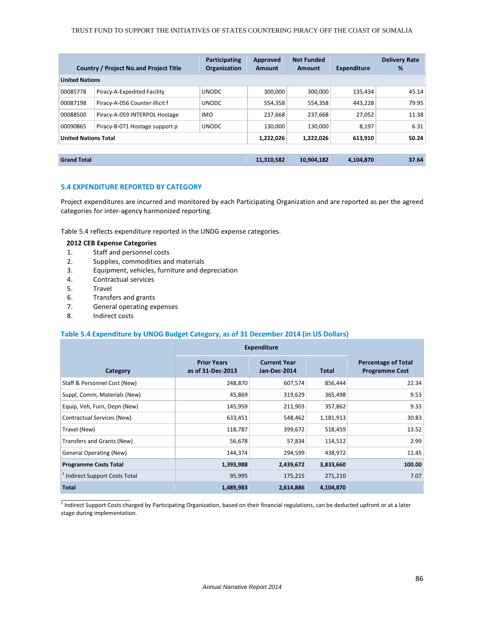| <b>Country / Project No.and Project Title</b> | Participating<br>Organization | Approved<br>Amount | <b>Net Funded</b><br>Amount | <b>Expenditure</b> | <b>Delivery Rate</b><br>% |  |  |  |  |
|-----------------------------------------------|-------------------------------|--------------------|-----------------------------|--------------------|---------------------------|--|--|--|--|
| <b>United Nations</b>                         |                               |                    |                             |                    |                           |  |  |  |  |
| Piracy-A-Expedited Facility                   | <b>UNODC</b>                  | 300,000            | 300,000                     | 135,434            | 45.14                     |  |  |  |  |
| Piracy-A-056 Counter illicit f                | <b>UNODC</b>                  | 554,358            | 554,358                     | 443,228            | 79.95                     |  |  |  |  |
| Piracy-A-059 INTERPOL Hostage                 | <b>IMO</b>                    | 237,668            | 237,668                     | 27,052             | 11.38                     |  |  |  |  |
| Piracy-B-071 Hostage support p                | <b>UNODC</b>                  | 130.000            | 130.000                     | 8.197              | 6.31                      |  |  |  |  |
| <b>United Nations Total</b>                   |                               | 1,222,026          | 1,222,026                   | 613,910            | 50.24                     |  |  |  |  |
|                                               |                               |                    |                             |                    |                           |  |  |  |  |

### 5.4 EXPENDITURE REPORTED BY CATEGORY

Project expenditures are incurred and monitored by each Participating Organization and are reported as per the agreed categories for inter-agency harmonized reporting.

Table 5.4 reflects expenditure reported in the UNDG expense categories.

### 2012 CEB Expense Categories

- 1. Staff and personnel costs
- 2. Supplies, commodities and materials
- 3. Equipment, vehicles, furniture and depreciation
- 4. Contractual services
- 5. Travel
- 6. Transfers and grants
- 7. General operating expenses
- 8. Indirect costs

#### Table 5.4 Expenditure by UNDG Budget Category, as of 31 December 2014 (in US Dollars)

|                                | <b>Expenditure</b>                      |                                     |              |                                                     |
|--------------------------------|-----------------------------------------|-------------------------------------|--------------|-----------------------------------------------------|
| Category                       | <b>Prior Years</b><br>as of 31-Dec-2013 | <b>Current Year</b><br>Jan-Dec-2014 | <b>Total</b> | <b>Percentage of Total</b><br><b>Programme Cost</b> |
| Staff & Personnel Cost (New)   | 248,870                                 | 607,574                             | 856,444      | 22.34                                               |
| Suppl, Comm, Materials (New)   | 45,869                                  | 319,629                             | 365,498      | 9.53                                                |
| Equip, Veh, Furn, Depn (New)   | 145,959                                 | 211,903                             | 357,862      | 9.33                                                |
| Contractual Services (New)     | 633,451                                 | 548,462                             | 1,181,913    | 30.83                                               |
| Travel (New)                   | 118,787                                 | 399,672                             | 518,459      | 13.52                                               |
| Transfers and Grants (New)     | 56,678                                  | 57,834                              | 114,512      | 2.99                                                |
| <b>General Operating (New)</b> | 144,374                                 | 294,599                             | 438,972      | 11.45                                               |
| <b>Programme Costs Total</b>   | 1,393,988                               | 2,439,672                           | 3,833,660    | 100.00                                              |
| Indirect Support Costs Total   | 95,995                                  | 175,215                             | 271,210      | 7.07                                                |
| <b>Total</b>                   | 1,489,983                               | 2,614,886                           | 4,104,870    |                                                     |

\_\_\_\_\_\_\_\_\_\_\_\_\_\_\_\_\_\_\_\_\_\_ 1 Indirect Support Costs charged by Participating Organization, based on their financial regulations, can be deducted upfront or at a later stage during implementation.